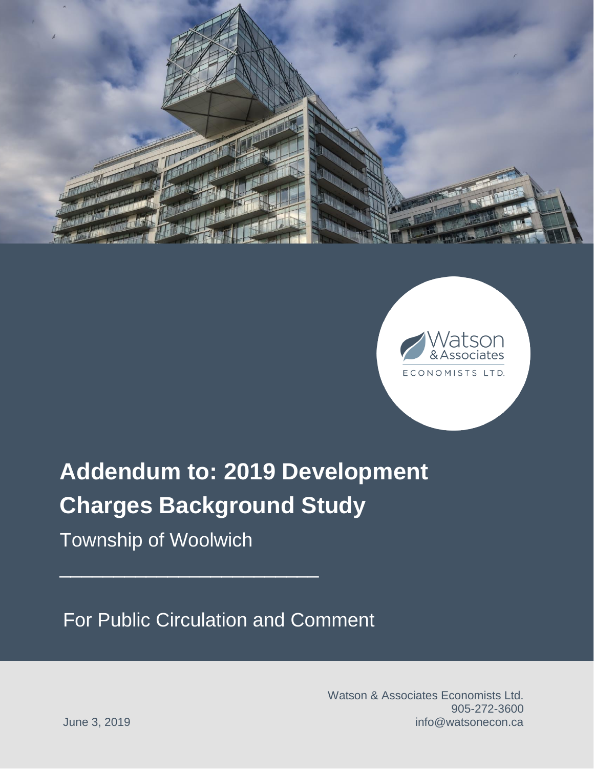



# **Addendum to: 2019 Development Charges Background Study**

Township of Woolwich

 $\mathcal{L}_\text{max}$  and  $\mathcal{L}_\text{max}$  and  $\mathcal{L}_\text{max}$  and  $\mathcal{L}_\text{max}$ 

For Public Circulation and Comment

Watson & Associates Economists Ltd. 905-272-3600 June 3, 2019 **June 3, 2019** *June 3, 2019 June 3, 2019*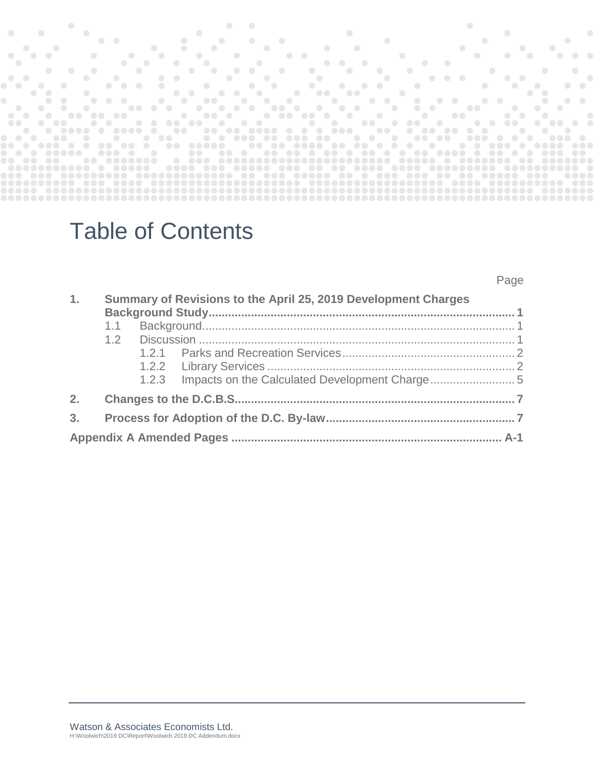|                                   |               |               |                                                              |                       |                                    |            |                                                              |           |            |           |                                                                                                                                                                                                                                      |           |                            |            |                       |               |                                |        | $\overline{\phantom{a}}$ |                                           |                                     |                       |           |                          |                                                         |                            |                                                                                                |               |                              |                      |               |                                                     |           |                                                                                                          |                                                                                                                                                                                                                                      |                  |      |                       |                               |                               |                  |               |                          |                  |  |
|-----------------------------------|---------------|---------------|--------------------------------------------------------------|-----------------------|------------------------------------|------------|--------------------------------------------------------------|-----------|------------|-----------|--------------------------------------------------------------------------------------------------------------------------------------------------------------------------------------------------------------------------------------|-----------|----------------------------|------------|-----------------------|---------------|--------------------------------|--------|--------------------------|-------------------------------------------|-------------------------------------|-----------------------|-----------|--------------------------|---------------------------------------------------------|----------------------------|------------------------------------------------------------------------------------------------|---------------|------------------------------|----------------------|---------------|-----------------------------------------------------|-----------|----------------------------------------------------------------------------------------------------------|--------------------------------------------------------------------------------------------------------------------------------------------------------------------------------------------------------------------------------------|------------------|------|-----------------------|-------------------------------|-------------------------------|------------------|---------------|--------------------------|------------------|--|
|                                   |               | $\bigcirc$    |                                                              |                       |                                    |            | $\bullet\bullet$                                             |           |            |           |                                                                                                                                                                                                                                      |           |                            |            |                       |               |                                |        |                          |                                           |                                     |                       |           |                          |                                                         |                            |                                                                                                |               |                              |                      |               | $\bullet$ and $\bullet$ and $\bullet$ and $\bullet$ |           |                                                                                                          |                                                                                                                                                                                                                                      |                  |      |                       |                               |                               |                  |               |                          |                  |  |
|                                   | $\bigcirc$    |               |                                                              |                       |                                    |            |                                                              |           |            |           |                                                                                                                                                                                                                                      |           |                            | $\bigcirc$ |                       |               |                                |        |                          | $\sim$ 0                                  |                                     |                       |           |                          |                                                         |                            |                                                                                                |               |                              |                      |               |                                                     |           |                                                                                                          |                                                                                                                                                                                                                                      |                  |      |                       | $\bigcirc$                    |                               |                  |               |                          |                  |  |
| $\bullet$                         |               |               |                                                              |                       |                                    |            |                                                              |           | $\bigcirc$ |           | $\overline{\phantom{a}}$                                                                                                                                                                                                             |           |                            |            | $\bullet$             |               |                                |        |                          |                                           |                                     | $\bullet\quad\bullet$ |           |                          |                                                         |                            |                                                                                                |               |                              |                      |               |                                                     |           |                                                                                                          | $\bigcirc$                                                                                                                                                                                                                           |                  |      | $\bullet$             |                               |                               |                  |               |                          |                  |  |
| $\bullet$                         |               |               |                                                              |                       |                                    |            |                                                              |           |            | $\bullet$ |                                                                                                                                                                                                                                      |           | $\bigcirc$                 |            |                       |               |                                |        |                          |                                           |                                     |                       |           |                          |                                                         |                            | $\bullet$ $\bullet$ $\bullet$                                                                  |               |                              |                      |               |                                                     |           |                                                                                                          |                                                                                                                                                                                                                                      |                  |      |                       |                               |                               |                  |               |                          |                  |  |
|                                   |               | $\bigcirc$    |                                                              |                       |                                    |            |                                                              |           | $\bigcirc$ |           |                                                                                                                                                                                                                                      |           |                            | $\bullet$  |                       |               | $\bullet$                      |        | $\bullet$                |                                           | $\sim 100$                          |                       | $\bullet$ |                          |                                                         | $\sim$ $\sim$ $\sim$       |                                                                                                | $\sim$ $\sim$ |                              |                      |               |                                                     |           |                                                                                                          |                                                                                                                                                                                                                                      |                  |      |                       |                               |                               |                  |               | $\overline{\phantom{a}}$ |                  |  |
| $\bullet\quadbullet$<br>$\bullet$ |               |               | $\sim$ $\sim$                                                |                       |                                    |            | $\bigcirc$                                                   |           |            |           | $\bullet$                                                                                                                                                                                                                            | $\bullet$ |                            |            |                       |               | $\bullet$                      |        |                          | $\sim$ $\sim$<br>$\overline{\phantom{a}}$ |                                     |                       |           | $\overline{\phantom{a}}$ | $\bullet$ .<br><br><br><br><br><br><br><br><br><br><br> |                            | $\begin{array}{ccccccccccccccccc} \bullet & \bullet & \bullet & \bullet & \bullet \end{array}$ |               | $\sim$ $\sim$ $\sim$         | $\sim$ $\sim$ $\sim$ |               |                                                     |           | $\begin{array}{ccccccccccccccccc} \bullet & \bullet & \bullet & \bullet & \bullet & \bullet \end{array}$ | <u>in the company of the company of the company of the company of the company of the company of the company of the company of the company of the company of the company of the company of the company of the company of the comp</u> |                  |      |                       | $\bullet\bullet$<br>$\bullet$ | $\sim$ $\sim$                 |                  |               |                          | $\bullet\bullet$ |  |
|                                   | $\bullet$     |               |                                                              |                       | $\bigcirc$                         |            |                                                              |           |            |           |                                                                                                                                                                                                                                      |           | $\bullet\bullet$           |            |                       |               |                                |        | $\bullet$                |                                           |                                     | $\bullet$             |           | $\bigcirc$               |                                                         | <b>Second Construction</b> |                                                                                                |               |                              |                      |               | the contract of the contract of the contract of     |           |                                                                                                          |                                                                                                                                                                                                                                      |                  |      |                       |                               |                               | $\bullet\bullet$ |               |                          |                  |  |
|                                   |               |               |                                                              | $\sqrt{2}$            |                                    | $\sqrt{2}$ | $\begin{array}{ccc} \bullet & \bullet & \bullet \end{array}$ |           |            |           | <u>in the community of the community of the community of the community of the community of the community of the community of the community of the community of the community of the community of the community of the community </u> |           |                            |            |                       | <b>Second</b> |                                |        |                          | $\sim$ $\sim$                             | $\sim$ 0.                           |                       |           |                          | $\sim$ $\sim$ $\sim$                                    |                            |                                                                                                |               | $\bullet\bullet$             |                      |               |                                                     |           |                                                                                                          |                                                                                                                                                                                                                                      |                  |      |                       |                               |                               |                  |               |                          |                  |  |
| $\bullet$                         |               |               |                                                              |                       | $\overline{\phantom{a}}$           |            |                                                              |           | .          |           |                                                                                                                                                                                                                                      |           |                            |            |                       | .             |                                | $\sim$ |                          | .                                         |                                     |                       |           |                          |                                                         |                            |                                                                                                |               | $\sim$ $\sim$ $\sim$         |                      |               | $\bullet\bullet$                                    |           |                                                                                                          | $\blacksquare$                                                                                                                                                                                                                       |                  |      |                       |                               | $\bullet$ $\bullet$ $\bullet$ |                  | $\sim$ $\sim$ |                          |                  |  |
| <b>COMPUTER</b>                   |               | $\sim$ $\sim$ |                                                              | <u>and the second</u> |                                    |            | <b></b>                                                      |           |            |           | <u> a componente de la componente de la componente de la componente de la componente de la componente de la compo</u>                                                                                                                |           |                            |            |                       |               |                                |        |                          | .                                         |                                     |                       |           |                          |                                                         |                            |                                                                                                | $\sim$ $\sim$ |                              |                      | $\sim$ $\sim$ |                                                     |           | $\blacksquare$                                                                                           |                                                                                                                                                                                                                                      |                  |      |                       | $\bullet\bullet$              |                               | $\sim$ 0         |               |                          |                  |  |
|                                   |               |               | $\begin{array}{ccc} \bullet & \bullet & \bullet \end{array}$ |                       |                                    |            | - 0                                                          |           | .          |           |                                                                                                                                                                                                                                      |           |                            |            |                       | $\sim$ $\sim$ | $\bullet$ $\bullet$            |        |                          |                                           | <u>and the second second second</u> |                       |           |                          |                                                         |                            |                                                                                                |               | $\bullet\bullet\quad\bullet$ |                      | 00            |                                                     | $\sim$ 0. |                                                                                                          |                                                                                                                                                                                                                                      | $\bullet\bullet$ |      |                       |                               |                               | $\bullet$        |               |                          |                  |  |
|                                   |               |               |                                                              |                       |                                    |            |                                                              |           | .          |           |                                                                                                                                                                                                                                      |           | <b>Second Construction</b> |            |                       |               |                                |        |                          |                                           |                                     |                       |           |                          |                                                         |                            |                                                                                                |               |                              |                      |               |                                                     |           |                                                                                                          | .                                                                                                                                                                                                                                    |                  |      | <u>e a contra de </u> |                               |                               | $\sim$ 0         |               | $\sim$ 0.                |                  |  |
| $\bullet$ . $\bullet$ .           | $\sim$ $\sim$ |               | <b>Second</b>                                                | .                     | $\overline{\phantom{a}}$<br>$\sim$ |            | .                                                            | $\bullet$ |            |           | $\begin{array}{ccc} \bullet & \bullet & \bullet \end{array}$                                                                                                                                                                         |           |                            |            |                       |               |                                |        |                          |                                           |                                     |                       |           |                          |                                                         |                            |                                                                                                |               | .                            |                      |               | <b>PO 00</b><br>$\sim$ 0                            |           |                                                                                                          | <b>Second Contract Contract Contract Contract Contract Contract</b>                                                                                                                                                                  |                  | - 01 |                       | $\overline{\phantom{a}}$      | $\overline{\phantom{a}}$      |                  |               |                          |                  |  |
|                                   | .             |               |                                                              | .                     |                                    |            | $\bullet\bullet\bullet\bullet$                               |           |            | $\sim$ 0  |                                                                                                                                                                                                                                      |           |                            |            | $\bullet\bullet\quad$ |               | $\bullet\bullet\bullet\bullet$ |        |                          |                                           |                                     |                       |           |                          |                                                         |                            |                                                                                                |               |                              |                      |               |                                                     |           |                                                                                                          |                                                                                                                                                                                                                                      |                  |      |                       |                               |                               |                  | <b>DOO</b>    |                          | <b>Second</b>    |  |
|                                   |               |               |                                                              |                       |                                    | $\bigcirc$ |                                                              |           |            |           |                                                                                                                                                                                                                                      |           |                            |            |                       |               |                                |        |                          |                                           |                                     |                       |           |                          |                                                         |                            |                                                                                                |               |                              |                      |               |                                                     |           |                                                                                                          |                                                                                                                                                                                                                                      |                  |      |                       |                               |                               |                  |               |                          |                  |  |
|                                   |               |               |                                                              |                       |                                    |            |                                                              |           | - 00000    |           |                                                                                                                                                                                                                                      |           |                            |            |                       |               |                                |        |                          |                                           |                                     |                       |           |                          |                                                         |                            |                                                                                                |               |                              |                      |               |                                                     |           |                                                                                                          |                                                                                                                                                                                                                                      |                  |      |                       |                               |                               |                  |               |                          |                  |  |
|                                   |               |               |                                                              |                       |                                    |            |                                                              |           |            |           |                                                                                                                                                                                                                                      |           |                            |            |                       |               |                                |        |                          |                                           |                                     |                       |           |                          |                                                         |                            |                                                                                                |               |                              |                      |               |                                                     |           |                                                                                                          |                                                                                                                                                                                                                                      |                  |      |                       |                               |                               |                  |               |                          |                  |  |
|                                   |               |               |                                                              |                       |                                    |            |                                                              |           |            |           |                                                                                                                                                                                                                                      |           |                            |            |                       |               |                                |        |                          |                                           |                                     |                       |           |                          |                                                         |                            |                                                                                                |               |                              |                      |               |                                                     |           |                                                                                                          |                                                                                                                                                                                                                                      |                  |      |                       |                               |                               |                  |               |                          |                  |  |
|                                   |               |               |                                                              |                       |                                    |            |                                                              |           |            |           |                                                                                                                                                                                                                                      |           |                            |            |                       |               |                                |        |                          |                                           |                                     |                       |           |                          |                                                         |                            |                                                                                                |               |                              |                      |               |                                                     |           |                                                                                                          |                                                                                                                                                                                                                                      |                  |      |                       |                               |                               |                  |               |                          |                  |  |
|                                   |               |               |                                                              |                       |                                    |            |                                                              |           |            |           |                                                                                                                                                                                                                                      |           |                            |            |                       |               |                                |        |                          |                                           |                                     |                       |           |                          |                                                         |                            |                                                                                                |               |                              |                      |               |                                                     |           |                                                                                                          |                                                                                                                                                                                                                                      |                  |      |                       |                               |                               |                  |               |                          |                  |  |
|                                   |               |               |                                                              |                       |                                    |            |                                                              |           |            |           |                                                                                                                                                                                                                                      |           |                            |            |                       |               |                                |        |                          |                                           |                                     |                       |           |                          |                                                         |                            |                                                                                                |               |                              |                      |               |                                                     |           |                                                                                                          |                                                                                                                                                                                                                                      |                  |      |                       |                               |                               |                  |               |                          |                  |  |

# Table of Contents

### Page

| 1.             |     | Summary of Revisions to the April 25, 2019 Development Charges |  |
|----------------|-----|----------------------------------------------------------------|--|
|                | 1.1 |                                                                |  |
|                |     |                                                                |  |
|                |     |                                                                |  |
|                |     |                                                                |  |
|                |     | 1.2.3 Impacts on the Calculated Development Charge             |  |
| 2.             |     |                                                                |  |
| 3 <sub>1</sub> |     |                                                                |  |
|                |     |                                                                |  |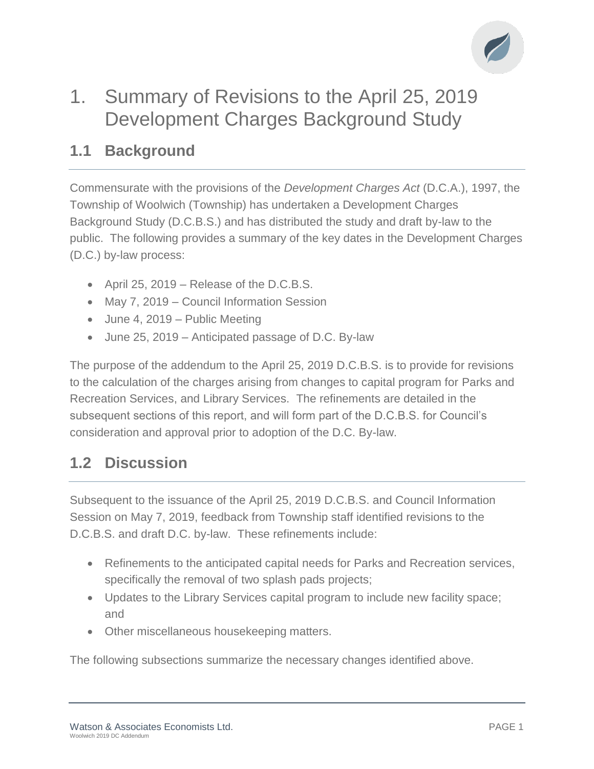

## 1. Summary of Revisions to the April 25, 2019 Development Charges Background Study

## **1.1 Background**

Commensurate with the provisions of the *Development Charges Act* (D.C.A.), 1997, the Township of Woolwich (Township) has undertaken a Development Charges Background Study (D.C.B.S.) and has distributed the study and draft by-law to the public. The following provides a summary of the key dates in the Development Charges (D.C.) by-law process:

- April 25, 2019 Release of the D.C.B.S.
- May 7, 2019 Council Information Session
- June 4, 2019 Public Meeting
- June 25, 2019 Anticipated passage of D.C. By-law

The purpose of the addendum to the April 25, 2019 D.C.B.S. is to provide for revisions to the calculation of the charges arising from changes to capital program for Parks and Recreation Services, and Library Services. The refinements are detailed in the subsequent sections of this report, and will form part of the D.C.B.S. for Council's consideration and approval prior to adoption of the D.C. By-law.

## **1.2 Discussion**

Subsequent to the issuance of the April 25, 2019 D.C.B.S. and Council Information Session on May 7, 2019, feedback from Township staff identified revisions to the D.C.B.S. and draft D.C. by-law. These refinements include:

- Refinements to the anticipated capital needs for Parks and Recreation services, specifically the removal of two splash pads projects;
- Updates to the Library Services capital program to include new facility space; and
- Other miscellaneous housekeeping matters.

The following subsections summarize the necessary changes identified above.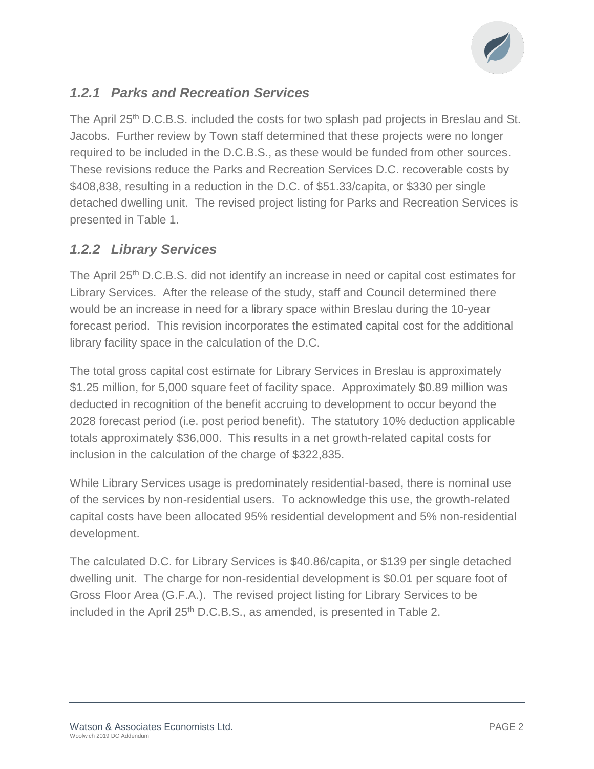

### *1.2.1 Parks and Recreation Services*

The April 25<sup>th</sup> D.C.B.S. included the costs for two splash pad projects in Breslau and St. Jacobs. Further review by Town staff determined that these projects were no longer required to be included in the D.C.B.S., as these would be funded from other sources. These revisions reduce the Parks and Recreation Services D.C. recoverable costs by \$408,838, resulting in a reduction in the D.C. of \$51.33/capita, or \$330 per single detached dwelling unit. The revised project listing for Parks and Recreation Services is presented in Table 1.

### *1.2.2 Library Services*

The April 25<sup>th</sup> D.C.B.S. did not identify an increase in need or capital cost estimates for Library Services. After the release of the study, staff and Council determined there would be an increase in need for a library space within Breslau during the 10-year forecast period. This revision incorporates the estimated capital cost for the additional library facility space in the calculation of the D.C.

The total gross capital cost estimate for Library Services in Breslau is approximately \$1.25 million, for 5,000 square feet of facility space. Approximately \$0.89 million was deducted in recognition of the benefit accruing to development to occur beyond the 2028 forecast period (i.e. post period benefit). The statutory 10% deduction applicable totals approximately \$36,000. This results in a net growth-related capital costs for inclusion in the calculation of the charge of \$322,835.

While Library Services usage is predominately residential-based, there is nominal use of the services by non-residential users. To acknowledge this use, the growth-related capital costs have been allocated 95% residential development and 5% non-residential development.

The calculated D.C. for Library Services is \$40.86/capita, or \$139 per single detached dwelling unit. The charge for non-residential development is \$0.01 per square foot of Gross Floor Area (G.F.A.). The revised project listing for Library Services to be included in the April  $25<sup>th</sup>$  D.C.B.S., as amended, is presented in Table 2.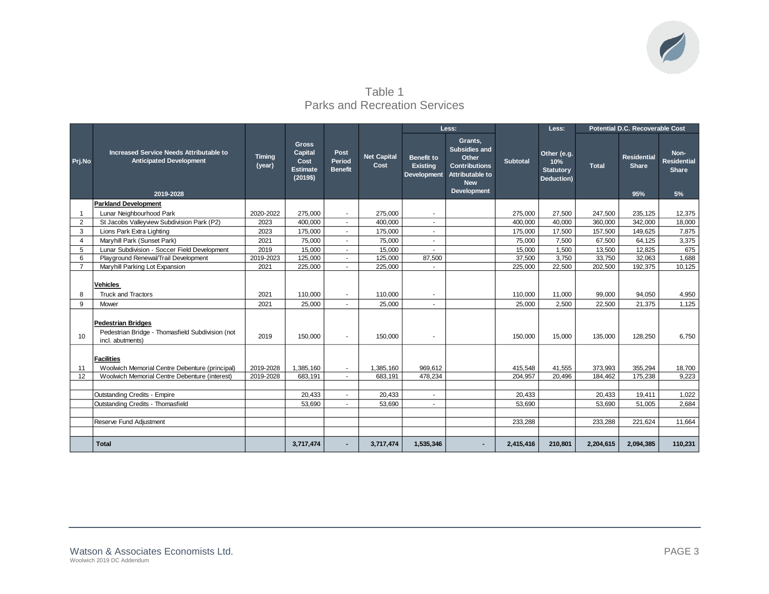

Table 1 Parks and Recreation Services

|                 |                                                                                                   |                         |                                                                |                                  |                            |                                                     | Less:                                                                                                                   |                 | Less:                                                |              | Potential D.C. Recoverable Cost           |                                                  |
|-----------------|---------------------------------------------------------------------------------------------------|-------------------------|----------------------------------------------------------------|----------------------------------|----------------------------|-----------------------------------------------------|-------------------------------------------------------------------------------------------------------------------------|-----------------|------------------------------------------------------|--------------|-------------------------------------------|--------------------------------------------------|
| Prj.No          | Increased Service Needs Attributable to<br><b>Anticipated Development</b><br>2019-2028            | <b>Timing</b><br>(year) | <b>Gross</b><br>Capital<br>Cost<br><b>Estimate</b><br>(2019\$) | Post<br>Period<br><b>Benefit</b> | <b>Net Capital</b><br>Cost | Benefit to<br><b>Existing</b><br><b>Development</b> | Grants,<br><b>Subsidies and</b><br>Other<br><b>Contributions</b><br>Attributable to<br><b>New</b><br><b>Development</b> | <b>Subtotal</b> | Other (e.g.<br>10%<br><b>Statutory</b><br>Deduction) | <b>Total</b> | <b>Residential</b><br><b>Share</b><br>95% | Non-<br><b>Residential</b><br><b>Share</b><br>5% |
|                 | <b>Parkland Development</b>                                                                       |                         |                                                                |                                  |                            |                                                     |                                                                                                                         |                 |                                                      |              |                                           |                                                  |
| -1              | Lunar Neighbourhood Park                                                                          | 2020-2022               | 275.000                                                        | $\sim$                           | 275.000                    | $\sim$                                              |                                                                                                                         | 275.000         | 27,500                                               | 247,500      | 235,125                                   | 12,375                                           |
| $\overline{2}$  | St Jacobs Valleyview Subdivision Park (P2)                                                        | 2023                    | 400.000                                                        | $\sim$                           | 400.000                    | $\sim$                                              |                                                                                                                         | 400.000         | 40.000                                               | 360,000      | 342.000                                   | 18,000                                           |
| 3               | Lions Park Extra Lighting                                                                         | 2023                    | 175.000                                                        | ÷.                               | 175.000                    | $\sim$                                              |                                                                                                                         | 175.000         | 17.500                                               | 157,500      | 149.625                                   | 7,875                                            |
| $\overline{4}$  | Maryhill Park (Sunset Park)                                                                       | 2021                    | 75,000                                                         | ÷.                               | 75,000                     | ÷.                                                  |                                                                                                                         | 75,000          | 7,500                                                | 67,500       | 64,125                                    | 3,375                                            |
| 5               | Lunar Subdivision - Soccer Field Development                                                      | 2019                    | 15,000                                                         | $\sim$                           | 15,000                     | $\sim$                                              |                                                                                                                         | 15,000          | 1,500                                                | 13,500       | 12,825                                    | 675                                              |
| 6               | Playground Renewal/Trail Development                                                              | 2019-2023               | 125,000                                                        | $\sim$                           | 125,000                    | 87,500                                              |                                                                                                                         | 37,500          | 3,750                                                | 33,750       | 32,063                                    | 1,688                                            |
| $\overline{7}$  | Maryhill Parking Lot Expansion                                                                    | 2021                    | 225,000                                                        | $\sim$                           | 225,000                    |                                                     |                                                                                                                         | 225,000         | 22,500                                               | 202,500      | 192,375                                   | 10.125                                           |
| 8               | <b>Vehicles</b><br><b>Truck and Tractors</b>                                                      | 2021                    | 110.000                                                        | $\blacksquare$                   | 110.000                    | $\sim$                                              |                                                                                                                         | 110.000         | 11.000                                               | 99.000       | 94.050                                    | 4,950                                            |
| 9               | Mower                                                                                             | 2021                    | 25.000                                                         |                                  | 25.000                     | ÷.                                                  |                                                                                                                         | 25.000          | 2.500                                                | 22.500       | 21.375                                    | 1,125                                            |
| 10 <sup>1</sup> | <b>Pedestrian Bridges</b><br>Pedestrian Bridge - Thomasfield Subdivision (not<br>incl. abutments) | 2019                    | 150,000                                                        | $\blacksquare$                   | 150.000                    | $\blacksquare$                                      |                                                                                                                         | 150.000         | 15,000                                               | 135.000      | 128,250                                   | 6.750                                            |
| 11              | <b>Facilities</b><br>Woolwich Memorial Centre Debenture (principal)                               | 2019-2028               | 1,385,160                                                      | $\sim$                           | 1,385,160                  | 969,612                                             |                                                                                                                         | 415,548         | 41,555                                               | 373,993      | 355,294                                   | 18,700                                           |
| 12              | Woolwich Memorial Centre Debenture (interest)                                                     | 2019-2028               | 683,191                                                        | $\sim$                           | 683.191                    | 478,234                                             |                                                                                                                         | 204.957         | 20,496                                               | 184,462      | 175,238                                   | 9,223                                            |
|                 |                                                                                                   |                         |                                                                |                                  |                            |                                                     |                                                                                                                         |                 |                                                      |              |                                           |                                                  |
|                 | <b>Outstanding Credits - Empire</b>                                                               |                         | 20,433                                                         |                                  | 20,433                     | ÷.                                                  |                                                                                                                         | 20,433          |                                                      | 20,433       | 19,411                                    | 1,022                                            |
|                 | Outstanding Credits - Thomasfield                                                                 |                         | 53,690                                                         | $\sim$                           | 53,690                     | $\sim$                                              |                                                                                                                         | 53,690          |                                                      | 53,690       | 51,005                                    | 2,684                                            |
|                 |                                                                                                   |                         |                                                                |                                  |                            |                                                     |                                                                                                                         |                 |                                                      |              |                                           |                                                  |
|                 | Reserve Fund Adjustment                                                                           |                         |                                                                |                                  |                            |                                                     |                                                                                                                         | 233,288         |                                                      | 233,288      | 221,624                                   | 11,664                                           |
|                 |                                                                                                   |                         |                                                                |                                  |                            |                                                     |                                                                                                                         |                 |                                                      |              |                                           |                                                  |
|                 | <b>Total</b>                                                                                      |                         | 3,717,474                                                      |                                  | 3,717,474                  | 1,535,346                                           |                                                                                                                         | 2,415,416       | 210,801                                              | 2,204,615    | 2,094,385                                 | 110,231                                          |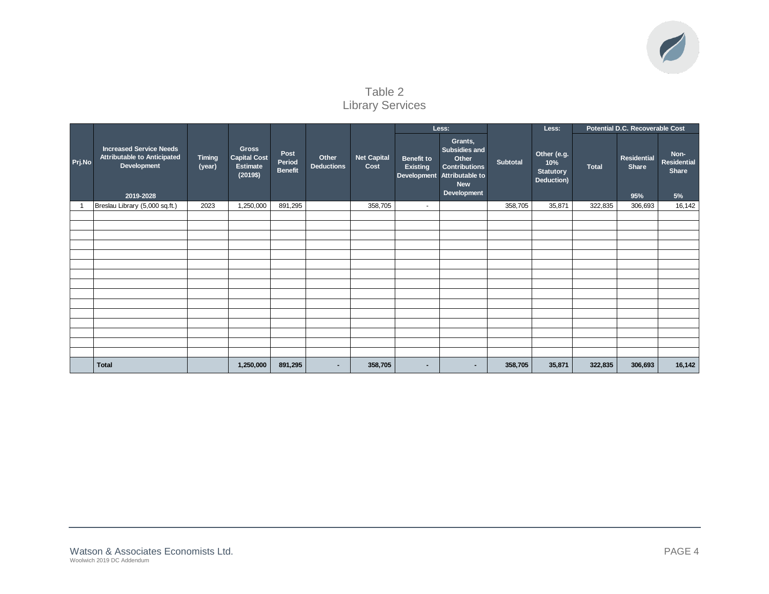

Table 2 Library Services

|        |                                                                                                  |                         |                                                                    |                                  |                            |                            |                                      | Less:                                                                                                                        |                 | Less:                                                |              | Potential D.C. Recoverable Cost           |                                           |
|--------|--------------------------------------------------------------------------------------------------|-------------------------|--------------------------------------------------------------------|----------------------------------|----------------------------|----------------------------|--------------------------------------|------------------------------------------------------------------------------------------------------------------------------|-----------------|------------------------------------------------------|--------------|-------------------------------------------|-------------------------------------------|
| Prj.No | <b>Increased Service Needs</b><br><b>Attributable to Anticipated</b><br>Development<br>2019-2028 | <b>Timing</b><br>(year) | <b>Gross</b><br><b>Capital Cost</b><br><b>Estimate</b><br>(2019\$) | Post<br>Period<br><b>Benefit</b> | Other<br><b>Deductions</b> | <b>Net Capital</b><br>Cost | <b>Benefit to</b><br><b>Existing</b> | Grants,<br><b>Subsidies and</b><br>Other<br><b>Contributions</b><br>Development Attributable to<br><b>New</b><br>Development | <b>Subtotal</b> | Other (e.g.<br>10%<br><b>Statutory</b><br>Deduction) | <b>Total</b> | <b>Residential</b><br><b>Share</b><br>95% | Non-<br><b>Residential</b><br>Share<br>5% |
|        | Breslau Library (5,000 sq.ft.)                                                                   | 2023                    | 1,250,000                                                          | 891,295                          |                            | 358,705                    | $\sim$                               |                                                                                                                              | 358,705         | 35,871                                               | 322,835      | 306,693                                   | 16,142                                    |
|        |                                                                                                  |                         |                                                                    |                                  |                            |                            |                                      |                                                                                                                              |                 |                                                      |              |                                           |                                           |
|        |                                                                                                  |                         |                                                                    |                                  |                            |                            |                                      |                                                                                                                              |                 |                                                      |              |                                           |                                           |
|        |                                                                                                  |                         |                                                                    |                                  |                            |                            |                                      |                                                                                                                              |                 |                                                      |              |                                           |                                           |
|        |                                                                                                  |                         |                                                                    |                                  |                            |                            |                                      |                                                                                                                              |                 |                                                      |              |                                           |                                           |
|        |                                                                                                  |                         |                                                                    |                                  |                            |                            |                                      |                                                                                                                              |                 |                                                      |              |                                           |                                           |
|        |                                                                                                  |                         |                                                                    |                                  |                            |                            |                                      |                                                                                                                              |                 |                                                      |              |                                           |                                           |
|        |                                                                                                  |                         |                                                                    |                                  |                            |                            |                                      |                                                                                                                              |                 |                                                      |              |                                           |                                           |
|        |                                                                                                  |                         |                                                                    |                                  |                            |                            |                                      |                                                                                                                              |                 |                                                      |              |                                           |                                           |
|        |                                                                                                  |                         |                                                                    |                                  |                            |                            |                                      |                                                                                                                              |                 |                                                      |              |                                           |                                           |
|        |                                                                                                  |                         |                                                                    |                                  |                            |                            |                                      |                                                                                                                              |                 |                                                      |              |                                           |                                           |
|        |                                                                                                  |                         |                                                                    |                                  |                            |                            |                                      |                                                                                                                              |                 |                                                      |              |                                           |                                           |
|        |                                                                                                  |                         |                                                                    |                                  |                            |                            |                                      |                                                                                                                              |                 |                                                      |              |                                           |                                           |
|        |                                                                                                  |                         |                                                                    |                                  |                            |                            |                                      |                                                                                                                              |                 |                                                      |              |                                           |                                           |
|        |                                                                                                  |                         |                                                                    |                                  |                            |                            |                                      |                                                                                                                              |                 |                                                      |              |                                           |                                           |
|        | <b>Total</b>                                                                                     |                         | 1,250,000                                                          | 891,295                          | $\sim$                     | 358,705                    | $\blacksquare$                       | $\blacksquare$                                                                                                               | 358,705         | 35,871                                               | 322,835      | 306,693                                   | 16,142                                    |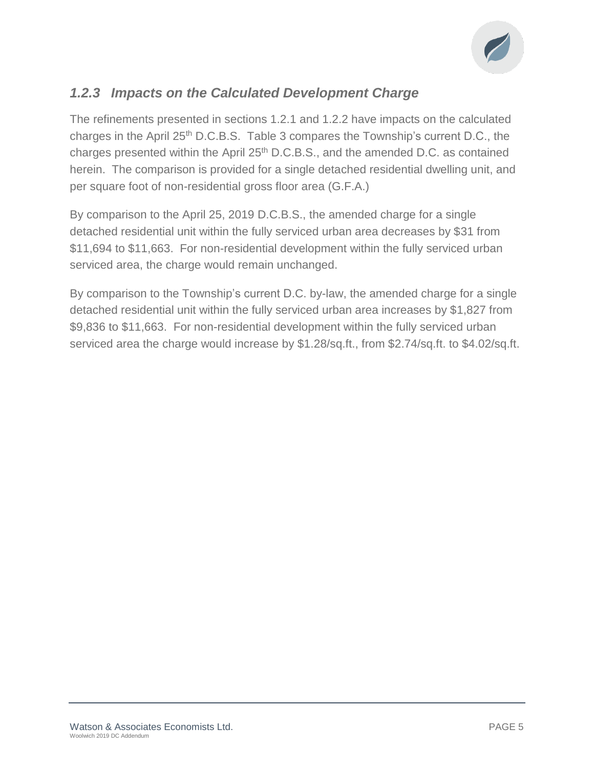

## *1.2.3 Impacts on the Calculated Development Charge*

The refinements presented in sections 1.2.1 and 1.2.2 have impacts on the calculated charges in the April  $25<sup>th</sup>$  D.C.B.S. Table 3 compares the Township's current D.C., the charges presented within the April 25<sup>th</sup> D.C.B.S., and the amended D.C. as contained herein. The comparison is provided for a single detached residential dwelling unit, and per square foot of non-residential gross floor area (G.F.A.)

By comparison to the April 25, 2019 D.C.B.S., the amended charge for a single detached residential unit within the fully serviced urban area decreases by \$31 from \$11,694 to \$11,663. For non-residential development within the fully serviced urban serviced area, the charge would remain unchanged.

By comparison to the Township's current D.C. by-law, the amended charge for a single detached residential unit within the fully serviced urban area increases by \$1,827 from \$9,836 to \$11,663. For non-residential development within the fully serviced urban serviced area the charge would increase by \$1.28/sq.ft., from \$2.74/sq.ft. to \$4.02/sq.ft.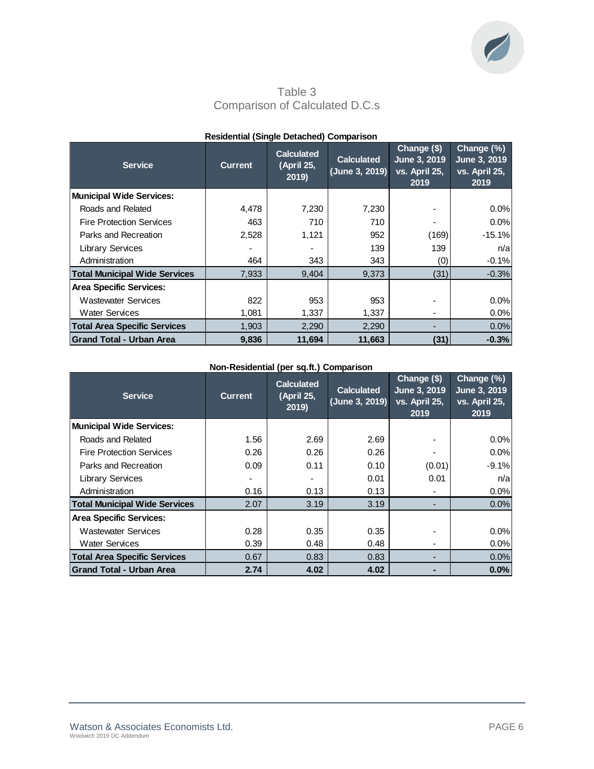

Table 3 Comparison of Calculated D.C.s

| <b>Service</b>                       | <b>Current</b> | <b>Calculated</b><br>(April 25,<br>2019 | <b>Calculated</b><br>(June 3, 2019) | Change (\$)<br>June 3, 2019<br>vs. April 25,<br>2019 | Change (%)<br>June 3, 2019<br>vs. April 25,<br>2019 |
|--------------------------------------|----------------|-----------------------------------------|-------------------------------------|------------------------------------------------------|-----------------------------------------------------|
| <b>Municipal Wide Services:</b>      |                |                                         |                                     |                                                      |                                                     |
| Roads and Related                    | 4,478          | 7,230                                   | 7,230                               |                                                      | 0.0%                                                |
| <b>Fire Protection Services</b>      | 463            | 710                                     | 710                                 |                                                      | 0.0%                                                |
| Parks and Recreation                 | 2,528          | 1,121                                   | 952                                 | (169)                                                | $-15.1%$                                            |
| <b>Library Services</b>              |                |                                         | 139                                 | 139                                                  | n/a                                                 |
| Administration                       | 464            | 343                                     | 343                                 | (0)                                                  | $-0.1%$                                             |
| <b>Total Municipal Wide Services</b> | 7.933          | 9.404                                   | 9.373                               | (31)                                                 | $-0.3%$                                             |
| <b>Area Specific Services:</b>       |                |                                         |                                     |                                                      |                                                     |
| <b>Wastewater Services</b>           | 822            | 953                                     | 953                                 |                                                      | 0.0%                                                |
| <b>Water Services</b>                | 1,081          | 1,337                                   | 1,337                               |                                                      | 0.0%                                                |
| <b>Total Area Specific Services</b>  | 1,903          | 2,290                                   | 2,290                               |                                                      | 0.0%                                                |
| <b>Grand Total - Urban Area</b>      | 9.836          | 11,694                                  | 11.663                              | (31)                                                 | $-0.3%$                                             |

### **Residential (Single Detached) Comparison**

### **Non-Residential (per sq.ft.) Comparison**

| <b>Service</b>                       | <b>Current</b> | <b>Calculated</b><br>(April 25,<br>2019 | <b>Calculated</b><br>(June 3, 2019) | Change (\$)<br>June 3, 2019<br>vs. April 25,<br>2019 | Change (%)<br>June 3, 2019<br>vs. April 25,<br>2019 |
|--------------------------------------|----------------|-----------------------------------------|-------------------------------------|------------------------------------------------------|-----------------------------------------------------|
| <b>Municipal Wide Services:</b>      |                |                                         |                                     |                                                      |                                                     |
| Roads and Related                    | 1.56           | 2.69                                    | 2.69                                |                                                      | 0.0%                                                |
| <b>Fire Protection Services</b>      | 0.26           | 0.26                                    | 0.26                                |                                                      | 0.0%                                                |
| Parks and Recreation                 | 0.09           | 0.11                                    | 0.10                                | (0.01)                                               | $-9.1%$                                             |
| <b>Library Services</b>              |                |                                         | 0.01                                | 0.01                                                 | n/a                                                 |
| Administration                       | 0.16           | 0.13                                    | 0.13                                |                                                      | 0.0%                                                |
| <b>Total Municipal Wide Services</b> | 2.07           | 3.19                                    | 3.19                                |                                                      | 0.0%                                                |
| <b>Area Specific Services:</b>       |                |                                         |                                     |                                                      |                                                     |
| <b>Wastewater Services</b>           | 0.28           | 0.35                                    | 0.35                                |                                                      | 0.0%                                                |
| <b>Water Services</b>                | 0.39           | 0.48                                    | 0.48                                | ٠                                                    | 0.0%                                                |
| <b>Total Area Specific Services</b>  | 0.67           | 0.83                                    | 0.83                                |                                                      | 0.0%                                                |
| <b>Grand Total - Urban Area</b>      | 2.74           | 4.02                                    | 4.02                                | -                                                    | 0.0%                                                |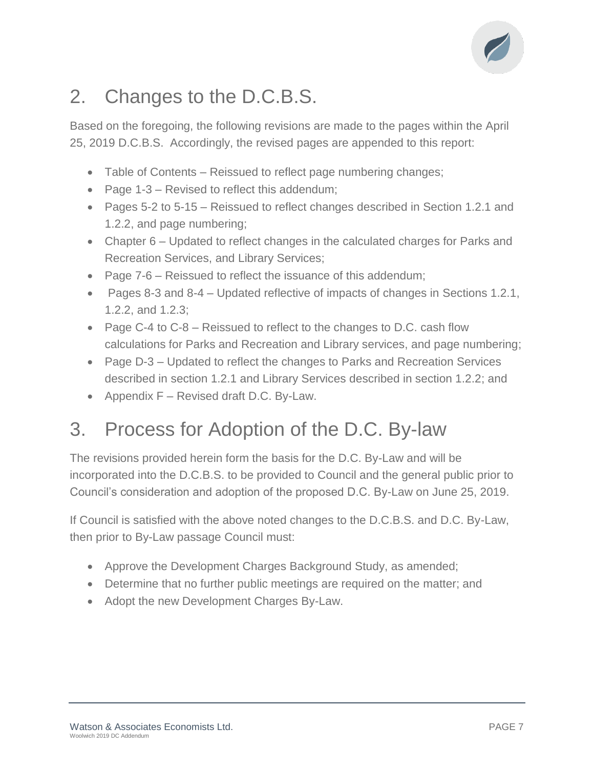

# 2. Changes to the D.C.B.S.

Based on the foregoing, the following revisions are made to the pages within the April 25, 2019 D.C.B.S. Accordingly, the revised pages are appended to this report:

- Table of Contents Reissued to reflect page numbering changes;
- Page 1-3 Revised to reflect this addendum;
- Pages 5-2 to 5-15 Reissued to reflect changes described in Section 1.2.1 and 1.2.2, and page numbering;
- Chapter 6 Updated to reflect changes in the calculated charges for Parks and Recreation Services, and Library Services;
- Page 7-6 Reissued to reflect the issuance of this addendum;
- Pages 8-3 and 8-4 Updated reflective of impacts of changes in Sections 1.2.1, 1.2.2, and 1.2.3;
- Page C-4 to C-8 Reissued to reflect to the changes to D.C. cash flow calculations for Parks and Recreation and Library services, and page numbering;
- Page D-3 Updated to reflect the changes to Parks and Recreation Services described in section 1.2.1 and Library Services described in section 1.2.2; and
- Appendix F Revised draft D.C. By-Law.

# 3. Process for Adoption of the D.C. By-law

The revisions provided herein form the basis for the D.C. By-Law and will be incorporated into the D.C.B.S. to be provided to Council and the general public prior to Council's consideration and adoption of the proposed D.C. By-Law on June 25, 2019.

If Council is satisfied with the above noted changes to the D.C.B.S. and D.C. By-Law, then prior to By-Law passage Council must:

- Approve the Development Charges Background Study, as amended;
- Determine that no further public meetings are required on the matter; and
- Adopt the new Development Charges By-Law.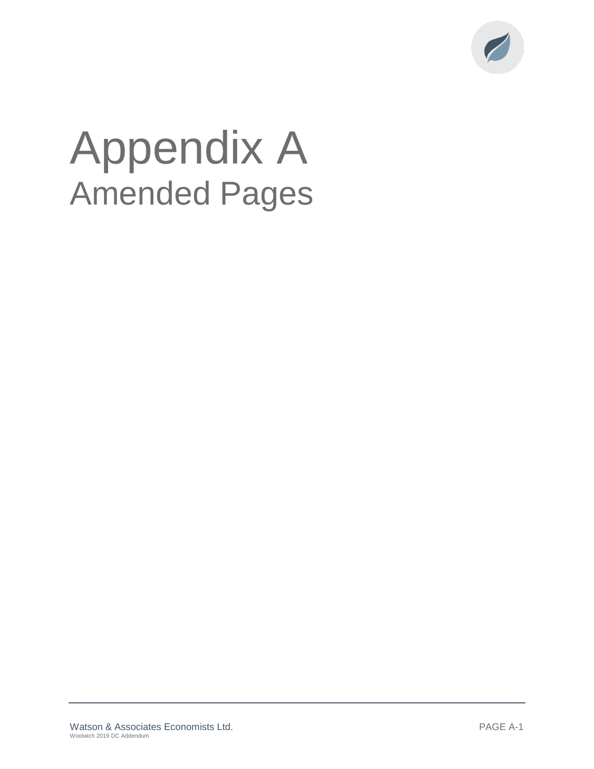

# Appendix A Amended Pages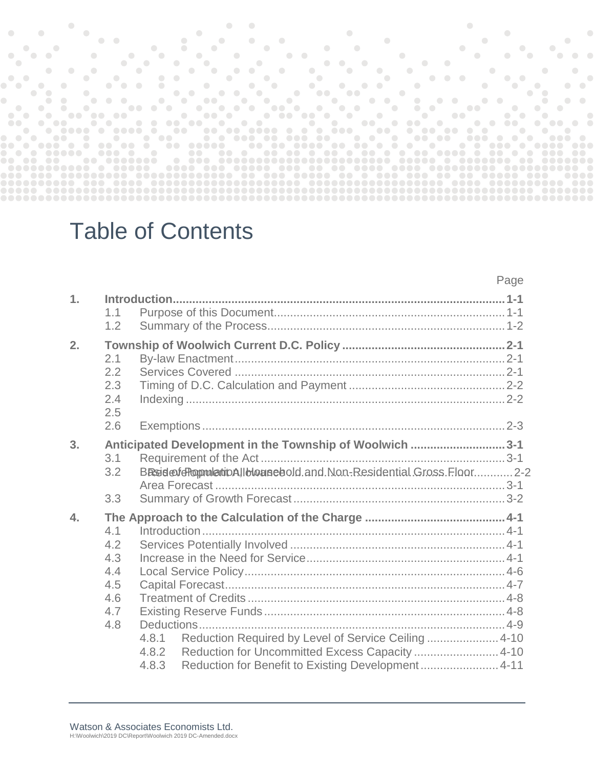|                                                                          |                                       |                          |                  |                             | <b>Contract Contract</b>          |                         |                         |                      |          |               |                                                                                                                                                                                                                                      |                             |                                     |                             |                                                   |                     |               |                                                                                                                                                                                                                                      |                      |                  |                                                                                                                             |            |                                       |                                                                                                                                                                                                                                      |          |               |                  |  |
|--------------------------------------------------------------------------|---------------------------------------|--------------------------|------------------|-----------------------------|-----------------------------------|-------------------------|-------------------------|----------------------|----------|---------------|--------------------------------------------------------------------------------------------------------------------------------------------------------------------------------------------------------------------------------------|-----------------------------|-------------------------------------|-----------------------------|---------------------------------------------------|---------------------|---------------|--------------------------------------------------------------------------------------------------------------------------------------------------------------------------------------------------------------------------------------|----------------------|------------------|-----------------------------------------------------------------------------------------------------------------------------|------------|---------------------------------------|--------------------------------------------------------------------------------------------------------------------------------------------------------------------------------------------------------------------------------------|----------|---------------|------------------|--|
|                                                                          |                                       |                          |                  |                             |                                   |                         |                         |                      |          |               |                                                                                                                                                                                                                                      |                             |                                     |                             |                                                   |                     |               |                                                                                                                                                                                                                                      |                      |                  |                                                                                                                             |            |                                       |                                                                                                                                                                                                                                      |          |               |                  |  |
|                                                                          |                                       |                          | $\bullet\bullet$ |                             |                                   |                         |                         | $\sim$ $\sim$ $\sim$ |          |               | $\bullet$                                                                                                                                                                                                                            | $\sim$ $\sim$               |                                     |                             |                                                   |                     |               |                                                                                                                                                                                                                                      |                      |                  |                                                                                                                             |            |                                       |                                                                                                                                                                                                                                      |          |               |                  |  |
| $\bullet$ $\bullet$                                                      | $\sqrt{2}$                            |                          | $\bullet$        | $\sim$ $\sim$ $\sim$ $\sim$ | $\sim$ $\sim$                     |                         | $\bigcirc$<br>$\bullet$ | $\sim$ $\sim$        |          |               | $\sim$ $\sim$                                                                                                                                                                                                                        |                             | $\bullet\bullet$                    |                             |                                                   |                     |               | <u>and the company of the company of the company of the company of the company of the company of the company of the company of the company of the company of the company of the company of the company of the company of the com</u> |                      |                  |                                                                                                                             | $\bigcirc$ | $\bigcirc$                            | $\bigcirc$<br>$\overline{\phantom{a}}$                                                                                                                                                                                               |          | $\bigcirc$    |                  |  |
| - 0                                                                      |                                       |                          |                  |                             | $\bullet$                         |                         |                         | $\sim$ $\sim$        |          |               | $\bullet$                                                                                                                                                                                                                            |                             |                                     | $\sim$ $\sim$ $\sim$ $\sim$ |                                                   | $\bullet$ $\bullet$ |               |                                                                                                                                                                                                                                      |                      | $\sim$ $\sim$    | $\overline{\phantom{a}}$                                                                                                    |            |                                       |                                                                                                                                                                                                                                      |          |               |                  |  |
|                                                                          | $\bullet$                             |                          |                  |                             |                                   |                         |                         | $\sim$ 0             | $\sim$ 0 |               |                                                                                                                                                                                                                                      | $\mathcal{L} = \mathcal{L}$ |                                     |                             |                                                   |                     | $\sim$ $\sim$ |                                                                                                                                                                                                                                      | $\sim$ $\sim$ $\sim$ |                  |                                                                                                                             |            | $\bullet$ and $\bullet$ and $\bullet$ |                                                                                                                                                                                                                                      |          |               | $\bullet$        |  |
| $\bullet$                                                                |                                       |                          | $\bullet$        |                             |                                   | $\bullet$<br>$\bigcirc$ |                         | <b>Service</b>       |          |               |                                                                                                                                                                                                                                      |                             |                                     |                             |                                                   |                     |               | $\sim$ $\sim$ $\sim$                                                                                                                                                                                                                 |                      |                  |                                                                                                                             |            | $\bullet\bullet$                      |                                                                                                                                                                                                                                      |          |               |                  |  |
|                                                                          | $\bullet$<br>$\overline{\phantom{a}}$ |                          | $\bullet$        | $\bullet$ $\bullet$         | $\bullet$                         |                         |                         |                      |          |               | <u>in the community of the community of the community of the community of the community of the community of the community of the community of the community of the community of the community of the community of the community </u> |                             |                                     |                             |                                                   |                     |               |                                                                                                                                                                                                                                      | $\sim$ $\sim$        |                  | <b><i>Committee Committee Committee Committee Committee Committee Committee Committee Committee Committee Committee</i></b> |            | $\sim$ $\sim$                         | $\sim$ $\sim$                                                                                                                                                                                                                        |          |               | $\bullet\bullet$ |  |
|                                                                          | $\bullet$                             |                          |                  |                             |                                   |                         |                         | $\sim$ $\sim$        |          |               | - 01                                                                                                                                                                                                                                 |                             |                                     |                             | $\bullet$ $\bullet$ $\bullet$ $\bullet$ $\bullet$ |                     |               | the contract of the contract of the contract of                                                                                                                                                                                      |                      |                  |                                                                                                                             |            |                                       | <u>and the second second second</u>                                                                                                                                                                                                  |          |               |                  |  |
|                                                                          | $\bullet\bullet$                      |                          |                  |                             | .                                 |                         |                         | <b>Second</b>        |          | $\sim$ $\sim$ | $\sim$ 0                                                                                                                                                                                                                             |                             | <u>and the second second second</u> |                             |                                                   |                     |               |                                                                                                                                                                                                                                      |                      |                  |                                                                                                                             |            |                                       |                                                                                                                                                                                                                                      |          |               |                  |  |
| $\sim$ $\sim$                                                            |                                       | $\overline{\phantom{a}}$ |                  |                             | .                                 |                         | .                       |                      |          | $\bullet$     |                                                                                                                                                                                                                                      |                             |                                     |                             |                                                   |                     |               |                                                                                                                                                                                                                                      |                      | $\bullet\bullet$ | <u>and the second second</u>                                                                                                |            |                                       | <u>in the community of the community of the community of the community of the community of the community of the community of the community of the community of the community of the community of the community of the community </u> |          | $\sim$ $\sim$ |                  |  |
|                                                                          | $\sim$ $\sim$                         | $\sim$ 000 $\sim$        | <b></b>          |                             |                                   |                         |                         |                      |          |               |                                                                                                                                                                                                                                      |                             |                                     |                             |                                                   |                     | $\sim$ $\sim$ |                                                                                                                                                                                                                                      |                      |                  | $\blacksquare$                                                                                                              |            | $\bullet\bullet\bullet$               |                                                                                                                                                                                                                                      | $\sim$ 0 |               |                  |  |
| <b>DO</b>                                                                | <u>and only the second</u>            |                          | .                |                             |                                   |                         |                         |                      |          |               |                                                                                                                                                                                                                                      |                             |                                     |                             |                                                   |                     |               |                                                                                                                                                                                                                                      |                      |                  |                                                                                                                             |            |                                       |                                                                                                                                                                                                                                      |          | .             |                  |  |
|                                                                          |                                       |                          |                  |                             |                                   |                         |                         |                      |          |               |                                                                                                                                                                                                                                      |                             |                                     |                             |                                                   |                     |               |                                                                                                                                                                                                                                      |                      |                  |                                                                                                                             |            |                                       |                                                                                                                                                                                                                                      |          | $\sim$ $\sim$ |                  |  |
| $\bullet\hspace{0.4mm}\bullet\hspace{0.4mm}\bullet\hspace{0.4mm}\bullet$ | <u>and a comp</u>                     | $\sim$ $\sim$            |                  |                             | .                                 |                         |                         |                      |          |               |                                                                                                                                                                                                                                      |                             |                                     |                             |                                                   |                     |               |                                                                                                                                                                                                                                      |                      |                  |                                                                                                                             |            |                                       |                                                                                                                                                                                                                                      |          |               |                  |  |
|                                                                          | .                                     |                          |                  |                             |                                   |                         |                         |                      |          |               |                                                                                                                                                                                                                                      |                             |                                     |                             |                                                   |                     |               |                                                                                                                                                                                                                                      |                      |                  |                                                                                                                             |            |                                       |                                                                                                                                                                                                                                      |          |               |                  |  |
| .                                                                        |                                       | .                        | .                |                             | <b>Contract Contract Contract</b> |                         |                         | .                    |          |               |                                                                                                                                                                                                                                      |                             |                                     |                             |                                                   |                     |               |                                                                                                                                                                                                                                      |                      |                  |                                                                                                                             |            |                                       |                                                                                                                                                                                                                                      |          |               |                  |  |
|                                                                          | .                                     |                          | .                |                             |                                   |                         |                         |                      |          |               |                                                                                                                                                                                                                                      |                             |                                     |                             |                                                   |                     |               |                                                                                                                                                                                                                                      |                      |                  |                                                                                                                             |            |                                       |                                                                                                                                                                                                                                      |          |               |                  |  |
|                                                                          |                                       |                          |                  |                             |                                   |                         |                         |                      |          |               |                                                                                                                                                                                                                                      |                             |                                     |                             |                                                   |                     |               |                                                                                                                                                                                                                                      |                      |                  |                                                                                                                             |            |                                       |                                                                                                                                                                                                                                      |          |               |                  |  |
|                                                                          |                                       |                          |                  |                             |                                   |                         |                         |                      |          |               |                                                                                                                                                                                                                                      |                             |                                     |                             |                                                   |                     |               |                                                                                                                                                                                                                                      |                      |                  |                                                                                                                             |            |                                       |                                                                                                                                                                                                                                      |          |               |                  |  |
|                                                                          | ,,,,,,,,,,,,                          |                          |                  |                             |                                   |                         |                         |                      |          |               |                                                                                                                                                                                                                                      |                             |                                     |                             |                                                   |                     |               |                                                                                                                                                                                                                                      |                      |                  |                                                                                                                             |            |                                       |                                                                                                                                                                                                                                      |          |               |                  |  |
|                                                                          |                                       |                          |                  |                             |                                   |                         |                         |                      |          |               |                                                                                                                                                                                                                                      |                             |                                     |                             |                                                   |                     |               |                                                                                                                                                                                                                                      |                      |                  |                                                                                                                             |            |                                       |                                                                                                                                                                                                                                      |          |               |                  |  |
|                                                                          |                                       |                          |                  |                             |                                   |                         |                         |                      |          |               |                                                                                                                                                                                                                                      |                             |                                     |                             |                                                   |                     |               |                                                                                                                                                                                                                                      |                      |                  |                                                                                                                             |            |                                       |                                                                                                                                                                                                                                      |          |               |                  |  |
|                                                                          |                                       |                          |                  |                             |                                   |                         |                         |                      |          |               |                                                                                                                                                                                                                                      |                             |                                     |                             |                                                   |                     |               |                                                                                                                                                                                                                                      |                      |                  |                                                                                                                             |            |                                       |                                                                                                                                                                                                                                      |          |               |                  |  |

Page

# Table of Contents

| 1.               | 1.1<br>1.2                                           |                                                                                                                                                                                          |
|------------------|------------------------------------------------------|------------------------------------------------------------------------------------------------------------------------------------------------------------------------------------------|
| 2.               | 2.1<br>2.2<br>2.3<br>2.4<br>2.5<br>2.6               |                                                                                                                                                                                          |
| 3.               | 3.1<br>3.2<br>3.3                                    | Anticipated Development in the Township of Woolwich 3-1<br>BRside felt oppmletion and thousand Density Changes and BRsidential Gross. Floor  2-2                                         |
| $\overline{4}$ . | 4.1<br>4.2<br>4.3<br>4.4<br>4.5<br>4.6<br>4.7<br>4.8 | Reduction Required by Level of Service Ceiling  4-10<br>4.8.1<br>Reduction for Uncommitted Excess Capacity  4-10<br>4.8.2<br>Reduction for Benefit to Existing Development 4-11<br>4.8.3 |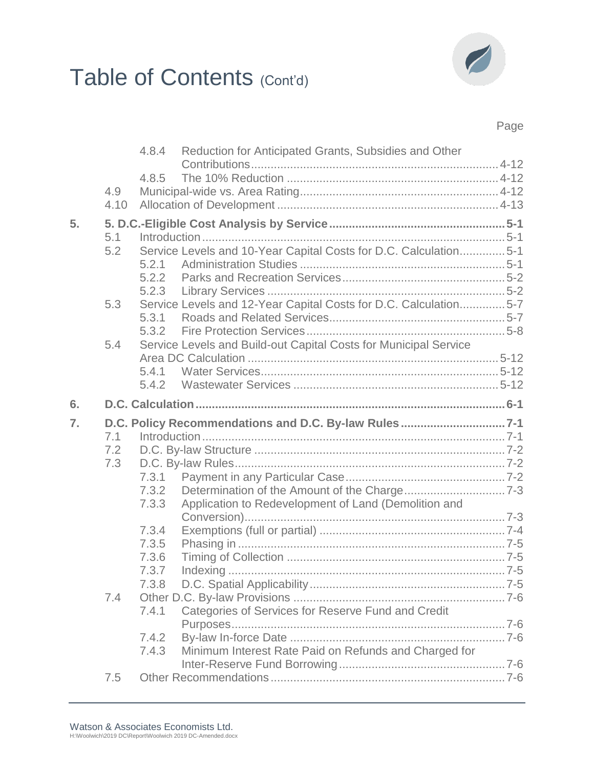# Table of Contents (Cont'd)



### Page

|    |      | 4.8.4          | Reduction for Anticipated Grants, Subsidies and Other            |  |
|----|------|----------------|------------------------------------------------------------------|--|
|    |      | 4.8.5          |                                                                  |  |
|    | 4.9  |                |                                                                  |  |
|    | 4.10 |                |                                                                  |  |
| 5. |      |                |                                                                  |  |
|    | 5.1  |                |                                                                  |  |
|    | 5.2  |                | Service Levels and 10-Year Capital Costs for D.C. Calculation5-1 |  |
|    |      | 5.2.1          |                                                                  |  |
|    |      | 5.2.2          |                                                                  |  |
|    |      |                |                                                                  |  |
|    | 5.3  |                | Service Levels and 12-Year Capital Costs for D.C. Calculation5-7 |  |
|    |      | 5.3.1          |                                                                  |  |
|    | 5.4  | 5.3.2          |                                                                  |  |
|    |      |                | Service Levels and Build-out Capital Costs for Municipal Service |  |
|    |      | 5.4.1          |                                                                  |  |
|    |      | 5.4.2          |                                                                  |  |
| 6. |      |                |                                                                  |  |
|    |      |                |                                                                  |  |
|    |      |                |                                                                  |  |
| 7. |      |                |                                                                  |  |
|    | 7.1  |                |                                                                  |  |
|    | 7.2  |                |                                                                  |  |
|    | 7.3  |                |                                                                  |  |
|    |      | 7.3.1          |                                                                  |  |
|    |      | 7.3.2          |                                                                  |  |
|    |      | 7.3.3          | Application to Redevelopment of Land (Demolition and             |  |
|    |      |                |                                                                  |  |
|    |      | 7.3.4          |                                                                  |  |
|    |      | 7.3.5<br>7.3.6 |                                                                  |  |
|    |      | 7.3.7          |                                                                  |  |
|    |      | 7.3.8          |                                                                  |  |
|    | 7.4  |                |                                                                  |  |
|    |      | 7.4.1          | Categories of Services for Reserve Fund and Credit               |  |
|    |      |                |                                                                  |  |
|    |      | 7.4.2          |                                                                  |  |
|    |      | 7.4.3          | Minimum Interest Rate Paid on Refunds and Charged for            |  |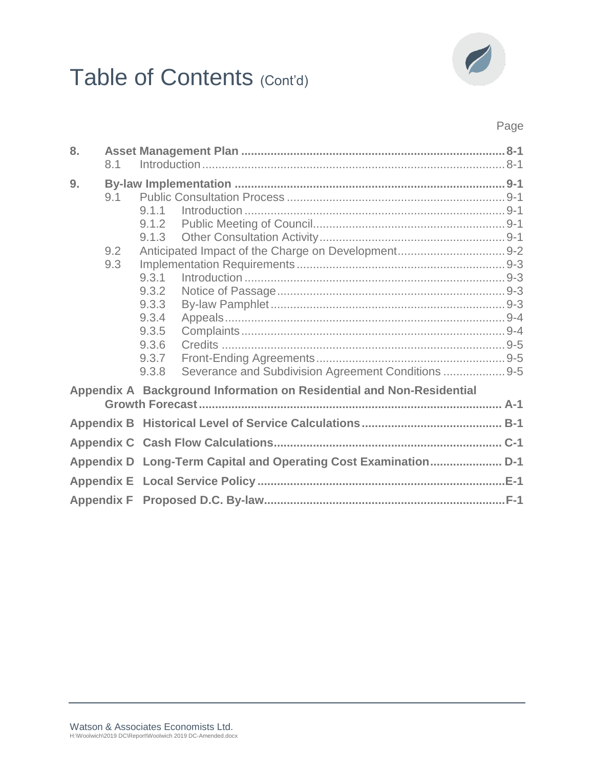# Table of Contents (Cont'd)



### Page

| 8. | 8.1               |                                                                                                           |  |
|----|-------------------|-----------------------------------------------------------------------------------------------------------|--|
| 9. | 9.1<br>9.2<br>9.3 | 9.1.1<br>9.1.2<br>9.1.3<br>9.3.1<br>9.3.2                                                                 |  |
|    |                   | 9.3.3<br>9.3.4<br>9.3.5<br>9.3.6<br>9.3.7<br>Severance and Subdivision Agreement Conditions  9-5<br>9.3.8 |  |
|    |                   | Appendix A Background Information on Residential and Non-Residential                                      |  |
|    |                   |                                                                                                           |  |
|    |                   |                                                                                                           |  |
|    |                   |                                                                                                           |  |
|    |                   |                                                                                                           |  |
|    |                   |                                                                                                           |  |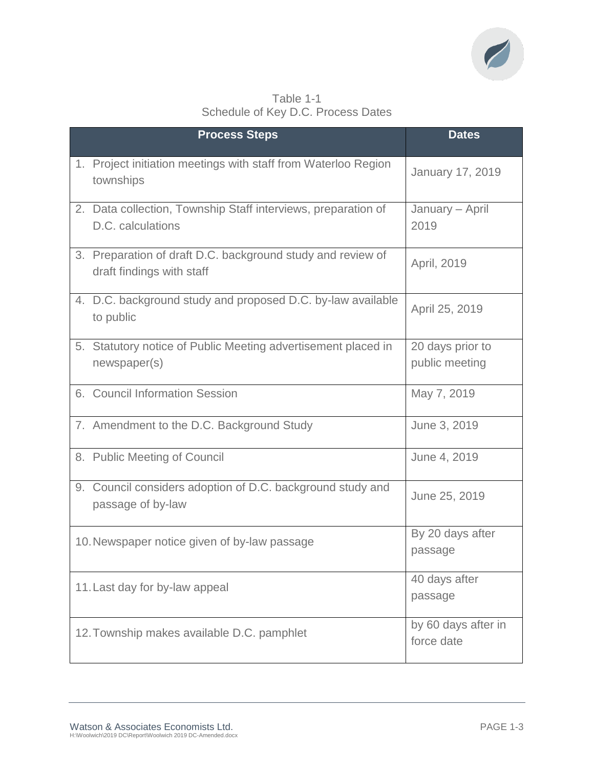

|                                    |  | Table 1-1 |  |
|------------------------------------|--|-----------|--|
| Schedule of Key D.C. Process Dates |  |           |  |

| <b>Process Steps</b>                                                                     | <b>Dates</b>                       |
|------------------------------------------------------------------------------------------|------------------------------------|
| 1. Project initiation meetings with staff from Waterloo Region<br>townships              | <b>January 17, 2019</b>            |
| 2. Data collection, Township Staff interviews, preparation of<br>D.C. calculations       | January - April<br>2019            |
| 3. Preparation of draft D.C. background study and review of<br>draft findings with staff | April, 2019                        |
| 4. D.C. background study and proposed D.C. by-law available<br>to public                 | April 25, 2019                     |
| 5. Statutory notice of Public Meeting advertisement placed in<br>newspaper(s)            | 20 days prior to<br>public meeting |
| 6. Council Information Session                                                           | May 7, 2019                        |
| 7. Amendment to the D.C. Background Study                                                | June 3, 2019                       |
| 8. Public Meeting of Council                                                             | June 4, 2019                       |
| 9. Council considers adoption of D.C. background study and<br>passage of by-law          | June 25, 2019                      |
| 10. Newspaper notice given of by-law passage                                             | By 20 days after<br>passage        |
| 11. Last day for by-law appeal                                                           | 40 days after<br>passage           |
| 12. Township makes available D.C. pamphlet                                               | by 60 days after in<br>force date  |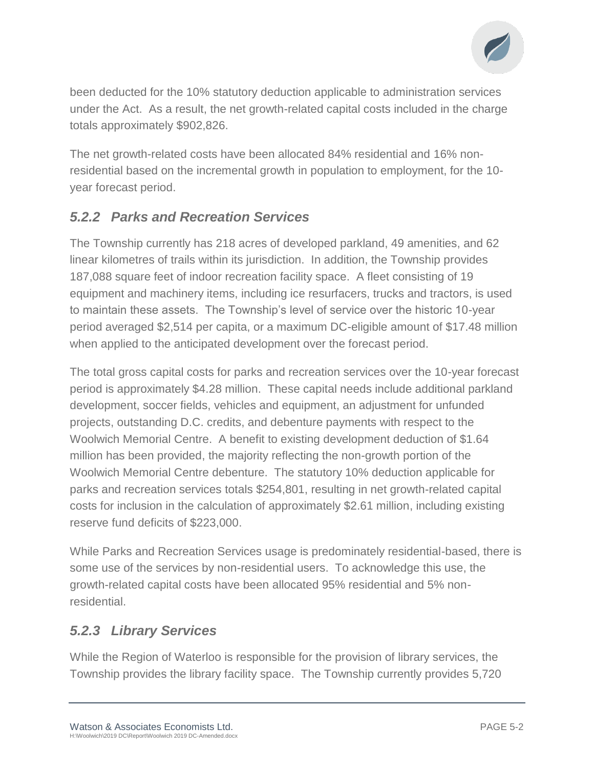

been deducted for the 10% statutory deduction applicable to administration services under the Act. As a result, the net growth-related capital costs included in the charge totals approximately \$902,826.

The net growth-related costs have been allocated 84% residential and 16% nonresidential based on the incremental growth in population to employment, for the 10 year forecast period.

### *5.2.2 Parks and Recreation Services*

The Township currently has 218 acres of developed parkland, 49 amenities, and 62 linear kilometres of trails within its jurisdiction. In addition, the Township provides 187,088 square feet of indoor recreation facility space. A fleet consisting of 19 equipment and machinery items, including ice resurfacers, trucks and tractors, is used to maintain these assets. The Township's level of service over the historic 10-year period averaged \$2,514 per capita, or a maximum DC-eligible amount of \$17.48 million when applied to the anticipated development over the forecast period.

The total gross capital costs for parks and recreation services over the 10-year forecast period is approximately \$4.28 million. These capital needs include additional parkland development, soccer fields, vehicles and equipment, an adjustment for unfunded projects, outstanding D.C. credits, and debenture payments with respect to the Woolwich Memorial Centre. A benefit to existing development deduction of \$1.64 million has been provided, the majority reflecting the non-growth portion of the Woolwich Memorial Centre debenture. The statutory 10% deduction applicable for parks and recreation services totals \$254,801, resulting in net growth-related capital costs for inclusion in the calculation of approximately \$2.61 million, including existing reserve fund deficits of \$223,000.

While Parks and Recreation Services usage is predominately residential-based, there is some use of the services by non-residential users. To acknowledge this use, the growth-related capital costs have been allocated 95% residential and 5% nonresidential.

### *5.2.3 Library Services*

While the Region of Waterloo is responsible for the provision of library services, the Township provides the library facility space. The Township currently provides 5,720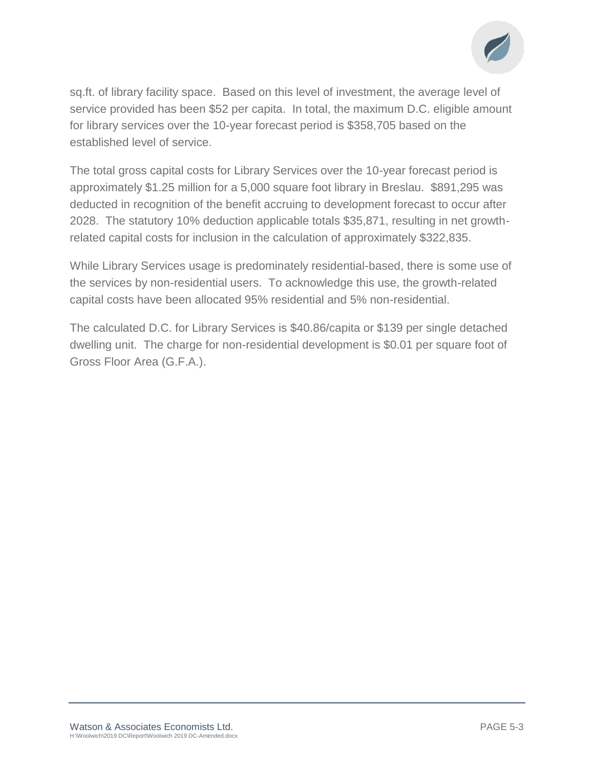

sq.ft. of library facility space. Based on this level of investment, the average level of service provided has been \$52 per capita. In total, the maximum D.C. eligible amount for library services over the 10-year forecast period is \$358,705 based on the established level of service.

The total gross capital costs for Library Services over the 10-year forecast period is approximately \$1.25 million for a 5,000 square foot library in Breslau. \$891,295 was deducted in recognition of the benefit accruing to development forecast to occur after 2028. The statutory 10% deduction applicable totals \$35,871, resulting in net growthrelated capital costs for inclusion in the calculation of approximately \$322,835.

While Library Services usage is predominately residential-based, there is some use of the services by non-residential users. To acknowledge this use, the growth-related capital costs have been allocated 95% residential and 5% non-residential.

The calculated D.C. for Library Services is \$40.86/capita or \$139 per single detached dwelling unit. The charge for non-residential development is \$0.01 per square foot of Gross Floor Area (G.F.A.).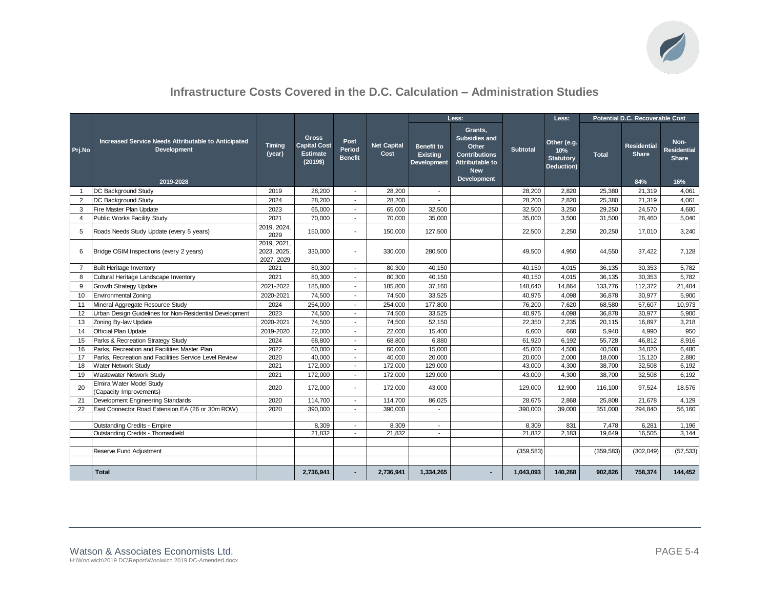

### **Infrastructure Costs Covered in the D.C. Calculation – Administration Studies**

|                |                                                                                 |                                          |                                                                    |                           |                            | Less:                                               |                                                                                                                  |                 | Less:                                                | Potential D.C. Recoverable Cost |                                    |                                                   |
|----------------|---------------------------------------------------------------------------------|------------------------------------------|--------------------------------------------------------------------|---------------------------|----------------------------|-----------------------------------------------------|------------------------------------------------------------------------------------------------------------------|-----------------|------------------------------------------------------|---------------------------------|------------------------------------|---------------------------------------------------|
| Prj.No         | Increased Service Needs Attributable to Anticipated<br>Development<br>2019-2028 | Timing<br>(year)                         | <b>Gross</b><br><b>Capital Cost</b><br><b>Estimate</b><br>(2019\$) | Post<br>Period<br>Benefit | <b>Net Capital</b><br>Cost | <b>Benefit to</b><br><b>Existing</b><br>Development | Grants,<br><b>Subsidies and</b><br>Other<br><b>Contributions</b><br>Attributable to<br><b>New</b><br>Development | <b>Subtotal</b> | Other (e.g.<br>10%<br><b>Statutory</b><br>Deduction) | <b>Total</b>                    | <b>Residential</b><br>Share<br>84% | Non-<br><b>Residential</b><br><b>Share</b><br>16% |
| $\mathbf{1}$   | DC Background Study                                                             | 2019                                     | 28,200                                                             | $\sim$                    | 28,200                     | $\sim$                                              |                                                                                                                  | 28,200          | 2,820                                                | 25,380                          | 21,319                             | 4,061                                             |
| $\overline{2}$ | DC Background Study                                                             | 2024                                     | 28,200                                                             | $\overline{\phantom{a}}$  | 28.200                     |                                                     |                                                                                                                  | 28,200          | 2.820                                                | 25,380                          | 21,319                             | 4,061                                             |
| 3              | Fire Master Plan Update                                                         | 2023                                     | 65,000                                                             | $\overline{\phantom{a}}$  | 65,000                     | 32.500                                              |                                                                                                                  | 32,500          | 3,250                                                | 29.250                          | 24,570                             | 4,680                                             |
| $\overline{4}$ | Public Works Facility Study                                                     | 2021                                     | 70,000                                                             |                           | 70,000                     | 35,000                                              |                                                                                                                  | 35,000          | 3,500                                                | 31,500                          | 26,460                             | 5,040                                             |
| 5              | Roads Needs Study Update (every 5 years)                                        | 2019, 2024,<br>2029                      | 150,000                                                            |                           | 150,000                    | 127,500                                             |                                                                                                                  | 22,500          | 2,250                                                | 20,250                          | 17,010                             | 3,240                                             |
| 6              | Bridge OSIM Inspections (every 2 years)                                         | 2019, 2021,<br>2023, 2025,<br>2027, 2029 | 330,000                                                            |                           | 330,000                    | 280,500                                             |                                                                                                                  | 49,500          | 4,950                                                | 44,550                          | 37,422                             | 7,128                                             |
| $\overline{7}$ | <b>Built Heritage Inventory</b>                                                 | 2021                                     | 80,300                                                             | $\overline{\phantom{a}}$  | 80,300                     | 40,150                                              |                                                                                                                  | 40,150          | 4,015                                                | 36,135                          | 30,353                             | 5,782                                             |
| 8              | Cultural Heritage Landscape Inventory                                           | 2021                                     | 80,300                                                             |                           | 80.300                     | 40,150                                              |                                                                                                                  | 40.150          | 4,015                                                | 36.135                          | 30,353                             | 5,782                                             |
| 9              | Growth Strategy Update                                                          | 2021-2022                                | 185,800                                                            | $\mathbf{r}$              | 185,800                    | 37,160                                              |                                                                                                                  | 148,640         | 14,864                                               | 133,776                         | 112,372                            | 21,404                                            |
| 10             | <b>Environmental Zoning</b>                                                     | 2020-2021                                | 74,500                                                             |                           | 74,500                     | 33,525                                              |                                                                                                                  | 40,975          | 4,098                                                | 36,878                          | 30,977                             | 5,900                                             |
| 11             | Mineral Aggregate Resource Study                                                | 2024                                     | 254,000                                                            | $\overline{\phantom{a}}$  | 254,000                    | 177,800                                             |                                                                                                                  | 76,200          | 7.620                                                | 68,580                          | 57,607                             | 10,973                                            |
| 12             | Urban Design Guidelines for Non-Residential Development                         | 2023                                     | 74,500                                                             | $\mathbf{r}$              | 74,500                     | 33,525                                              |                                                                                                                  | 40,975          | 4,098                                                | 36,878                          | 30,977                             | 5,900                                             |
| 13             | Zoning By-law Update                                                            | 2020-2021                                | 74,500                                                             | $\sim$                    | 74,500                     | 52,150                                              |                                                                                                                  | 22,350          | 2,235                                                | 20,115                          | 16,897                             | 3,218                                             |
| 14             | Official Plan Update                                                            | 2019-2020                                | 22,000                                                             |                           | 22,000                     | 15,400                                              |                                                                                                                  | 6,600           | 660                                                  | 5,940                           | 4,990                              | 950                                               |
| 15             | Parks & Recreation Strategy Study                                               | 2024                                     | 68,800                                                             | $\sim$                    | 68,800                     | 6,880                                               |                                                                                                                  | 61,920          | 6,192                                                | 55,728                          | 46,812                             | 8,916                                             |
| 16             | Parks, Recreation and Facilities Master Plan                                    | 2022                                     | 60,000                                                             | $\overline{\phantom{a}}$  | 60,000                     | 15,000                                              |                                                                                                                  | 45,000          | 4,500                                                | 40,500                          | 34,020                             | 6,480                                             |
| 17             | Parks, Recreation and Facilities Service Level Review                           | 2020                                     | 40,000                                                             | $\sim$                    | 40,000                     | 20,000                                              |                                                                                                                  | 20,000          | 2,000                                                | 18,000                          | 15,120                             | 2,880                                             |
| 18             | Water Network Study                                                             | 2021                                     | 172.000                                                            | $\blacksquare$            | 172.000                    | 129,000                                             |                                                                                                                  | 43.000          | 4,300                                                | 38.700                          | 32.508                             | 6,192                                             |
| 19             | Wastewater Network Study                                                        | 2021                                     | 172,000                                                            |                           | 172,000                    | 129,000                                             |                                                                                                                  | 43,000          | 4,300                                                | 38,700                          | 32,508                             | 6,192                                             |
| 20             | Elmira Water Model Study<br>(Capacity Improvements)                             | 2020                                     | 172.000                                                            |                           | 172,000                    | 43,000                                              |                                                                                                                  | 129,000         | 12,900                                               | 116.100                         | 97,524                             | 18,576                                            |
| 21             | Development Engineering Standards                                               | 2020                                     | 114,700                                                            | $\overline{\phantom{a}}$  | 114,700                    | 86,025                                              |                                                                                                                  | 28,675          | 2,868                                                | 25,808                          | 21,678                             | 4,129                                             |
| 22             | East Connector Road Extension EA (26 or 30m ROW)                                | 2020                                     | 390,000                                                            | $\sim$                    | 390,000                    | $\overline{\phantom{a}}$                            |                                                                                                                  | 390,000         | 39,000                                               | 351,000                         | 294,840                            | 56,160                                            |
|                |                                                                                 |                                          |                                                                    |                           |                            |                                                     |                                                                                                                  |                 |                                                      |                                 |                                    |                                                   |
|                | <b>Outstanding Credits - Empire</b>                                             |                                          | 8,309                                                              | $\overline{\phantom{a}}$  | 8,309                      | $\overline{\phantom{a}}$                            |                                                                                                                  | 8,309           | 831                                                  | 7,478                           | 6,281                              | 1,196                                             |
|                | Outstanding Credits - Thomasfield                                               |                                          | 21,832                                                             | $\sim$                    | 21,832                     | $\overline{\phantom{a}}$                            |                                                                                                                  | 21,832          | 2,183                                                | 19,649                          | 16,505                             | 3,144                                             |
|                |                                                                                 |                                          |                                                                    |                           |                            |                                                     |                                                                                                                  |                 |                                                      |                                 |                                    |                                                   |
|                | Reserve Fund Adjustment                                                         |                                          |                                                                    |                           |                            |                                                     |                                                                                                                  | (359, 583)      |                                                      | (359, 583)                      | (302, 049)                         | (57, 533)                                         |
|                |                                                                                 |                                          |                                                                    |                           |                            |                                                     |                                                                                                                  |                 |                                                      |                                 |                                    |                                                   |
|                | <b>Total</b>                                                                    |                                          | 2,736,941                                                          |                           | 2,736,941                  | 1,334,265                                           |                                                                                                                  | 1,043,093       | 140,268                                              | 902,826                         | 758,374                            | 144,452                                           |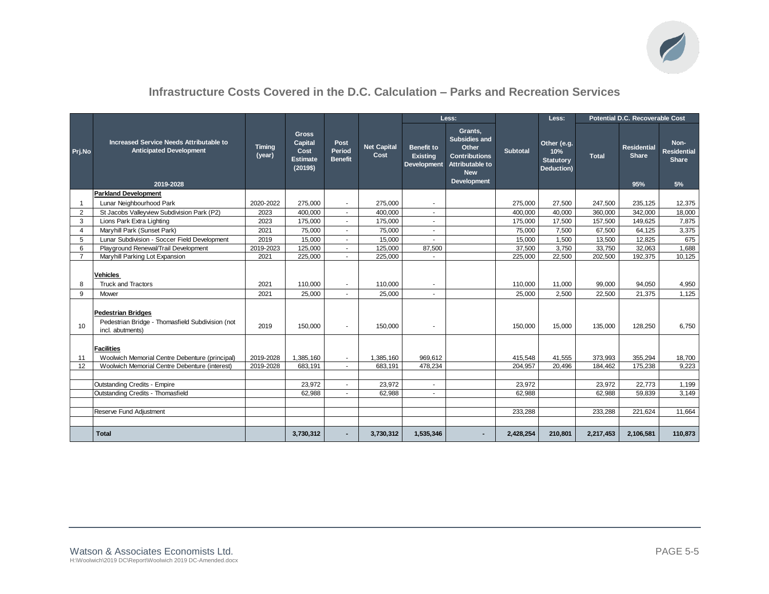

### **Infrastructure Costs Covered in the D.C. Calculation – Parks and Recreation Services**

|                |                                                                                                                        |                         |                                                                       |                                  |                            | Less:                                                      |                                                                                                                         |                   | Less:                                                |                  | Potential D.C. Recoverable Cost    |                                                  |
|----------------|------------------------------------------------------------------------------------------------------------------------|-------------------------|-----------------------------------------------------------------------|----------------------------------|----------------------------|------------------------------------------------------------|-------------------------------------------------------------------------------------------------------------------------|-------------------|------------------------------------------------------|------------------|------------------------------------|--------------------------------------------------|
| Prj.No         | Increased Service Needs Attributable to<br><b>Anticipated Development</b><br>2019-2028                                 | <b>Timing</b><br>(year) | <b>Gross</b><br><b>Capital</b><br>Cost<br><b>Estimate</b><br>(2019\$) | Post<br>Period<br><b>Benefit</b> | <b>Net Capital</b><br>Cost | <b>Benefit to</b><br><b>Existing</b><br><b>Development</b> | Grants,<br><b>Subsidies and</b><br>Other<br><b>Contributions</b><br>Attributable to<br><b>New</b><br><b>Development</b> | Subtotal          | Other (e.g.<br>10%<br><b>Statutory</b><br>Deduction) | <b>Total</b>     | <b>Residential</b><br>Share<br>95% | Non-<br><b>Residential</b><br><b>Share</b><br>5% |
|                | <b>Parkland Development</b>                                                                                            |                         |                                                                       |                                  |                            |                                                            |                                                                                                                         |                   |                                                      |                  |                                    |                                                  |
| -1             | Lunar Neighbourhood Park                                                                                               | 2020-2022               | 275,000                                                               | $\blacksquare$                   | 275,000                    | ×.                                                         |                                                                                                                         | 275,000           | 27,500                                               | 247,500          | 235,125                            | 12,375                                           |
| 2              | St Jacobs Valleyview Subdivision Park (P2)                                                                             | 2023                    | 400,000                                                               | ×.                               | 400,000                    | $\sim$                                                     |                                                                                                                         | 400.000           | 40,000                                               | 360,000          | 342,000                            | 18,000                                           |
| 3              | Lions Park Extra Lighting                                                                                              | 2023                    | 175,000                                                               | $\overline{a}$                   | 175,000                    | $\mathbf{r}$                                               |                                                                                                                         | 175,000           | 17,500                                               | 157,500          | 149,625                            | 7,875                                            |
| $\overline{4}$ | Maryhill Park (Sunset Park)                                                                                            | 2021                    | 75,000                                                                |                                  | 75,000                     | $\mathbf{r}$                                               |                                                                                                                         | 75,000            | 7,500                                                | 67,500           | 64,125                             | 3,375                                            |
| 5              | Lunar Subdivision - Soccer Field Development                                                                           | 2019                    | 15,000                                                                | $\sim$                           | 15,000                     | $\sim$                                                     |                                                                                                                         | 15,000            | 1,500                                                | 13,500           | 12,825                             | 675                                              |
| 6              | Playground Renewal/Trail Development                                                                                   | 2019-2023               | 125,000                                                               | $\blacksquare$                   | 125,000                    | 87,500                                                     |                                                                                                                         | 37,500            | 3,750                                                | 33,750           | 32,063                             | 1,688                                            |
| $\overline{7}$ | Maryhill Parking Lot Expansion                                                                                         | 2021                    | 225,000                                                               | $\blacksquare$                   | 225.000                    |                                                            |                                                                                                                         | 225.000           | 22.500                                               | 202,500          | 192,375                            | 10.125                                           |
| 8<br>9         | <b>Vehicles</b><br><b>Truck and Tractors</b><br>Mower                                                                  | 2021<br>2021            | 110.000<br>25.000                                                     | $\sim$                           | 110.000<br>25.000          | $\blacksquare$<br>$\sim$                                   |                                                                                                                         | 110,000<br>25.000 | 11,000<br>2.500                                      | 99,000<br>22,500 | 94,050<br>21.375                   | 4,950<br>1,125                                   |
| 10             | <b>Pedestrian Bridges</b><br>Pedestrian Bridge - Thomasfield Subdivision (not<br>incl. abutments)<br><b>Facilities</b> | 2019                    | 150,000                                                               | $\blacksquare$                   | 150,000                    | $\overline{\phantom{a}}$                                   |                                                                                                                         | 150,000           | 15,000                                               | 135,000          | 128,250                            | 6.750                                            |
| 11             | Woolwich Memorial Centre Debenture (principal)                                                                         | 2019-2028               | 1.385.160                                                             | $\sim$                           | 1.385.160                  | 969.612                                                    |                                                                                                                         | 415.548           | 41.555                                               | 373.993          | 355.294                            | 18,700                                           |
| 12             | Woolwich Memorial Centre Debenture (interest)                                                                          | 2019-2028               | 683,191                                                               | $\sim$                           | 683,191                    | 478,234                                                    |                                                                                                                         | 204,957           | 20,496                                               | 184,462          | 175,238                            | 9,223                                            |
|                |                                                                                                                        |                         |                                                                       |                                  |                            |                                                            |                                                                                                                         |                   |                                                      |                  |                                    |                                                  |
|                | <b>Outstanding Credits - Empire</b>                                                                                    |                         | 23.972                                                                |                                  | 23.972                     | $\sim$                                                     |                                                                                                                         | 23.972            |                                                      | 23.972           | 22.773                             | 1,199                                            |
|                | Outstanding Credits - Thomasfield                                                                                      |                         | 62,988                                                                | $\sim$                           | 62,988                     | $\blacksquare$                                             |                                                                                                                         | 62,988            |                                                      | 62,988           | 59,839                             | 3,149                                            |
|                |                                                                                                                        |                         |                                                                       |                                  |                            |                                                            |                                                                                                                         |                   |                                                      |                  |                                    |                                                  |
|                | Reserve Fund Adjustment                                                                                                |                         |                                                                       |                                  |                            |                                                            |                                                                                                                         | 233,288           |                                                      | 233,288          | 221,624                            | 11,664                                           |
|                |                                                                                                                        |                         |                                                                       |                                  |                            |                                                            |                                                                                                                         |                   |                                                      |                  |                                    |                                                  |
|                | <b>Total</b>                                                                                                           |                         | 3,730,312                                                             |                                  | 3,730,312                  | 1,535,346                                                  |                                                                                                                         | 2,428,254         | 210,801                                              | 2,217,453        | 2,106,581                          | 110,873                                          |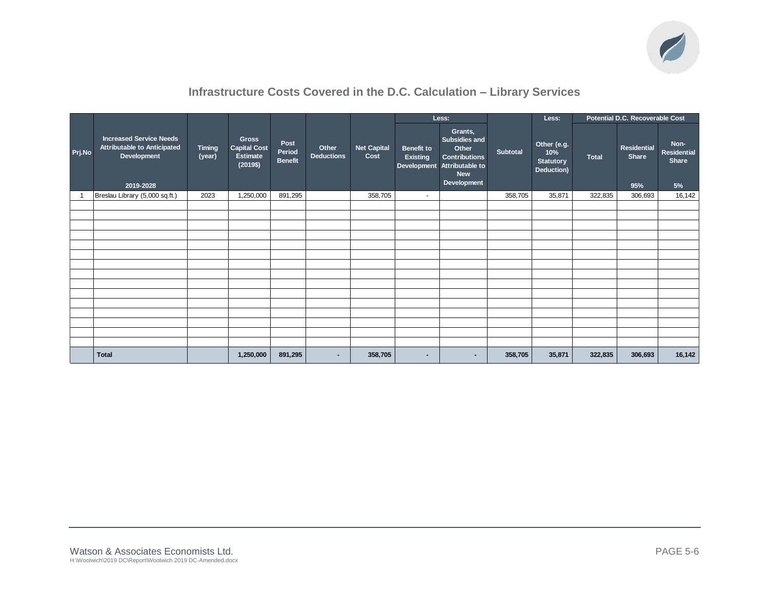

### **Infrastructure Costs Covered in the D.C. Calculation – Library Services**

|                |                                                                                           |                         |                                                             |                                  |                            |                            |                                      | Less:                                                                                                                 |                 | Less:                                                |              | Potential D.C. Recoverable Cost    |                                           |
|----------------|-------------------------------------------------------------------------------------------|-------------------------|-------------------------------------------------------------|----------------------------------|----------------------------|----------------------------|--------------------------------------|-----------------------------------------------------------------------------------------------------------------------|-----------------|------------------------------------------------------|--------------|------------------------------------|-------------------------------------------|
| Prj.No         | <b>Increased Service Needs</b><br>Attributable to Anticipated<br>Development<br>2019-2028 | <b>Timing</b><br>(year) | <b>Gross</b><br>Capital Cost<br><b>Estimate</b><br>(2019\$) | Post<br>Period<br><b>Benefit</b> | Other<br><b>Deductions</b> | <b>Net Capital</b><br>Cost | <b>Benefit to</b><br><b>Existing</b> | Grants,<br>Subsidies and<br>Other<br><b>Contributions</b><br>Development Attributable to<br><b>New</b><br>Development | <b>Subtotal</b> | Other (e.g.<br>10%<br><b>Statutory</b><br>Deduction) | <b>Total</b> | Residential<br><b>Share</b><br>95% | Non-<br><b>Residential</b><br>Share<br>5% |
| $\overline{1}$ | Breslau Library (5,000 sq.ft.)                                                            | 2023                    | 1,250,000                                                   | 891,295                          |                            | 358,705                    | $\sim$                               |                                                                                                                       | 358,705         | 35,871                                               | 322,835      | 306,693                            | 16,142                                    |
|                |                                                                                           |                         |                                                             |                                  |                            |                            |                                      |                                                                                                                       |                 |                                                      |              |                                    |                                           |
|                |                                                                                           |                         |                                                             |                                  |                            |                            |                                      |                                                                                                                       |                 |                                                      |              |                                    |                                           |
|                |                                                                                           |                         |                                                             |                                  |                            |                            |                                      |                                                                                                                       |                 |                                                      |              |                                    |                                           |
|                |                                                                                           |                         |                                                             |                                  |                            |                            |                                      |                                                                                                                       |                 |                                                      |              |                                    |                                           |
|                |                                                                                           |                         |                                                             |                                  |                            |                            |                                      |                                                                                                                       |                 |                                                      |              |                                    |                                           |
|                |                                                                                           |                         |                                                             |                                  |                            |                            |                                      |                                                                                                                       |                 |                                                      |              |                                    |                                           |
|                |                                                                                           |                         |                                                             |                                  |                            |                            |                                      |                                                                                                                       |                 |                                                      |              |                                    |                                           |
|                |                                                                                           |                         |                                                             |                                  |                            |                            |                                      |                                                                                                                       |                 |                                                      |              |                                    |                                           |
|                |                                                                                           |                         |                                                             |                                  |                            |                            |                                      |                                                                                                                       |                 |                                                      |              |                                    |                                           |
|                |                                                                                           |                         |                                                             |                                  |                            |                            |                                      |                                                                                                                       |                 |                                                      |              |                                    |                                           |
|                |                                                                                           |                         |                                                             |                                  |                            |                            |                                      |                                                                                                                       |                 |                                                      |              |                                    |                                           |
|                |                                                                                           |                         |                                                             |                                  |                            |                            |                                      |                                                                                                                       |                 |                                                      |              |                                    |                                           |
|                |                                                                                           |                         |                                                             |                                  |                            |                            |                                      |                                                                                                                       |                 |                                                      |              |                                    |                                           |
|                |                                                                                           |                         |                                                             |                                  |                            |                            |                                      |                                                                                                                       |                 |                                                      |              |                                    |                                           |
|                |                                                                                           |                         |                                                             |                                  |                            |                            |                                      |                                                                                                                       |                 |                                                      |              |                                    |                                           |
|                | <b>Total</b>                                                                              |                         | 1,250,000                                                   | 891,295                          | $\blacksquare$             | 358,705                    | $\blacksquare$                       | $\sim$                                                                                                                | 358,705         | 35,871                                               | 322,835      | 306,693                            | 16,142                                    |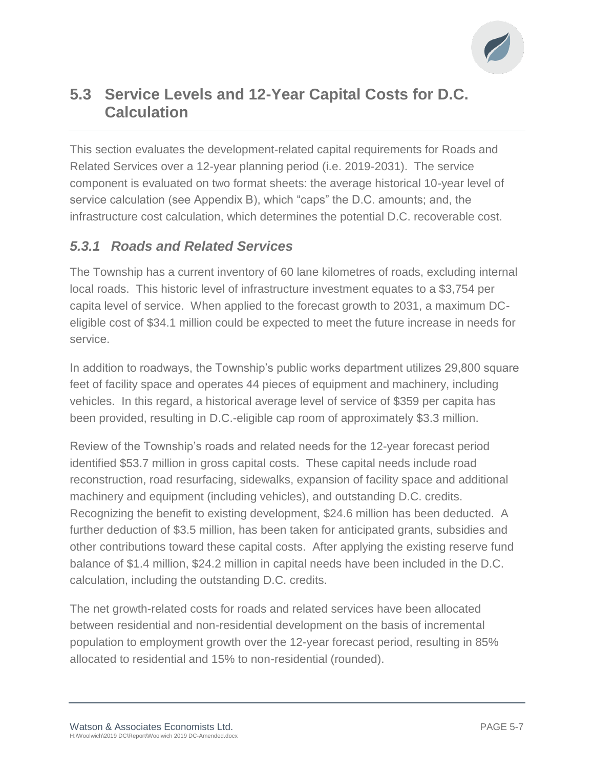

## **5.3 Service Levels and 12-Year Capital Costs for D.C. Calculation**

This section evaluates the development-related capital requirements for Roads and Related Services over a 12-year planning period (i.e. 2019-2031). The service component is evaluated on two format sheets: the average historical 10-year level of service calculation (see Appendix B), which "caps" the D.C. amounts; and, the infrastructure cost calculation, which determines the potential D.C. recoverable cost.

### *5.3.1 Roads and Related Services*

The Township has a current inventory of 60 lane kilometres of roads, excluding internal local roads. This historic level of infrastructure investment equates to a \$3,754 per capita level of service. When applied to the forecast growth to 2031, a maximum DCeligible cost of \$34.1 million could be expected to meet the future increase in needs for service.

In addition to roadways, the Township's public works department utilizes 29,800 square feet of facility space and operates 44 pieces of equipment and machinery, including vehicles. In this regard, a historical average level of service of \$359 per capita has been provided, resulting in D.C.-eligible cap room of approximately \$3.3 million.

Review of the Township's roads and related needs for the 12-year forecast period identified \$53.7 million in gross capital costs. These capital needs include road reconstruction, road resurfacing, sidewalks, expansion of facility space and additional machinery and equipment (including vehicles), and outstanding D.C. credits. Recognizing the benefit to existing development, \$24.6 million has been deducted. A further deduction of \$3.5 million, has been taken for anticipated grants, subsidies and other contributions toward these capital costs. After applying the existing reserve fund balance of \$1.4 million, \$24.2 million in capital needs have been included in the D.C. calculation, including the outstanding D.C. credits.

The net growth-related costs for roads and related services have been allocated between residential and non-residential development on the basis of incremental population to employment growth over the 12-year forecast period, resulting in 85% allocated to residential and 15% to non-residential (rounded).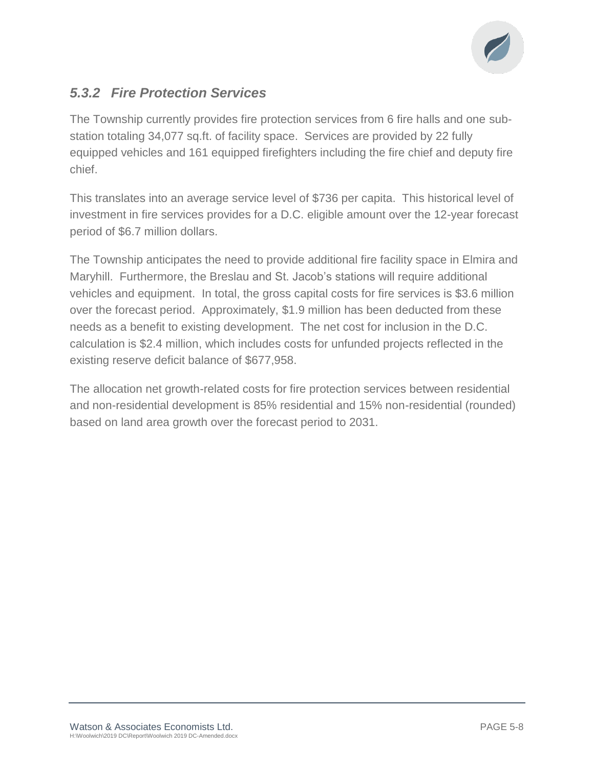

### *5.3.2 Fire Protection Services*

The Township currently provides fire protection services from 6 fire halls and one substation totaling 34,077 sq.ft. of facility space. Services are provided by 22 fully equipped vehicles and 161 equipped firefighters including the fire chief and deputy fire chief.

This translates into an average service level of \$736 per capita. This historical level of investment in fire services provides for a D.C. eligible amount over the 12-year forecast period of \$6.7 million dollars.

The Township anticipates the need to provide additional fire facility space in Elmira and Maryhill. Furthermore, the Breslau and St. Jacob's stations will require additional vehicles and equipment. In total, the gross capital costs for fire services is \$3.6 million over the forecast period. Approximately, \$1.9 million has been deducted from these needs as a benefit to existing development. The net cost for inclusion in the D.C. calculation is \$2.4 million, which includes costs for unfunded projects reflected in the existing reserve deficit balance of \$677,958.

The allocation net growth-related costs for fire protection services between residential and non-residential development is 85% residential and 15% non-residential (rounded) based on land area growth over the forecast period to 2031.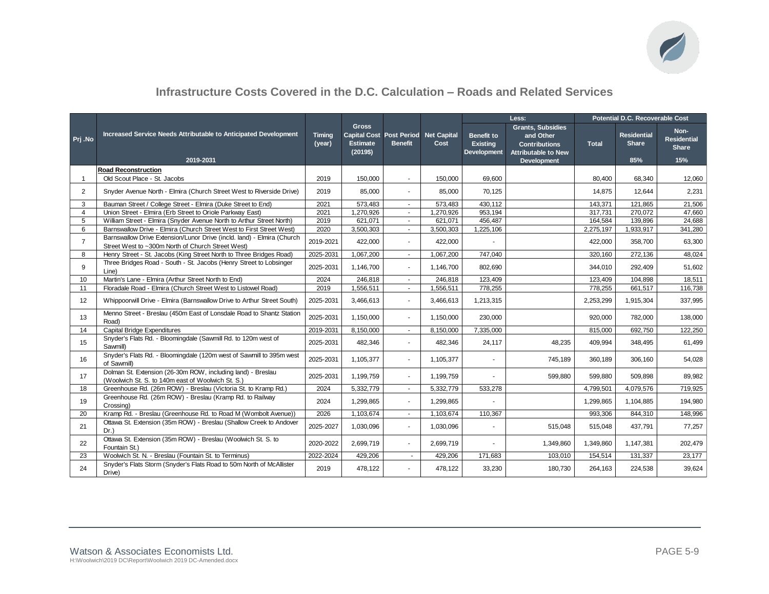

### **Infrastructure Costs Covered in the D.C. Calculation – Roads and Related Services**

|                |                                                                                                                             |                         |                                                                                     |                |           |                                                     | Less:                                                                                       | Potential D.C. Recoverable Cost |                                    |                                            |  |
|----------------|-----------------------------------------------------------------------------------------------------------------------------|-------------------------|-------------------------------------------------------------------------------------|----------------|-----------|-----------------------------------------------------|---------------------------------------------------------------------------------------------|---------------------------------|------------------------------------|--------------------------------------------|--|
| Prj .No        | Increased Service Needs Attributable to Anticipated Development                                                             | <b>Timina</b><br>(year) | <b>Gross</b><br>Capital Cost Post Period Net Capital<br><b>Estimate</b><br>(2019\$) | <b>Benefit</b> | Cost      | <b>Benefit to</b><br><b>Existing</b><br>Development | <b>Grants, Subsidies</b><br>and Other<br><b>Contributions</b><br><b>Attributable to New</b> | <b>Total</b>                    | <b>Residential</b><br><b>Share</b> | Non-<br><b>Residential</b><br><b>Share</b> |  |
|                | 2019-2031                                                                                                                   |                         |                                                                                     |                |           |                                                     | <b>Development</b>                                                                          |                                 | 85%                                | 15%                                        |  |
|                | <b>Road Reconstruction</b>                                                                                                  |                         |                                                                                     |                |           |                                                     |                                                                                             |                                 |                                    |                                            |  |
| $\mathbf{1}$   | Old Scout Place - St. Jacobs                                                                                                | 2019                    | 150,000                                                                             | $\sim$         | 150,000   | 69,600                                              |                                                                                             | 80,400                          | 68,340                             | 12,060                                     |  |
| 2              | Snyder Avenue North - Elmira (Church Street West to Riverside Drive)                                                        | 2019                    | 85,000                                                                              |                | 85,000    | 70,125                                              |                                                                                             | 14,875                          | 12,644                             | 2,231                                      |  |
| 3              | Bauman Street / College Street - Elmira (Duke Street to End)                                                                | 2021                    | 573,483                                                                             | $\sim$         | 573,483   | 430,112                                             |                                                                                             | 143,371                         | 121,865                            | 21,506                                     |  |
| $\overline{4}$ | Union Street - Elmira (Erb Street to Oriole Parkway East)                                                                   | 2021                    | 1,270,926                                                                           | $\sim$         | 1,270,926 | 953,194                                             |                                                                                             | 317,731                         | 270,072                            | 47,660                                     |  |
| 5              | William Street - Elmira (Snyder Avenue North to Arthur Street North)                                                        | 2019                    | 621,071                                                                             | $\sim$         | 621,071   | 456,487                                             |                                                                                             | 164,584                         | 139,896                            | 24,688                                     |  |
| 6              | Barnswallow Drive - Elmira (Church Street West to First Street West)                                                        | 2020                    | 3,500,303                                                                           | ÷.             | 3,500,303 | 1,225,106                                           |                                                                                             | 2,275,197                       | 1,933,917                          | 341,280                                    |  |
| $\overline{7}$ | Barnswallow Drive Extension/Lunor Drive (incld. land) - Elmira (Church<br>Street West to ~300m North of Church Street West) | 2019-2021               | 422,000                                                                             |                | 422,000   |                                                     |                                                                                             | 422,000                         | 358,700                            | 63,300                                     |  |
| 8              | Henry Street - St. Jacobs (King Street North to Three Bridges Road)                                                         | 2025-2031               | 1,067,200                                                                           | $\sim$         | 1,067,200 | 747,040                                             |                                                                                             | 320,160                         | 272,136                            | 48,024                                     |  |
| 9              | Three Bridges Road - South - St. Jacobs (Henry Street to Lobsinger<br>Line)                                                 | 2025-2031               | 1,146,700                                                                           | ÷.             | 1.146.700 | 802.690                                             |                                                                                             | 344.010                         | 292.409                            | 51,602                                     |  |
| 10             | Martin's Lane - Elmira (Arthur Street North to End)                                                                         | 2024                    | 246,818                                                                             | $\sim$         | 246,818   | 123,409                                             |                                                                                             | 123,409                         | 104,898                            | 18,511                                     |  |
| 11             | Floradale Road - Elmira (Church Street West to Listowel Road)                                                               | 2019                    | 1,556,511                                                                           | $\sim$         | 1,556,511 | 778,255                                             |                                                                                             | 778,255                         | 661,517                            | 116,738                                    |  |
| 12             | Whippoorwill Drive - Elmira (Barnswallow Drive to Arthur Street South)                                                      | 2025-2031               | 3,466,613                                                                           |                | 3,466,613 | 1,213,315                                           |                                                                                             | 2,253,299                       | 1,915,304                          | 337,995                                    |  |
| 13             | Menno Street - Breslau (450m East of Lonsdale Road to Shantz Station<br>Road)                                               | 2025-2031               | 1,150,000                                                                           | $\blacksquare$ | 1,150,000 | 230,000                                             |                                                                                             | 920,000                         | 782,000                            | 138,000                                    |  |
| 14             | <b>Capital Bridge Expenditures</b>                                                                                          | 2019-2031               | 8,150,000                                                                           | $\sim$         | 8,150,000 | 7,335,000                                           |                                                                                             | 815,000                         | 692,750                            | 122,250                                    |  |
| 15             | Snyder's Flats Rd. - Bloomingdale (Sawmill Rd. to 120m west of<br>Sawmill)                                                  | 2025-2031               | 482,346                                                                             | $\overline{a}$ | 482,346   | 24,117                                              | 48,235                                                                                      | 409,994                         | 348,495                            | 61,499                                     |  |
| 16             | Snyder's Flats Rd. - Bloomingdale (120m west of Sawmill to 395m west<br>of Sawmill)                                         | 2025-2031               | 1,105,377                                                                           |                | 1,105,377 |                                                     | 745,189                                                                                     | 360,189                         | 306,160                            | 54,028                                     |  |
| 17             | Dolman St. Extension (26-30m ROW, including land) - Breslau<br>(Woolwich St. S. to 140m east of Woolwich St. S.)            | 2025-2031               | 1,199,759                                                                           |                | 1,199,759 |                                                     | 599,880                                                                                     | 599,880                         | 509,898                            | 89,982                                     |  |
| 18             | Greenhouse Rd. (26m ROW) - Breslau (Victoria St. to Kramp Rd.)                                                              | 2024                    | 5,332,779                                                                           | $\sim$         | 5,332,779 | 533,278                                             |                                                                                             | 4,799,501                       | 4,079,576                          | 719,925                                    |  |
| 19             | Greenhouse Rd. (26m ROW) - Breslau (Kramp Rd. to Railway<br>Crossing)                                                       | 2024                    | 1,299,865                                                                           | ÷.             | 1,299,865 |                                                     |                                                                                             | 1,299,865                       | 1,104,885                          | 194,980                                    |  |
| 20             | Kramp Rd. - Breslau (Greenhouse Rd. to Road M (Wombolt Avenue))                                                             | 2026                    | 1,103,674                                                                           | $\sim$         | 1,103,674 | 110,367                                             |                                                                                             | 993,306                         | 844,310                            | 148,996                                    |  |
| 21             | Ottawa St. Extension (35m ROW) - Breslau (Shallow Creek to Andover<br>$Dr.$ )                                               | 2025-2027               | 1,030,096                                                                           |                | 1,030,096 |                                                     | 515,048                                                                                     | 515,048                         | 437,791                            | 77,257                                     |  |
| 22             | Ottawa St. Extension (35m ROW) - Breslau (Woolwich St. S. to<br>Fountain St.)                                               | 2020-2022               | 2,699,719                                                                           | ٠              | 2,699,719 |                                                     | 1,349,860                                                                                   | 1,349,860                       | 1,147,381                          | 202,479                                    |  |
| 23             | Woolwich St. N. - Breslau (Fountain St. to Terminus)                                                                        | 2022-2024               | 429,206                                                                             | $\sim$         | 429,206   | 171,683                                             | 103,010                                                                                     | 154,514                         | 131,337                            | 23,177                                     |  |
| 24             | Snyder's Flats Storm (Snyder's Flats Road to 50m North of McAllister<br>Drive)                                              | 2019                    | 478,122                                                                             |                | 478,122   | 33,230                                              | 180,730                                                                                     | 264,163                         | 224,538                            | 39,624                                     |  |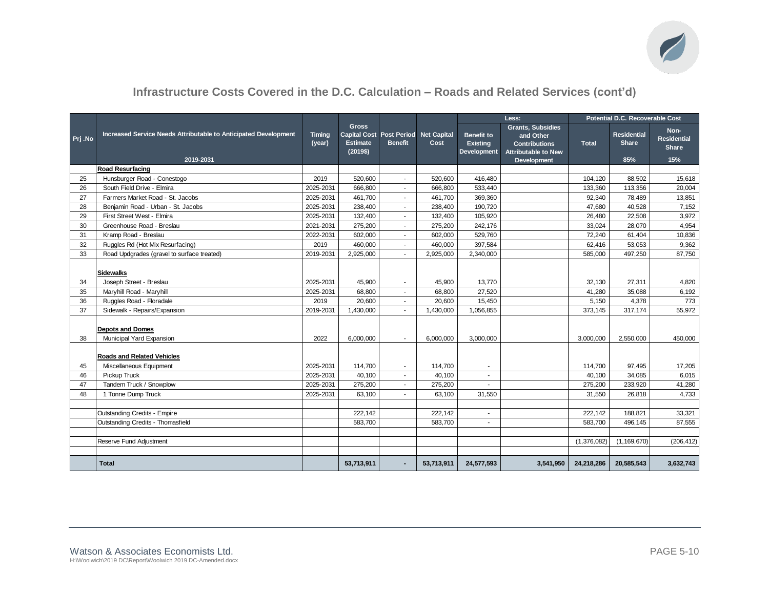

### **Infrastructure Costs Covered in the D.C. Calculation – Roads and Related Services (cont'd)**

|          |                                                                              |                        |                                                                              |                                            |                  | Less:                                                      |                                                                                                                   | Potential D.C. Recoverable Cost |                                           |                                            |  |
|----------|------------------------------------------------------------------------------|------------------------|------------------------------------------------------------------------------|--------------------------------------------|------------------|------------------------------------------------------------|-------------------------------------------------------------------------------------------------------------------|---------------------------------|-------------------------------------------|--------------------------------------------|--|
| Prj.No   | Increased Service Needs Attributable to Anticipated Development<br>2019-2031 | Timing<br>(year)       | <b>Gross</b><br>Capital Cost Post Period Net Capital<br>Estimate<br>(2019\$) | <b>Benefit</b>                             | Cost             | <b>Benefit to</b><br><b>Existing</b><br><b>Development</b> | <b>Grants, Subsidies</b><br>and Other<br><b>Contributions</b><br><b>Attributable to New</b><br><b>Development</b> | <b>Total</b>                    | <b>Residential</b><br><b>Share</b><br>85% | Non-<br><b>Residential</b><br>Share<br>15% |  |
|          | Road Resurfacing                                                             |                        |                                                                              |                                            |                  |                                                            |                                                                                                                   |                                 |                                           |                                            |  |
| 25       | Hunsburger Road - Conestogo                                                  | 2019                   | 520,600                                                                      |                                            | 520,600          | 416,480                                                    |                                                                                                                   | 104,120                         | 88,502                                    | 15,618                                     |  |
| 26       | South Field Drive - Elmira                                                   | 2025-2031              | 666,800                                                                      |                                            | 666,800          | 533,440                                                    |                                                                                                                   | 133,360                         | 113,356                                   | 20,004                                     |  |
| 27       | Farmers Market Road - St. Jacobs                                             | 2025-2031              | 461,700                                                                      |                                            | 461,700          | 369,360                                                    |                                                                                                                   | 92.340                          | 78,489                                    | 13,851                                     |  |
| 28       | Benjamin Road - Urban - St. Jacobs                                           | 2025-2031              | 238,400                                                                      |                                            | 238,400          | 190,720                                                    |                                                                                                                   | 47,680                          | 40,528                                    | 7,152                                      |  |
| 29       | First Street West - Elmira                                                   | 2025-2031              | 132,400                                                                      |                                            | 132,400          | 105,920                                                    |                                                                                                                   | 26,480                          | 22,508                                    | 3,972                                      |  |
| 30       | Greenhouse Road - Breslau                                                    | 2021-2031              | 275,200                                                                      |                                            | 275,200          | 242,176                                                    |                                                                                                                   | 33,024                          | 28,070                                    | 4,954                                      |  |
| 31       | Kramp Road - Breslau                                                         | 2022-2031              | 602,000                                                                      | $\sim$                                     | 602,000          | 529,760                                                    |                                                                                                                   | 72,240                          | 61,404                                    | 10,836                                     |  |
| 32       | Ruggles Rd (Hot Mix Resurfacing)                                             | 2019                   | 460,000                                                                      | $\sim$                                     | 460,000          | 397,584                                                    |                                                                                                                   | 62,416                          | 53,053                                    | 9,362                                      |  |
| 33       | Road Updgrades (gravel to surface treated)                                   | 2019-2031              | 2,925,000                                                                    |                                            | 2,925,000        | 2,340,000                                                  |                                                                                                                   | 585,000                         | 497,250                                   | 87,750                                     |  |
| 34<br>35 | <b>Sidewalks</b><br>Joseph Street - Breslau<br>Maryhill Road - Maryhill      | 2025-2031<br>2025-2031 | 45,900<br>68,800                                                             | $\blacksquare$<br>$\overline{\phantom{a}}$ | 45.900<br>68,800 | 13.770<br>27,520                                           |                                                                                                                   | 32.130<br>41,280                | 27.311<br>35,088                          | 4,820<br>6,192                             |  |
| 36       | Ruggles Road - Floradale                                                     | 2019                   | 20,600                                                                       | $\blacksquare$                             | 20,600           | 15,450                                                     |                                                                                                                   | 5,150                           | 4,378                                     | 773                                        |  |
| 37       | Sidewalk - Repairs/Expansion                                                 | 2019-2031              | 1,430,000                                                                    |                                            | 1,430,000        | 1,056,855                                                  |                                                                                                                   | 373,145                         | 317,174                                   | 55,972                                     |  |
| 38       | <b>Depots and Domes</b><br>Municipal Yard Expansion                          | 2022                   | 6,000,000                                                                    |                                            | 6,000,000        | 3,000,000                                                  |                                                                                                                   | 3,000,000                       | 2,550,000                                 | 450,000                                    |  |
| 45       | <b>Roads and Related Vehicles</b><br>Miscellaneous Equipment                 | 2025-2031              | 114,700                                                                      |                                            | 114,700          |                                                            |                                                                                                                   | 114,700                         | 97,495                                    | 17,205                                     |  |
| 46       | Pickup Truck                                                                 | 2025-2031              | 40,100                                                                       |                                            | 40,100           |                                                            |                                                                                                                   | 40,100                          | 34,085                                    | 6,015                                      |  |
| 47       | Tandem Truck / Snowplow                                                      | 2025-2031              | 275,200                                                                      |                                            | 275,200          |                                                            |                                                                                                                   | 275,200                         | 233,920                                   | 41,280                                     |  |
| 48       | 1 Tonne Dump Truck                                                           | 2025-2031              | 63,100                                                                       |                                            | 63,100           | 31,550                                                     |                                                                                                                   | 31,550                          | 26,818                                    | 4,733                                      |  |
|          |                                                                              |                        |                                                                              |                                            |                  |                                                            |                                                                                                                   |                                 |                                           |                                            |  |
|          | <b>Outstanding Credits - Empire</b>                                          |                        | 222,142                                                                      |                                            | 222,142          | ٠                                                          |                                                                                                                   | 222,142                         | 188,821                                   | 33,321                                     |  |
|          | Outstanding Credits - Thomasfield                                            |                        | 583,700                                                                      |                                            | 583,700          | ٠                                                          |                                                                                                                   | 583,700                         | 496,145                                   | 87,555                                     |  |
|          |                                                                              |                        |                                                                              |                                            |                  |                                                            |                                                                                                                   |                                 |                                           |                                            |  |
|          | Reserve Fund Adjustment                                                      |                        |                                                                              |                                            |                  |                                                            |                                                                                                                   | (1,376,082)                     | (1, 169, 670)                             | (206, 412)                                 |  |
|          |                                                                              |                        |                                                                              |                                            |                  |                                                            |                                                                                                                   |                                 |                                           |                                            |  |
|          | <b>Total</b>                                                                 |                        | 53,713,911                                                                   |                                            | 53,713,911       | 24,577,593                                                 | 3,541,950                                                                                                         | 24,218,286                      | 20,585,543                                | 3,632,743                                  |  |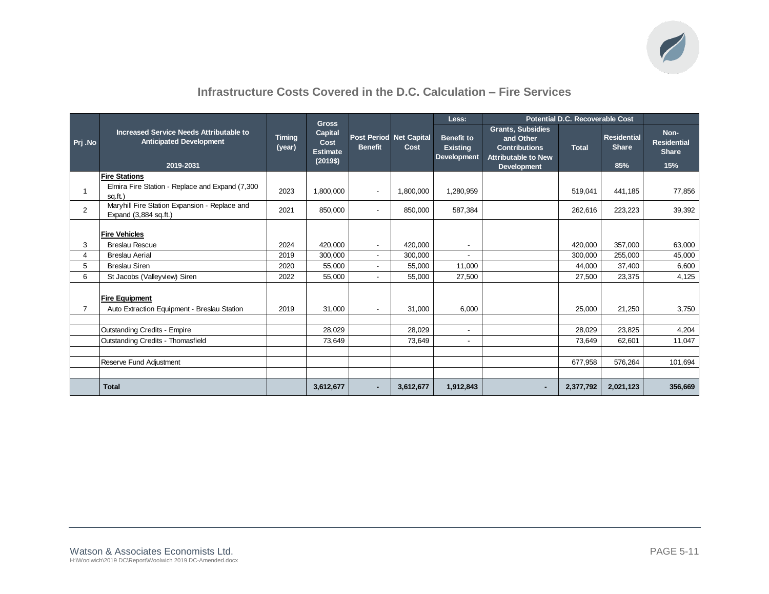

### **Infrastructure Costs Covered in the D.C. Calculation – Fire Services**

|                |                                                                                        |                         | <b>Gross</b>                                          |                          |                                 | Less:                                                      |                                                                                                                   | Potential D.C. Recoverable Cost |                                           |                                                   |
|----------------|----------------------------------------------------------------------------------------|-------------------------|-------------------------------------------------------|--------------------------|---------------------------------|------------------------------------------------------------|-------------------------------------------------------------------------------------------------------------------|---------------------------------|-------------------------------------------|---------------------------------------------------|
| Prj.No         | Increased Service Needs Attributable to<br><b>Anticipated Development</b><br>2019-2031 | <b>Timing</b><br>(year) | <b>Capital</b><br>Cost<br><b>Estimate</b><br>(2019\$) | <b>Benefit</b>           | Post Period Net Capital<br>Cost | <b>Benefit to</b><br><b>Existing</b><br><b>Development</b> | <b>Grants, Subsidies</b><br>and Other<br><b>Contributions</b><br><b>Attributable to New</b><br><b>Development</b> | <b>Total</b>                    | <b>Residential</b><br><b>Share</b><br>85% | Non-<br><b>Residential</b><br><b>Share</b><br>15% |
|                | <b>Fire Stations</b>                                                                   |                         |                                                       |                          |                                 |                                                            |                                                                                                                   |                                 |                                           |                                                   |
|                | Elmira Fire Station - Replace and Expand (7,300<br>sq.ft.)                             | 2023                    | 1,800,000                                             | $\overline{\phantom{a}}$ | 1,800,000                       | 1,280,959                                                  |                                                                                                                   | 519,041                         | 441,185                                   | 77,856                                            |
| 2              | Maryhill Fire Station Expansion - Replace and<br>Expand (3,884 sq.ft.)                 | 2021                    | 850,000                                               | $\overline{\phantom{a}}$ | 850,000                         | 587,384                                                    |                                                                                                                   | 262,616                         | 223,223                                   | 39,392                                            |
|                | <b>Fire Vehicles</b>                                                                   |                         |                                                       |                          |                                 |                                                            |                                                                                                                   |                                 |                                           |                                                   |
| 3              | <b>Breslau Rescue</b>                                                                  | 2024                    | 420,000                                               | $\overline{\phantom{a}}$ | 420,000                         |                                                            |                                                                                                                   | 420,000                         | 357,000                                   | 63,000                                            |
| $\overline{4}$ | <b>Breslau Aerial</b>                                                                  | 2019                    | 300,000                                               | $\overline{\phantom{a}}$ | 300,000                         |                                                            |                                                                                                                   | 300,000                         | 255,000                                   | 45,000                                            |
| 5              | <b>Breslau Siren</b>                                                                   | 2020                    | 55,000                                                | $\blacksquare$           | 55,000                          | 11,000                                                     |                                                                                                                   | 44,000                          | 37,400                                    | 6,600                                             |
| 6              | St Jacobs (Valleyview) Siren                                                           | 2022                    | 55,000                                                | $\blacksquare$           | 55,000                          | 27,500                                                     |                                                                                                                   | 27,500                          | 23,375                                    | 4,125                                             |
| $\overline{7}$ | <b>Fire Equipment</b><br>Auto Extraction Equipment - Breslau Station                   | 2019                    | 31,000                                                | $\overline{\phantom{a}}$ | 31,000                          | 6,000                                                      |                                                                                                                   | 25,000                          | 21,250                                    | 3,750                                             |
|                |                                                                                        |                         |                                                       |                          |                                 |                                                            |                                                                                                                   |                                 |                                           |                                                   |
|                | Outstanding Credits - Empire                                                           |                         | 28,029                                                |                          | 28,029                          | $\overline{\phantom{a}}$                                   |                                                                                                                   | 28,029                          | 23,825                                    | 4,204                                             |
|                | Outstanding Credits - Thomasfield                                                      |                         | 73,649                                                |                          | 73,649                          |                                                            |                                                                                                                   | 73,649                          | 62,601                                    | 11,047                                            |
|                |                                                                                        |                         |                                                       |                          |                                 |                                                            |                                                                                                                   |                                 |                                           |                                                   |
|                | Reserve Fund Adjustment                                                                |                         |                                                       |                          |                                 |                                                            |                                                                                                                   | 677,958                         | 576,264                                   | 101,694                                           |
|                |                                                                                        |                         |                                                       |                          |                                 |                                                            |                                                                                                                   |                                 |                                           |                                                   |
|                | <b>Total</b>                                                                           |                         | 3,612,677                                             | ۰                        | 3,612,677                       | 1,912,843                                                  | ٠                                                                                                                 | 2,377,792                       | 2,021,123                                 | 356,669                                           |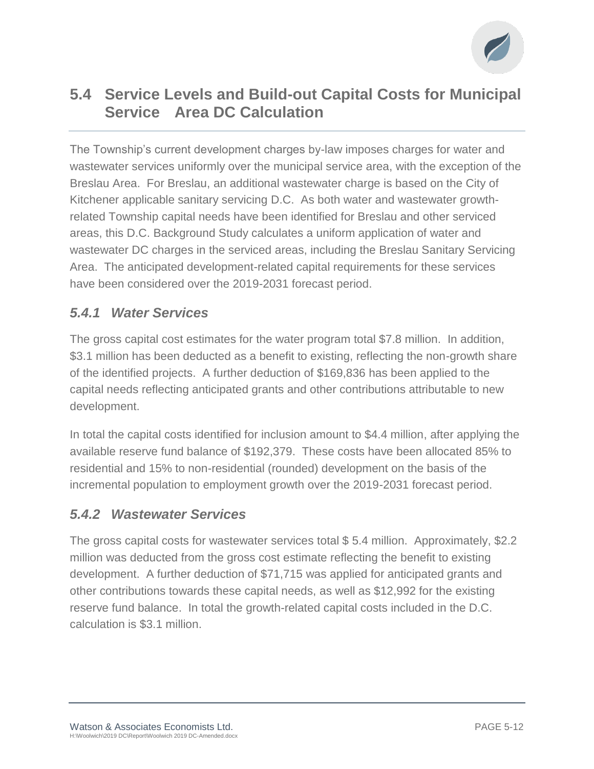

## **5.4 Service Levels and Build-out Capital Costs for Municipal Service Area DC Calculation**

The Township's current development charges by-law imposes charges for water and wastewater services uniformly over the municipal service area, with the exception of the Breslau Area. For Breslau, an additional wastewater charge is based on the City of Kitchener applicable sanitary servicing D.C. As both water and wastewater growthrelated Township capital needs have been identified for Breslau and other serviced areas, this D.C. Background Study calculates a uniform application of water and wastewater DC charges in the serviced areas, including the Breslau Sanitary Servicing Area. The anticipated development-related capital requirements for these services have been considered over the 2019-2031 forecast period.

### *5.4.1 Water Services*

The gross capital cost estimates for the water program total \$7.8 million. In addition, \$3.1 million has been deducted as a benefit to existing, reflecting the non-growth share of the identified projects. A further deduction of \$169,836 has been applied to the capital needs reflecting anticipated grants and other contributions attributable to new development.

In total the capital costs identified for inclusion amount to \$4.4 million, after applying the available reserve fund balance of \$192,379. These costs have been allocated 85% to residential and 15% to non-residential (rounded) development on the basis of the incremental population to employment growth over the 2019-2031 forecast period.

### *5.4.2 Wastewater Services*

The gross capital costs for wastewater services total \$ 5.4 million. Approximately, \$2.2 million was deducted from the gross cost estimate reflecting the benefit to existing development. A further deduction of \$71,715 was applied for anticipated grants and other contributions towards these capital needs, as well as \$12,992 for the existing reserve fund balance. In total the growth-related capital costs included in the D.C. calculation is \$3.1 million.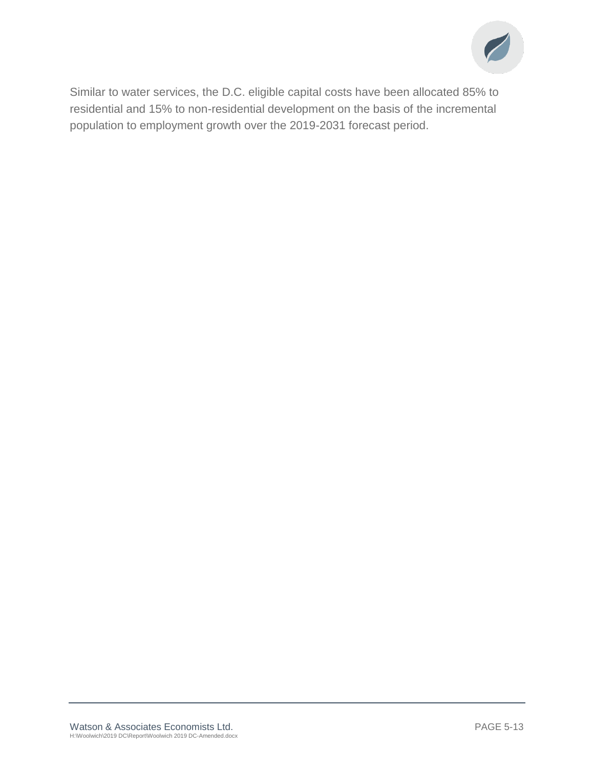

Similar to water services, the D.C. eligible capital costs have been allocated 85% to residential and 15% to non-residential development on the basis of the incremental population to employment growth over the 2019-2031 forecast period.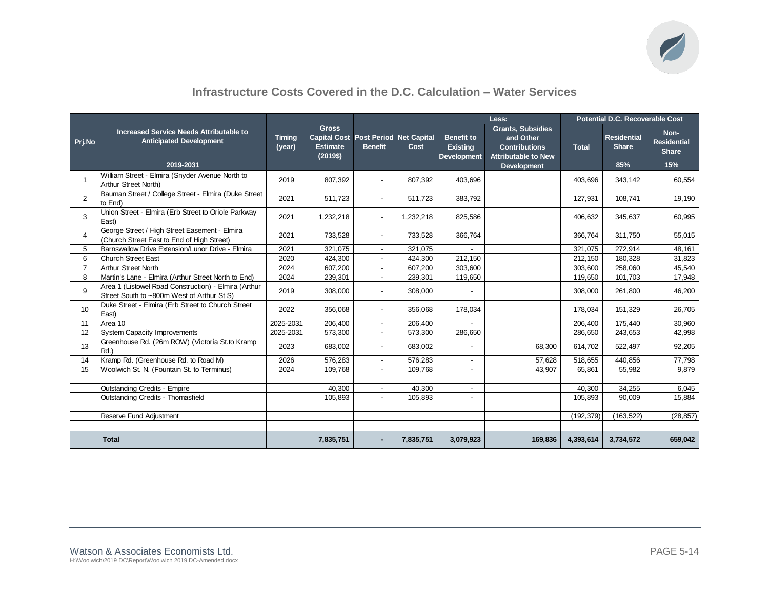

### **Infrastructure Costs Covered in the D.C. Calculation – Water Services**

|                |                                                                                                    |                         |                                                                                         |                          |           | Less:                                                      |                                                                                             | Potential D.C. Recoverable Cost |                                           |                                                   |  |
|----------------|----------------------------------------------------------------------------------------------------|-------------------------|-----------------------------------------------------------------------------------------|--------------------------|-----------|------------------------------------------------------------|---------------------------------------------------------------------------------------------|---------------------------------|-------------------------------------------|---------------------------------------------------|--|
| Prj.No         | Increased Service Needs Attributable to<br><b>Anticipated Development</b><br>2019-2031             | <b>Timing</b><br>(year) | <b>Gross</b><br>Capital Cost   Post Period   Net Capital<br><b>Estimate</b><br>(2019\$) | <b>Benefit</b>           | Cost      | <b>Benefit to</b><br><b>Existing</b><br><b>Development</b> | <b>Grants, Subsidies</b><br>and Other<br><b>Contributions</b><br><b>Attributable to New</b> | <b>Total</b>                    | <b>Residential</b><br><b>Share</b><br>85% | Non-<br><b>Residential</b><br><b>Share</b><br>15% |  |
|                |                                                                                                    |                         |                                                                                         |                          |           |                                                            | <b>Development</b>                                                                          |                                 |                                           |                                                   |  |
| $\mathbf{1}$   | William Street - Elmira (Snyder Avenue North to<br>Arthur Street North)                            | 2019                    | 807,392                                                                                 |                          | 807,392   | 403,696                                                    |                                                                                             | 403,696                         | 343,142                                   | 60,554                                            |  |
| 2              | Bauman Street / College Street - Elmira (Duke Street<br>to End)                                    | 2021                    | 511.723                                                                                 | $\overline{a}$           | 511.723   | 383,792                                                    |                                                                                             | 127.931                         | 108.741                                   | 19,190                                            |  |
| 3              | Union Street - Elmira (Erb Street to Oriole Parkway<br>East)                                       | 2021                    | 1,232,218                                                                               | $\overline{\phantom{0}}$ | 1,232,218 | 825,586                                                    |                                                                                             | 406,632                         | 345,637                                   | 60,995                                            |  |
| 4              | George Street / High Street Easement - Elmira<br>(Church Street East to End of High Street)        | 2021                    | 733,528                                                                                 | $\overline{\phantom{a}}$ | 733,528   | 366,764                                                    |                                                                                             | 366,764                         | 311,750                                   | 55,015                                            |  |
| 5              | Barnswallow Drive Extension/Lunor Drive - Elmira                                                   | 2021                    | 321.075                                                                                 | $\overline{\phantom{a}}$ | 321.075   | $\overline{\phantom{a}}$                                   |                                                                                             | 321.075                         | 272.914                                   | 48.161                                            |  |
| 6              | <b>Church Street East</b>                                                                          | 2020                    | 424.300                                                                                 | $\overline{a}$           | 424.300   | 212,150                                                    |                                                                                             | 212,150                         | 180,328                                   | 31,823                                            |  |
| $\overline{7}$ | <b>Arthur Street North</b>                                                                         | 2024                    | 607.200                                                                                 | $\overline{\phantom{a}}$ | 607.200   | 303.600                                                    |                                                                                             | 303.600                         | 258,060                                   | 45,540                                            |  |
| 8              | Martin's Lane - Elmira (Arthur Street North to End)                                                | 2024                    | 239,301                                                                                 | $\overline{\phantom{a}}$ | 239,301   | 119,650                                                    |                                                                                             | 119,650                         | 101,703                                   | 17,948                                            |  |
| 9              | Area 1 (Listowel Road Construction) - Elmira (Arthur<br>Street South to ~800m West of Arthur St S) | 2019                    | 308,000                                                                                 | $\blacksquare$           | 308,000   |                                                            |                                                                                             | 308,000                         | 261.800                                   | 46,200                                            |  |
| 10             | Duke Street - Elmira (Erb Street to Church Street<br>East)                                         | 2022                    | 356,068                                                                                 | $\blacksquare$           | 356,068   | 178,034                                                    |                                                                                             | 178,034                         | 151,329                                   | 26,705                                            |  |
| 11             | Area 10                                                                                            | 2025-2031               | 206,400                                                                                 | $\overline{\phantom{0}}$ | 206,400   |                                                            |                                                                                             | 206,400                         | 175,440                                   | 30,960                                            |  |
| 12             | <b>System Capacity Improvements</b>                                                                | 2025-2031               | 573,300                                                                                 | $\overline{a}$           | 573,300   | 286,650                                                    |                                                                                             | 286,650                         | 243,653                                   | 42,998                                            |  |
| 13             | Greenhouse Rd. (26m ROW) (Victoria St.to Kramp<br>Rd.                                              | 2023                    | 683,002                                                                                 | $\overline{a}$           | 683,002   |                                                            | 68,300                                                                                      | 614,702                         | 522,497                                   | 92,205                                            |  |
| 14             | Kramp Rd. (Greenhouse Rd. to Road M)                                                               | 2026                    | 576,283                                                                                 | $\overline{a}$           | 576,283   |                                                            | 57,628                                                                                      | 518,655                         | 440,856                                   | 77,798                                            |  |
| 15             | Woolwich St. N. (Fountain St. to Terminus)                                                         | 2024                    | 109,768                                                                                 |                          | 109,768   |                                                            | 43,907                                                                                      | 65,861                          | 55,982                                    | 9,879                                             |  |
|                |                                                                                                    |                         |                                                                                         |                          |           |                                                            |                                                                                             |                                 |                                           |                                                   |  |
|                | Outstanding Credits - Empire                                                                       |                         | 40,300                                                                                  | $\blacksquare$           | 40,300    | $\overline{\phantom{a}}$                                   |                                                                                             | 40,300                          | 34,255                                    | 6,045                                             |  |
|                | Outstanding Credits - Thomasfield                                                                  |                         | 105.893                                                                                 | $\overline{\phantom{a}}$ | 105,893   | $\overline{\phantom{a}}$                                   |                                                                                             | 105,893                         | 90,009                                    | 15,884                                            |  |
|                |                                                                                                    |                         |                                                                                         |                          |           |                                                            |                                                                                             |                                 |                                           |                                                   |  |
|                | Reserve Fund Adjustment                                                                            |                         |                                                                                         |                          |           |                                                            |                                                                                             | (192, 379)                      | (163, 522)                                | (28, 857)                                         |  |
|                |                                                                                                    |                         |                                                                                         |                          |           |                                                            |                                                                                             |                                 |                                           |                                                   |  |
|                | <b>Total</b>                                                                                       |                         | 7,835,751                                                                               |                          | 7,835,751 | 3,079,923                                                  | 169,836                                                                                     | 4,393,614                       | 3,734,572                                 | 659,042                                           |  |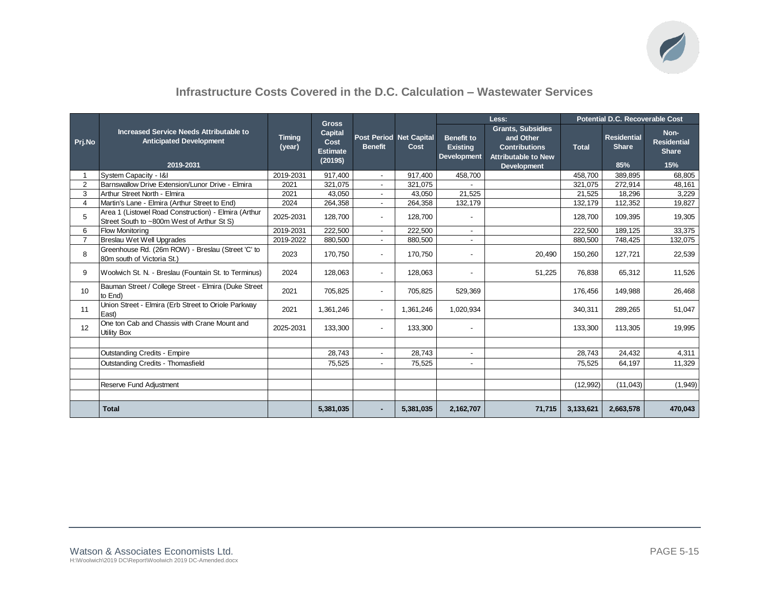

### **Infrastructure Costs Covered in the D.C. Calculation – Wastewater Services**

|                |                                                                                                    | Less:<br><b>Gross</b>   |                                                |                          | <b>Potential D.C. Recoverable Cost</b> |                                                            |                                                                                                                   |              |                                           |                                                   |
|----------------|----------------------------------------------------------------------------------------------------|-------------------------|------------------------------------------------|--------------------------|----------------------------------------|------------------------------------------------------------|-------------------------------------------------------------------------------------------------------------------|--------------|-------------------------------------------|---------------------------------------------------|
| Pri.No         | Increased Service Needs Attributable to<br><b>Anticipated Development</b><br>2019-2031             | <b>Timing</b><br>(year) | Capital<br>Cost<br><b>Estimate</b><br>(2019\$) | <b>Benefit</b>           | Post Period Net Capital<br>Cost        | <b>Benefit to</b><br><b>Existing</b><br><b>Development</b> | <b>Grants, Subsidies</b><br>and Other<br><b>Contributions</b><br><b>Attributable to New</b><br><b>Development</b> | <b>Total</b> | <b>Residential</b><br><b>Share</b><br>85% | Non-<br><b>Residential</b><br><b>Share</b><br>15% |
| 1              | System Capacity - I&I                                                                              | 2019-2031               | 917.400                                        | $\overline{\phantom{a}}$ | 917.400                                | 458.700                                                    |                                                                                                                   | 458.700      | 389.895                                   | 68.805                                            |
| $\overline{2}$ | Barnswallow Drive Extension/Lunor Drive - Elmira                                                   | 2021                    | 321,075                                        | $\blacksquare$           | 321,075                                |                                                            |                                                                                                                   | 321,075      | 272,914                                   | 48,161                                            |
| 3              | Arthur Street North - Elmira                                                                       | 2021                    | 43,050                                         | $\overline{\phantom{0}}$ | 43,050                                 | 21,525                                                     |                                                                                                                   | 21,525       | 18,296                                    | 3,229                                             |
| $\overline{4}$ | Martin's Lane - Elmira (Arthur Street to End)                                                      | 2024                    | 264,358                                        | $\blacksquare$           | 264,358                                | 132,179                                                    |                                                                                                                   | 132,179      | 112,352                                   | 19,827                                            |
| 5              | Area 1 (Listowel Road Construction) - Elmira (Arthur<br>Street South to ~800m West of Arthur St S) | 2025-2031               | 128,700                                        | $\overline{\phantom{a}}$ | 128,700                                |                                                            |                                                                                                                   | 128.700      | 109,395                                   | 19,305                                            |
| 6              | <b>Flow Monitoring</b>                                                                             | 2019-2031               | 222,500                                        | $\overline{\phantom{a}}$ | 222.500                                |                                                            |                                                                                                                   | 222,500      | 189,125                                   | 33,375                                            |
| $\overline{7}$ | Breslau Wet Well Upgrades                                                                          | 2019-2022               | 880,500                                        | $\sim$                   | 880,500                                |                                                            |                                                                                                                   | 880,500      | 748,425                                   | 132,075                                           |
| 8              | Greenhouse Rd. (26m ROW) - Breslau (Street 'C' to<br>80m south of Victoria St.)                    | 2023                    | 170,750                                        | $\overline{\phantom{a}}$ | 170.750                                |                                                            | 20,490                                                                                                            | 150,260      | 127,721                                   | 22,539                                            |
| 9              | Woolwich St. N. - Breslau (Fountain St. to Terminus)                                               | 2024                    | 128.063                                        | $\overline{\phantom{0}}$ | 128.063                                |                                                            | 51,225                                                                                                            | 76,838       | 65,312                                    | 11,526                                            |
| 10             | Bauman Street / College Street - Elmira (Duke Street<br>to End)                                    | 2021                    | 705,825                                        |                          | 705,825                                | 529,369                                                    |                                                                                                                   | 176,456      | 149,988                                   | 26,468                                            |
| 11             | Union Street - Elmira (Erb Street to Oriole Parkway<br>East)                                       | 2021                    | 1,361,246                                      | $\blacksquare$           | 1,361,246                              | 1,020,934                                                  |                                                                                                                   | 340,311      | 289,265                                   | 51,047                                            |
| 12             | One ton Cab and Chassis with Crane Mount and<br><b>Utility Box</b>                                 | 2025-2031               | 133,300                                        |                          | 133,300                                |                                                            |                                                                                                                   | 133,300      | 113,305                                   | 19,995                                            |
|                |                                                                                                    |                         |                                                |                          |                                        |                                                            |                                                                                                                   |              |                                           |                                                   |
|                | Outstanding Credits - Empire                                                                       |                         | 28,743                                         |                          | 28,743                                 |                                                            |                                                                                                                   | 28,743       | 24,432                                    | 4,311                                             |
|                | Outstanding Credits - Thomasfield                                                                  |                         | 75,525                                         |                          | 75,525                                 |                                                            |                                                                                                                   | 75,525       | 64,197                                    | 11,329                                            |
|                |                                                                                                    |                         |                                                |                          |                                        |                                                            |                                                                                                                   |              |                                           |                                                   |
|                | Reserve Fund Adjustment                                                                            |                         |                                                |                          |                                        |                                                            |                                                                                                                   | (12, 992)    | (11, 043)                                 | (1, 949)                                          |
|                |                                                                                                    |                         |                                                |                          |                                        |                                                            |                                                                                                                   |              |                                           |                                                   |
|                | <b>Total</b>                                                                                       |                         | 5,381,035                                      |                          | 5,381,035                              | 2,162,707                                                  | 71,715                                                                                                            | 3,133,621    | 2,663,578                                 | 470,043                                           |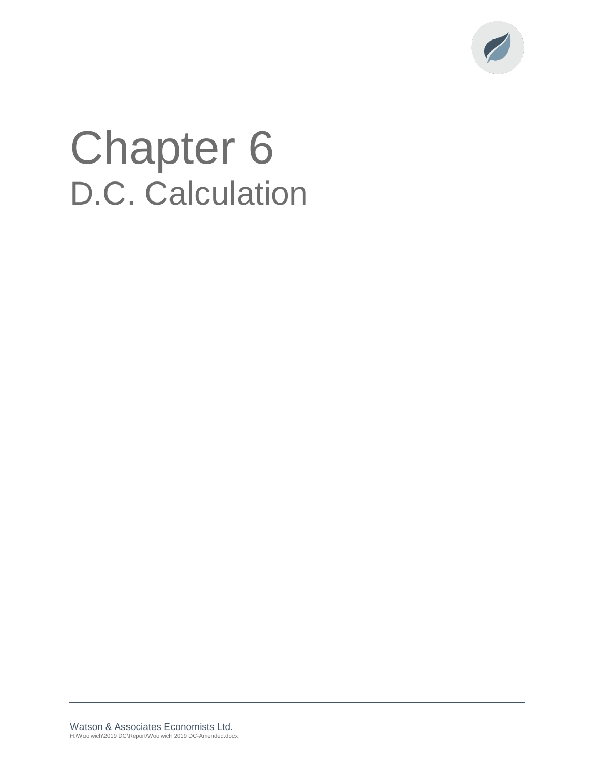

# Chapter 6 D.C. Calculation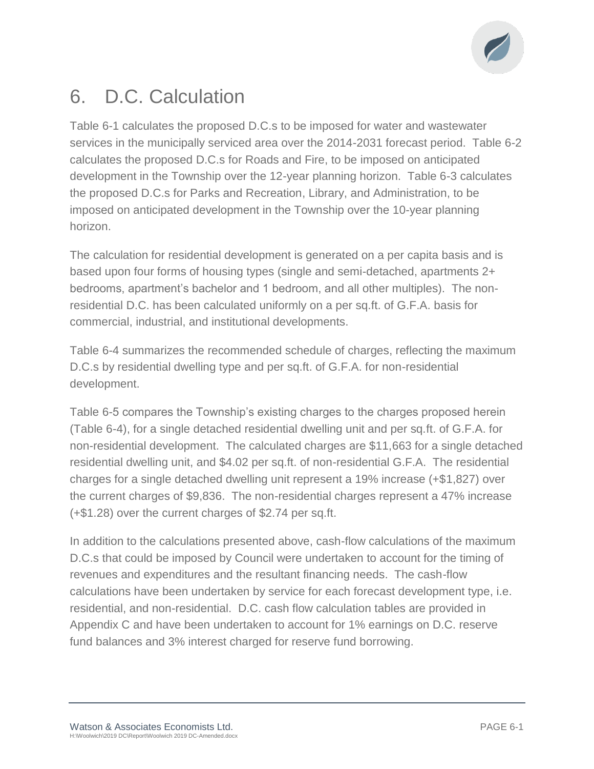

# 6. D.C. Calculation

Table 6-1 calculates the proposed D.C.s to be imposed for water and wastewater services in the municipally serviced area over the 2014-2031 forecast period. Table 6-2 calculates the proposed D.C.s for Roads and Fire, to be imposed on anticipated development in the Township over the 12-year planning horizon. Table 6-3 calculates the proposed D.C.s for Parks and Recreation, Library, and Administration, to be imposed on anticipated development in the Township over the 10-year planning horizon.

The calculation for residential development is generated on a per capita basis and is based upon four forms of housing types (single and semi-detached, apartments 2+ bedrooms, apartment's bachelor and 1 bedroom, and all other multiples). The nonresidential D.C. has been calculated uniformly on a per sq.ft. of G.F.A. basis for commercial, industrial, and institutional developments.

Table 6-4 summarizes the recommended schedule of charges, reflecting the maximum D.C.s by residential dwelling type and per sq.ft. of G.F.A. for non-residential development.

Table 6-5 compares the Township's existing charges to the charges proposed herein (Table 6-4), for a single detached residential dwelling unit and per sq.ft. of G.F.A. for non-residential development. The calculated charges are \$11,663 for a single detached residential dwelling unit, and \$4.02 per sq.ft. of non-residential G.F.A. The residential charges for a single detached dwelling unit represent a 19% increase (+\$1,827) over the current charges of \$9,836. The non-residential charges represent a 47% increase (+\$1.28) over the current charges of \$2.74 per sq.ft.

In addition to the calculations presented above, cash-flow calculations of the maximum D.C.s that could be imposed by Council were undertaken to account for the timing of revenues and expenditures and the resultant financing needs. The cash-flow calculations have been undertaken by service for each forecast development type, i.e. residential, and non-residential. D.C. cash flow calculation tables are provided in Appendix C and have been undertaken to account for 1% earnings on D.C. reserve fund balances and 3% interest charged for reserve fund borrowing.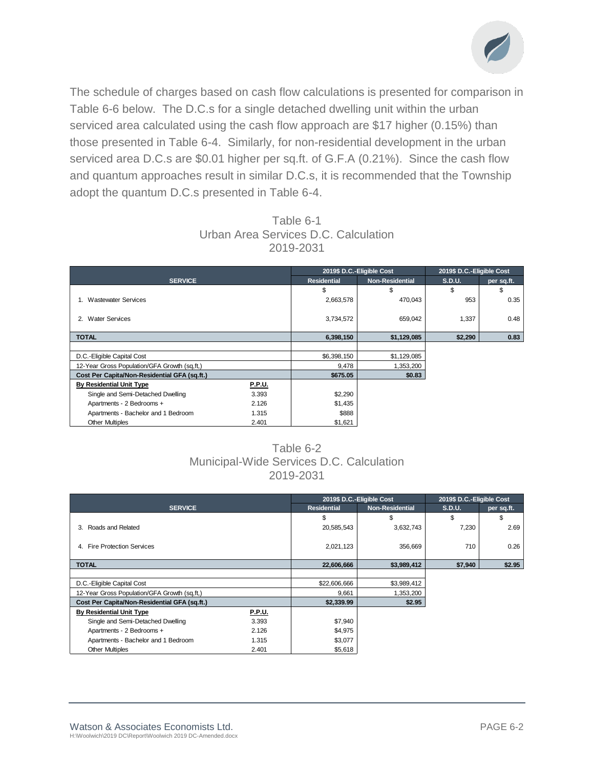

The schedule of charges based on cash flow calculations is presented for comparison in Table 6-6 below. The D.C.s for a single detached dwelling unit within the urban serviced area calculated using the cash flow approach are \$17 higher (0.15%) than those presented in Table 6-4. Similarly, for non-residential development in the urban serviced area D.C.s are \$0.01 higher per sq.ft. of G.F.A (0.21%). Since the cash flow and quantum approaches result in similar D.C.s, it is recommended that the Township adopt the quantum D.C.s presented in Table 6-4.

| Table 6-1                            |  |  |  |  |  |  |  |  |  |  |
|--------------------------------------|--|--|--|--|--|--|--|--|--|--|
| Urban Area Services D.C. Calculation |  |  |  |  |  |  |  |  |  |  |
| 2019-2031                            |  |  |  |  |  |  |  |  |  |  |

|                                              |               | 2019\$ D.C.-Eligible Cost | 2019\$ D.C.-Eligible Cost |         |            |  |
|----------------------------------------------|---------------|---------------------------|---------------------------|---------|------------|--|
| <b>SERVICE</b>                               |               | <b>Residential</b>        | <b>Non-Residential</b>    | S.D.U.  | per sq.ft. |  |
|                                              |               | \$                        | \$                        | \$      | \$         |  |
| <b>Wastewater Services</b>                   |               | 2,663,578                 | 470,043                   | 953     | 0.35       |  |
| <b>Water Services</b><br>2.                  |               | 3,734,572                 | 659,042                   | 1,337   | 0.48       |  |
| <b>TOTAL</b>                                 |               | 6,398,150                 | \$1,129,085               | \$2,290 | 0.83       |  |
|                                              |               |                           |                           |         |            |  |
| D.C.-Eligible Capital Cost                   |               | \$6,398,150               | \$1,129,085               |         |            |  |
| 12-Year Gross Population/GFA Growth (sq.ft.) |               | 9,478                     | 1,353,200                 |         |            |  |
| Cost Per Capita/Non-Residential GFA (sq.ft.) |               | \$675.05                  | \$0.83                    |         |            |  |
| <b>By Residential Unit Type</b>              | <b>P.P.U.</b> |                           |                           |         |            |  |
| Single and Semi-Detached Dwelling            | 3.393         | \$2,290                   |                           |         |            |  |
| Apartments - 2 Bedrooms +                    | 2.126         | \$1,435                   |                           |         |            |  |
| Apartments - Bachelor and 1 Bedroom          | 1.315         | \$888                     |                           |         |            |  |
| <b>Other Multiples</b>                       | 2.401         | \$1,621                   |                           |         |            |  |

### Table 6-2 Municipal-Wide Services D.C. Calculation 2019-2031

|                                              |               |                    | 2019\$ D.C.-Eligible Cost | 2019\$ D.C.-Eligible Cost |            |
|----------------------------------------------|---------------|--------------------|---------------------------|---------------------------|------------|
| <b>SERVICE</b>                               |               | <b>Residential</b> | <b>Non-Residential</b>    | S.D.U.                    | per sq.ft. |
|                                              |               | \$                 | \$                        | \$                        | S          |
| Roads and Related<br>3.                      |               | 20,585,543         | 3,632,743                 | 7,230                     | 2.69       |
|                                              |               |                    |                           |                           |            |
| <b>Fire Protection Services</b><br>4.        |               | 2,021,123          | 356,669                   | 710                       | 0.26       |
|                                              |               |                    |                           |                           |            |
| <b>TOTAL</b>                                 |               | 22,606,666         | \$3,989,412               | \$7,940                   | \$2.95     |
|                                              |               |                    |                           |                           |            |
| D.C.-Eligible Capital Cost                   |               | \$22,606,666       | \$3,989,412               |                           |            |
| 12-Year Gross Population/GFA Growth (sq.ft,) |               | 9,661              | 1,353,200                 |                           |            |
| Cost Per Capita/Non-Residential GFA (sq.ft.) |               | \$2,339.99         | \$2.95                    |                           |            |
| <b>By Residential Unit Type</b>              | <b>P.P.U.</b> |                    |                           |                           |            |
| Single and Semi-Detached Dwelling            | 3.393         | \$7,940            |                           |                           |            |
| Apartments - 2 Bedrooms +                    | 2.126         | \$4,975            |                           |                           |            |
| Apartments - Bachelor and 1 Bedroom          | 1.315         | \$3,077            |                           |                           |            |
| <b>Other Multiples</b>                       | 2.401         | \$5,618            |                           |                           |            |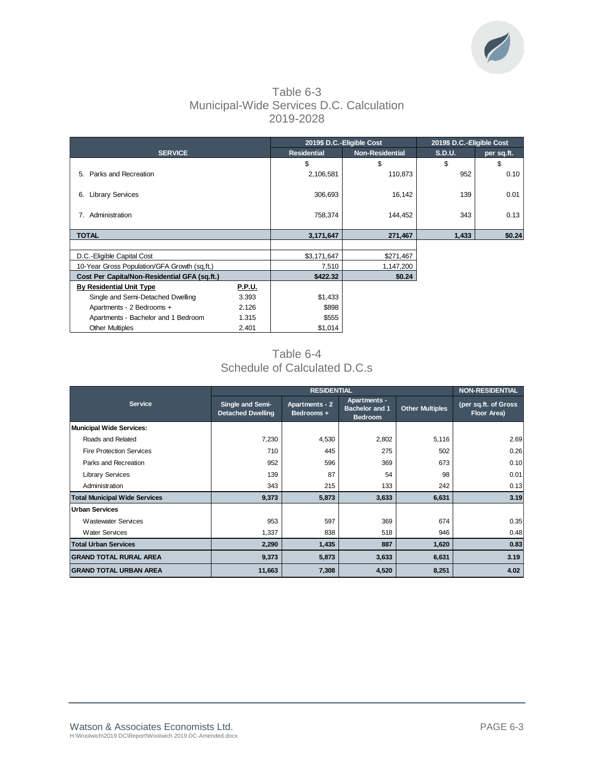

### Table 6-3 Municipal-Wide Services D.C. Calculation 2019-2028

|                                              |               |                    | 2019\$ D.C.-Eligible Cost | 2019\$ D.C.-Eligible Cost |            |  |  |
|----------------------------------------------|---------------|--------------------|---------------------------|---------------------------|------------|--|--|
| <b>SERVICE</b>                               |               | <b>Residential</b> | <b>Non-Residential</b>    | <b>S.D.U.</b>             | per sq.ft. |  |  |
|                                              |               | \$                 | \$                        | \$                        | \$         |  |  |
| Parks and Recreation<br>5.                   |               | 2,106,581          | 110,873                   | 952                       | 0.10       |  |  |
| <b>Library Services</b><br>6.                |               | 306,693            | 16,142                    | 139                       | 0.01       |  |  |
| Administration<br>7.                         |               | 758,374            | 144,452                   | 343                       | 0.13       |  |  |
| <b>TOTAL</b>                                 |               | 3,171,647          | 271,467                   | 1,433                     | \$0.24     |  |  |
|                                              |               |                    |                           |                           |            |  |  |
| D.C.-Eligible Capital Cost                   |               | \$3,171,647        | \$271,467                 |                           |            |  |  |
| 10-Year Gross Population/GFA Growth (sq.ft,) |               | 7,510              | 1,147,200                 |                           |            |  |  |
| Cost Per Capita/Non-Residential GFA (sq.ft.) |               | \$422.32           | \$0.24                    |                           |            |  |  |
| <b>By Residential Unit Type</b>              | <b>P.P.U.</b> |                    |                           |                           |            |  |  |
| Single and Semi-Detached Dwelling            | 3.393         | \$1,433            |                           |                           |            |  |  |
| Apartments - 2 Bedrooms +                    | 2.126         | \$898              |                           |                           |            |  |  |
| Apartments - Bachelor and 1 Bedroom          | 1.315         | \$555              |                           |                           |            |  |  |
| <b>Other Multiples</b>                       | 2.401         | \$1,014            |                           |                           |            |  |  |

### Table 6-4 Schedule of Calculated D.C.s

|                                      |                                              | <b>RESIDENTIAL</b>                                                                             |       |                        | <b>NON-RESIDENTIAL</b>              |
|--------------------------------------|----------------------------------------------|------------------------------------------------------------------------------------------------|-------|------------------------|-------------------------------------|
| <b>Service</b>                       | Single and Semi-<br><b>Detached Dwelling</b> | <b>Apartments -</b><br>Apartments - 2<br><b>Bachelor and 1</b><br>Bedrooms +<br><b>Bedroom</b> |       | <b>Other Multiples</b> | (per sq.ft. of Gross<br>Floor Area) |
| <b>Municipal Wide Services:</b>      |                                              |                                                                                                |       |                        |                                     |
| Roads and Related                    | 7,230                                        | 4,530                                                                                          | 2,802 | 5,116                  | 2.69                                |
| <b>Fire Protection Services</b>      | 710                                          | 445                                                                                            | 275   | 502                    | 0.26                                |
| Parks and Recreation                 | 952                                          | 596                                                                                            | 369   | 673                    | 0.10                                |
| <b>Library Services</b>              | 139                                          | 87                                                                                             | 54    | 98                     | 0.01                                |
| Administration                       | 343                                          | 215                                                                                            | 133   | 242                    | 0.13                                |
| <b>Total Municipal Wide Services</b> | 9,373                                        | 5,873                                                                                          | 3,633 | 6,631                  | 3.19                                |
| <b>Urban Services</b>                |                                              |                                                                                                |       |                        |                                     |
| <b>Wastewater Services</b>           | 953                                          | 597                                                                                            | 369   | 674                    | 0.35                                |
| <b>Water Services</b>                | 1,337                                        | 838                                                                                            | 518   | 946                    | 0.48                                |
| <b>Total Urban Services</b>          | 2,290                                        | 1,435                                                                                          | 887   | 1,620                  | 0.83                                |
| <b>GRAND TOTAL RURAL AREA</b>        | 9,373                                        | 5,873                                                                                          | 3,633 | 6,631                  | 3.19                                |
| <b>GRAND TOTAL URBAN AREA</b>        | 11,663                                       | 7,308                                                                                          | 4,520 | 8,251                  | 4.02                                |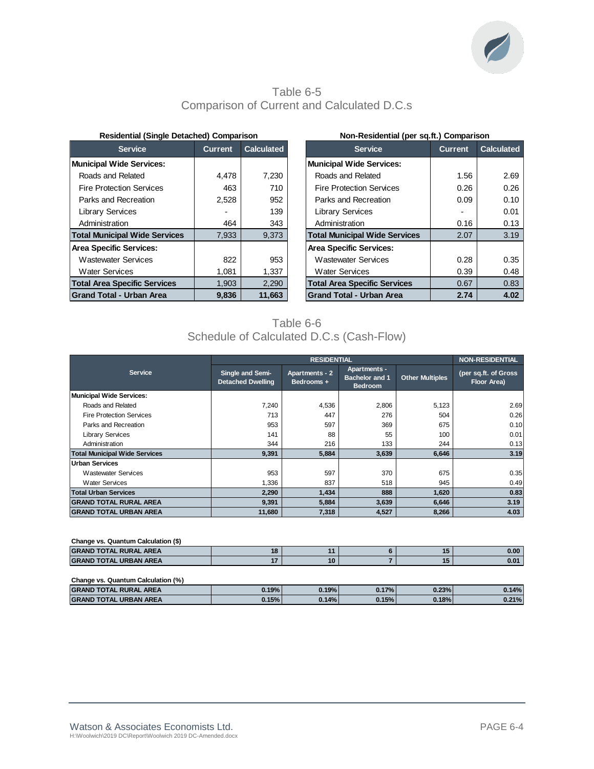

### Table 6-5 Comparison of Current and Calculated D.C.s

| <b>Residential (Single Detached) Comparison</b> |  |  |  |  |
|-------------------------------------------------|--|--|--|--|
|-------------------------------------------------|--|--|--|--|

| <b>Service</b>                       | <b>Current</b> | <b>Calculated</b> | <b>Service</b>                       | <b>Current</b> | <b>Calculated</b> |
|--------------------------------------|----------------|-------------------|--------------------------------------|----------------|-------------------|
| <b>Municipal Wide Services:</b>      |                |                   | <b>Municipal Wide Services:</b>      |                |                   |
| Roads and Related                    | 4.478          | 7,230             | Roads and Related                    | 1.56           | 2.69              |
| <b>Fire Protection Services</b>      | 463            | 710               | <b>Fire Protection Services</b>      | 0.26           | 0.26              |
| Parks and Recreation                 | 2,528          | 952               | Parks and Recreation                 | 0.09           | 0.10              |
| <b>Library Services</b>              | $\blacksquare$ | 139               | <b>Library Services</b>              |                | 0.01              |
| Administration                       | 464            | 343               | Administration                       | 0.16           | 0.13              |
| <b>Total Municipal Wide Services</b> | 7,933          | 9,373             | <b>Total Municipal Wide Services</b> | 2.07           | 3.19              |
| <b>Area Specific Services:</b>       |                |                   | <b>Area Specific Services:</b>       |                |                   |
| <b>Wastewater Services</b>           | 822            | 953               | <b>Wastewater Services</b>           | 0.28           | 0.35              |
| <b>Water Services</b>                | 1.081          | 1,337             | <b>Water Services</b>                | 0.39           | 0.48              |
| <b>Total Area Specific Services</b>  | 1,903          | 2,290             | <b>Total Area Specific Services</b>  | 0.67           | 0.83              |
| <b>Grand Total - Urban Area</b>      | 9.836          | 11,663            | <b>Grand Total - Urban Area</b>      | 2.74           | 4.02              |

| <b>Residential (Single Detached) Comparison</b> |         |                   |                                      | Non-Residential (per sq.ft.) Comparison |                   |  |  |  |  |
|-------------------------------------------------|---------|-------------------|--------------------------------------|-----------------------------------------|-------------------|--|--|--|--|
| <b>Service</b>                                  | Current | <b>Calculated</b> | <b>Service</b>                       | <b>Current</b>                          | <b>Calculated</b> |  |  |  |  |
| unicipal Wide Services:                         |         |                   | Municipal Wide Services:             |                                         |                   |  |  |  |  |
| Roads and Related                               | 4.478   | 7.230             | Roads and Related                    | 1.56                                    | 2.69              |  |  |  |  |
| Fire Protection Services                        | 463     | 710               | <b>Fire Protection Services</b>      | 0.26                                    | 0.26              |  |  |  |  |
| Parks and Recreation                            | 2,528   | 952               | Parks and Recreation                 | 0.09                                    | 0.10              |  |  |  |  |
| Library Services                                |         | 139               | <b>Library Services</b>              |                                         | 0.01              |  |  |  |  |
| Administration                                  | 464     | 343               | Administration                       | 0.16                                    | 0.13              |  |  |  |  |
| <b>otal Municipal Wide Services</b>             | 7.933   | 9.373             | <b>Total Municipal Wide Services</b> | 2.07                                    | 3.19              |  |  |  |  |
| ea Specific Services:                           |         |                   | <b>Area Specific Services:</b>       |                                         |                   |  |  |  |  |
| Wastewater Services                             | 822     | 953               | <b>Wastewater Services</b>           | 0.28                                    | 0.35              |  |  |  |  |
| Water Services                                  | 1,081   | 1,337             | <b>Water Services</b>                | 0.39                                    | 0.48              |  |  |  |  |
| <b>otal Area Specific Services</b>              | 1,903   | 2,290             | <b>Total Area Specific Services</b>  | 0.67                                    | 0.83              |  |  |  |  |
| rand Total - Urban Area                         | 9,836   | 11,663            | <b>Grand Total - Urban Area</b>      | 2.74                                    | 4.02              |  |  |  |  |

### Table 6-6 Schedule of Calculated D.C.s (Cash-Flow)

|                                      |                                              | <b>RESIDENTIAL</b>           |                                                                |                        | <b>NON-RESIDENTIAL</b>              |
|--------------------------------------|----------------------------------------------|------------------------------|----------------------------------------------------------------|------------------------|-------------------------------------|
| <b>Service</b>                       | Single and Semi-<br><b>Detached Dwelling</b> | Apartments - 2<br>Bedrooms + | <b>Apartments -</b><br><b>Bachelor and 1</b><br><b>Bedroom</b> | <b>Other Multiples</b> | (per sq.ft. of Gross<br>Floor Area) |
| <b>Municipal Wide Services:</b>      |                                              |                              |                                                                |                        |                                     |
| Roads and Related                    | 7,240                                        | 4,536                        | 2,806                                                          | 5,123                  | 2.69                                |
| <b>Fire Protection Services</b>      | 713                                          | 447                          | 276                                                            | 504                    | 0.26                                |
| Parks and Recreation                 | 953                                          | 597                          | 369                                                            | 675                    | 0.10                                |
| <b>Library Services</b>              | 141                                          | 88                           | 55                                                             | 100                    | 0.01                                |
| Administration                       | 344                                          | 216                          | 133                                                            | 244                    | 0.13                                |
| <b>Total Municipal Wide Services</b> | 9.391                                        | 5,884                        | 3,639                                                          | 6,646                  | 3.19                                |
| <b>Urban Services</b>                |                                              |                              |                                                                |                        |                                     |
| <b>Wastewater Services</b>           | 953                                          | 597                          | 370                                                            | 675                    | 0.35                                |
| <b>Water Services</b>                | 1,336                                        | 837                          | 518                                                            | 945                    | 0.49                                |
| <b>Total Urban Services</b>          | 2,290                                        | 1,434                        | 888                                                            | 1,620                  | 0.83                                |
| <b>GRAND TOTAL RURAL AREA</b>        | 9,391                                        | 5,884                        | 3,639                                                          | 6,646                  | 3.19                                |
| <b>GRAND TOTAL URBAN AREA</b>        | 11,680                                       | 7,318                        | 4,527                                                          | 8,266                  | 4.03                                |

| Change vs. Quantum Calculation (\$) |  |  |  |  |      |  |  |  |  |
|-------------------------------------|--|--|--|--|------|--|--|--|--|
| <b>GRAND TOTAL RURAL AREA</b>       |  |  |  |  | 0.00 |  |  |  |  |
| <b>GRAND TOTAL URBAN AREA</b>       |  |  |  |  | 0.01 |  |  |  |  |
|                                     |  |  |  |  |      |  |  |  |  |

| Change vs. Quantum Calculation (%) |       |       |       |       |       |  |  |  |  |
|------------------------------------|-------|-------|-------|-------|-------|--|--|--|--|
| <b>GRAND TOTAL RURAL AREA</b>      | 0.19% | 0.19% | 0.17% | 0.23% | 0.14% |  |  |  |  |
| <b>GRAND TOTAL URBAN AREA</b>      | 0.15% | 0.14% | 0.15% | 0.18% | 0.21% |  |  |  |  |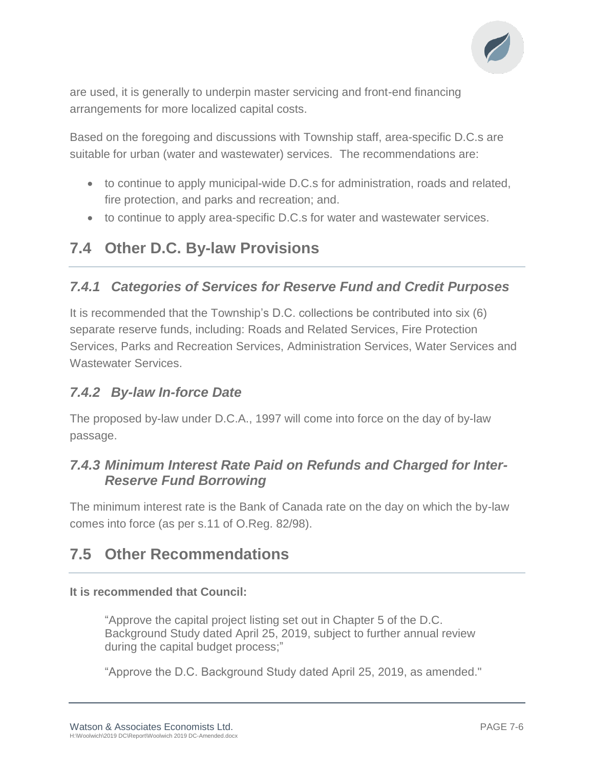

are used, it is generally to underpin master servicing and front-end financing arrangements for more localized capital costs.

Based on the foregoing and discussions with Township staff, area-specific D.C.s are suitable for urban (water and wastewater) services. The recommendations are:

- to continue to apply municipal-wide D.C.s for administration, roads and related, fire protection, and parks and recreation; and.
- to continue to apply area-specific D.C.s for water and wastewater services.

## **7.4 Other D.C. By-law Provisions**

### *7.4.1 Categories of Services for Reserve Fund and Credit Purposes*

It is recommended that the Township's D.C. collections be contributed into six (6) separate reserve funds, including: Roads and Related Services, Fire Protection Services, Parks and Recreation Services, Administration Services, Water Services and Wastewater Services.

### *7.4.2 By-law In-force Date*

The proposed by-law under D.C.A., 1997 will come into force on the day of by-law passage.

### *7.4.3 Minimum Interest Rate Paid on Refunds and Charged for Inter-Reserve Fund Borrowing*

The minimum interest rate is the Bank of Canada rate on the day on which the by-law comes into force (as per s.11 of O.Reg. 82/98).

## **7.5 Other Recommendations**

### **It is recommended that Council:**

"Approve the capital project listing set out in Chapter 5 of the D.C. Background Study dated April 25, 2019, subject to further annual review during the capital budget process;"

"Approve the D.C. Background Study dated April 25, 2019, as amended."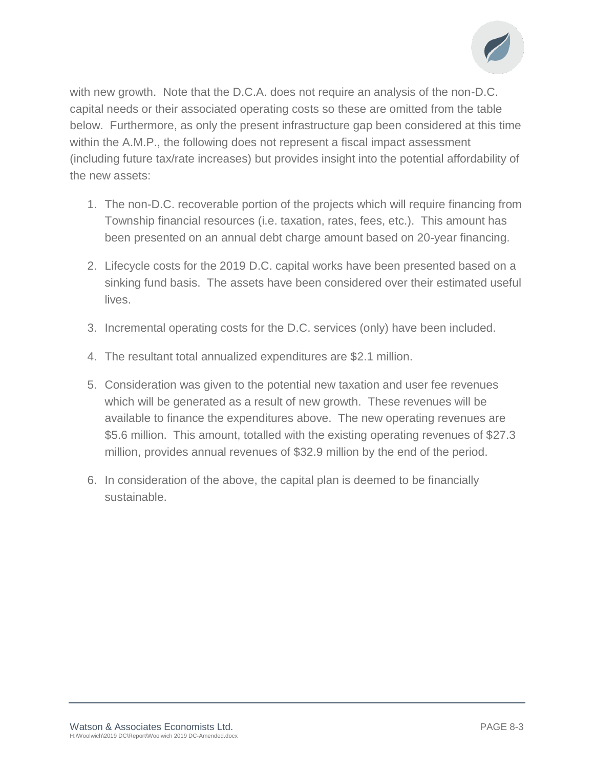

with new growth. Note that the D.C.A. does not require an analysis of the non-D.C. capital needs or their associated operating costs so these are omitted from the table below. Furthermore, as only the present infrastructure gap been considered at this time within the A.M.P., the following does not represent a fiscal impact assessment (including future tax/rate increases) but provides insight into the potential affordability of the new assets:

- 1. The non-D.C. recoverable portion of the projects which will require financing from Township financial resources (i.e. taxation, rates, fees, etc.). This amount has been presented on an annual debt charge amount based on 20-year financing.
- 2. Lifecycle costs for the 2019 D.C. capital works have been presented based on a sinking fund basis. The assets have been considered over their estimated useful lives.
- 3. Incremental operating costs for the D.C. services (only) have been included.
- 4. The resultant total annualized expenditures are \$2.1 million.
- 5. Consideration was given to the potential new taxation and user fee revenues which will be generated as a result of new growth. These revenues will be available to finance the expenditures above. The new operating revenues are \$5.6 million. This amount, totalled with the existing operating revenues of \$27.3 million, provides annual revenues of \$32.9 million by the end of the period.
- 6. In consideration of the above, the capital plan is deemed to be financially sustainable.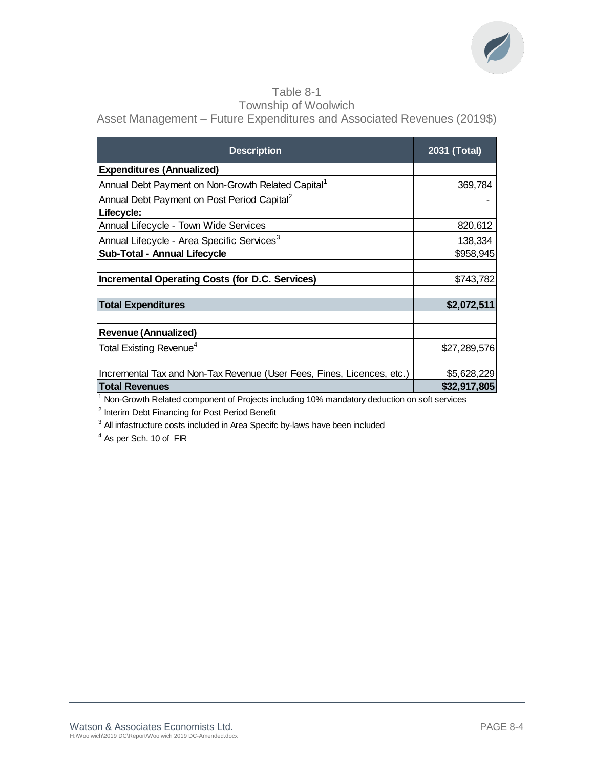

### Table 8-1 Township of Woolwich

Asset Management – Future Expenditures and Associated Revenues (2019\$)

| <b>Description</b>                                                     | 2031 (Total) |
|------------------------------------------------------------------------|--------------|
| <b>Expenditures (Annualized)</b>                                       |              |
| Annual Debt Payment on Non-Growth Related Capital <sup>1</sup>         | 369,784      |
| Annual Debt Payment on Post Period Capital <sup>2</sup>                |              |
| Lifecycle:                                                             |              |
| Annual Lifecycle - Town Wide Services                                  | 820,612      |
| Annual Lifecycle - Area Specific Services <sup>3</sup>                 | 138,334      |
| <b>Sub-Total - Annual Lifecycle</b>                                    | \$958,945    |
|                                                                        |              |
| <b>Incremental Operating Costs (for D.C. Services)</b>                 | \$743,782    |
|                                                                        |              |
| <b>Total Expenditures</b>                                              | \$2,072,511  |
|                                                                        |              |
| <b>Revenue (Annualized)</b>                                            |              |
| Total Existing Revenue <sup>4</sup>                                    | \$27,289,576 |
|                                                                        |              |
| Incremental Tax and Non-Tax Revenue (User Fees, Fines, Licences, etc.) | \$5,628,229  |
| <b>Total Revenues</b>                                                  | \$32,917,805 |

<sup>1</sup> Non-Growth Related component of Projects including 10% mandatory deduction on soft services

<sup>2</sup> Interim Debt Financing for Post Period Benefit

 $3$  All infastructure costs included in Area Specifc by-laws have been included

 $4$  As per Sch. 10 of FIR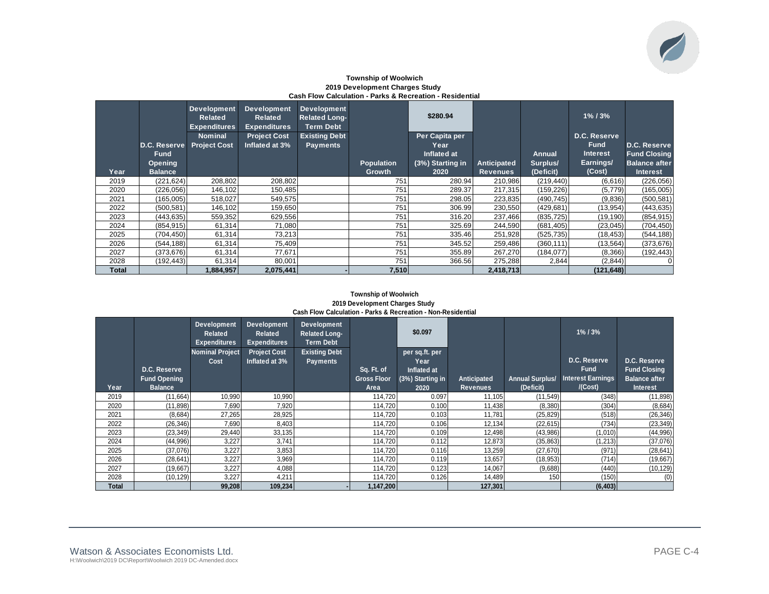

### **Township of Woolwich 2019 Development Charges Study Cash Flow Calculation - Parks & Recreation - Residential**

|              | D.C. Reserve<br><b>Fund</b> | <b>Development</b><br><b>Related</b><br><b>Expenditures</b><br><b>Nominal</b><br><b>Project Cost</b> | <b>Development</b><br><b>Related</b><br><b>Expenditures</b><br><b>Project Cost</b><br>Inflated at 3% | <b>Development</b><br><b>Related Long-</b><br><b>Term Debt</b><br><b>Existing Debt</b><br>Payments |            | \$280.94<br>Per Capita per<br>Year<br>Inflated at |                    | <b>Annual</b> | $1\%$ / $3\%$<br>D.C. Reserve<br><b>Fund</b><br><b>Interest</b> | <b>D.C. Reserve</b><br><b>Fund Closing</b> |
|--------------|-----------------------------|------------------------------------------------------------------------------------------------------|------------------------------------------------------------------------------------------------------|----------------------------------------------------------------------------------------------------|------------|---------------------------------------------------|--------------------|---------------|-----------------------------------------------------------------|--------------------------------------------|
|              | <b>Opening</b>              |                                                                                                      |                                                                                                      |                                                                                                    | Population | (3%) Starting in                                  | <b>Anticipated</b> | Surplus/      | Earnings/                                                       | <b>Balance after</b>                       |
| Year         | <b>Balance</b>              |                                                                                                      |                                                                                                      |                                                                                                    | Growth     | 2020                                              | <b>Revenues</b>    | (Deficit)     | (Cost)                                                          | Interest                                   |
| 2019         | (221, 624)                  | 208,802                                                                                              | 208,802                                                                                              |                                                                                                    | 751        | 280.94                                            | 210,986            | (219, 440)    | (6,616)                                                         | (226, 056)                                 |
| 2020         | (226, 056)                  | 146,102                                                                                              | 150,485                                                                                              |                                                                                                    | 751        | 289.37                                            | 217,315            | (159, 226)    | (5,779)                                                         | (165,005)                                  |
| 2021         | (165,005)                   | 518,027                                                                                              | 549,575                                                                                              |                                                                                                    | 751        | 298.05                                            | 223,835            | (490, 745)    | (9,836)                                                         | (500, 581)                                 |
| 2022         | (500, 581)                  | 146,102                                                                                              | 159,650                                                                                              |                                                                                                    | 751        | 306.99                                            | 230,550            | (429, 681)    | (13, 954)                                                       | (443, 635)                                 |
| 2023         | (443, 635)                  | 559,352                                                                                              | 629,556                                                                                              |                                                                                                    | 751        | 316.20                                            | 237,466            | (835, 725)    | (19, 190)                                                       | (854, 915)                                 |
| 2024         | (854, 915)                  | 61,314                                                                                               | 71,080                                                                                               |                                                                                                    | 751        | 325.69                                            | 244,590            | (681, 405)    | (23, 045)                                                       | (704, 450)                                 |
| 2025         | (704, 450)                  | 61,314                                                                                               | 73,213                                                                                               |                                                                                                    | 751        | 335.46                                            | 251,928            | (525, 735)    | (18, 453)                                                       | (544, 188)                                 |
| 2026         | (544, 188)                  | 61,314                                                                                               | 75,409                                                                                               |                                                                                                    | 751        | 345.52                                            | 259,486            | (360, 111)    | (13, 564)                                                       | (373, 676)                                 |
| 2027         | (373, 676)                  | 61,314                                                                                               | 77,671                                                                                               |                                                                                                    | 751        | 355.89                                            | 267,270            | (184, 077)    | (8,366)                                                         | (192, 443)                                 |
| 2028         | (192,443)                   | 61,314                                                                                               | 80,001                                                                                               |                                                                                                    | 751        | 366.56                                            | 275,288            | 2,844         | (2,844)                                                         | $\overline{0}$                             |
| <b>Total</b> |                             | 1.884.957                                                                                            | 2.075.441                                                                                            |                                                                                                    | 7,510      |                                                   | 2,418,713          |               | (121, 648)                                                      |                                            |

### **Township of Woolwich 2019 Development Charges Study Cash Flow Calculation - Parks & Recreation - Non-Residential**

| Year  | D.C. Reserve<br><b>Fund Opening</b><br><b>Balance</b> | <b>Development</b><br>Related<br><b>Expenditures</b><br><b>Nominal Project</b><br>Cost | Development<br><b>Related</b><br><b>Expenditures</b><br><b>Project Cost</b><br>Inflated at 3% | Development<br>Related Long-<br>Term Debt<br><b>Existing Debt</b><br><b>Payments</b> | Sq. Ft. of<br><b>Gross Floor</b><br>Area | \$0.097<br>per sq.ft. per<br>Year<br>Inflated at<br>(3%) Starting in<br>2020 | <b>Anticipated</b><br><b>Revenues</b> | <b>Annual Surplus/</b><br>(Deficit) | $1\%$ / $3\%$<br>D.C. Reserve<br><b>Fund</b><br><b>Interest Earnings</b><br>/(Cost) | D.C. Reserve<br><b>Fund Closing</b><br><b>Balance after</b><br><b>Interest</b> |
|-------|-------------------------------------------------------|----------------------------------------------------------------------------------------|-----------------------------------------------------------------------------------------------|--------------------------------------------------------------------------------------|------------------------------------------|------------------------------------------------------------------------------|---------------------------------------|-------------------------------------|-------------------------------------------------------------------------------------|--------------------------------------------------------------------------------|
| 2019  | (11,664)                                              | 10,990                                                                                 | 10,990                                                                                        |                                                                                      | 114,720                                  | 0.097                                                                        | 11,105                                | (11, 549)                           | (348)                                                                               | (11, 898)                                                                      |
| 2020  | (11, 898)                                             | 7,690                                                                                  | 7,920                                                                                         |                                                                                      | 114.720                                  | 0.100                                                                        | 11,438                                | (8,380)                             | (304)                                                                               | (8,684)                                                                        |
| 2021  | (8,684)                                               | 27,265                                                                                 | 28,925                                                                                        |                                                                                      | 114,720                                  | 0.103                                                                        | 11,781                                | (25, 829)                           | (518)                                                                               | (26, 346)                                                                      |
| 2022  | (26, 346)                                             | 7,690                                                                                  | 8,403                                                                                         |                                                                                      | 114,720                                  | 0.106                                                                        | 12,134                                | (22, 615)                           | (734)                                                                               | (23, 349)                                                                      |
| 2023  | (23, 349)                                             | 29,440                                                                                 | 33,135                                                                                        |                                                                                      | 114,720                                  | 0.109                                                                        | 12,498                                | (43,986)                            | (1,010)                                                                             | (44,996)                                                                       |
| 2024  | (44,996)                                              | 3,227                                                                                  | 3,741                                                                                         |                                                                                      | 114,720                                  | 0.112                                                                        | 12,873                                | (35, 863)                           | (1,213)                                                                             | (37,076)                                                                       |
| 2025  | (37,076)                                              | 3,227                                                                                  | 3,853                                                                                         |                                                                                      | 114,720                                  | 0.116                                                                        | 13,259                                | (27, 670)                           | (971)                                                                               | (28, 641)                                                                      |
| 2026  | (28, 641)                                             | 3,227                                                                                  | 3,969                                                                                         |                                                                                      | 114,720                                  | 0.119                                                                        | 13,657                                | (18, 953)                           | (714)                                                                               | (19,667)                                                                       |
| 2027  | (19,667)                                              | 3,227                                                                                  | 4,088                                                                                         |                                                                                      | 114,720                                  | 0.123                                                                        | 14,067                                | (9,688)                             | (440)                                                                               | (10, 129)                                                                      |
| 2028  | (10, 129)                                             | 3,227                                                                                  | 4,211                                                                                         |                                                                                      | 114,720                                  | 0.126                                                                        | 14,489                                | 150                                 | (150)                                                                               | (0)                                                                            |
| Total |                                                       | 99,208                                                                                 | 109,234                                                                                       |                                                                                      | 1,147,200                                |                                                                              | 127,301                               |                                     | (6, 403)                                                                            |                                                                                |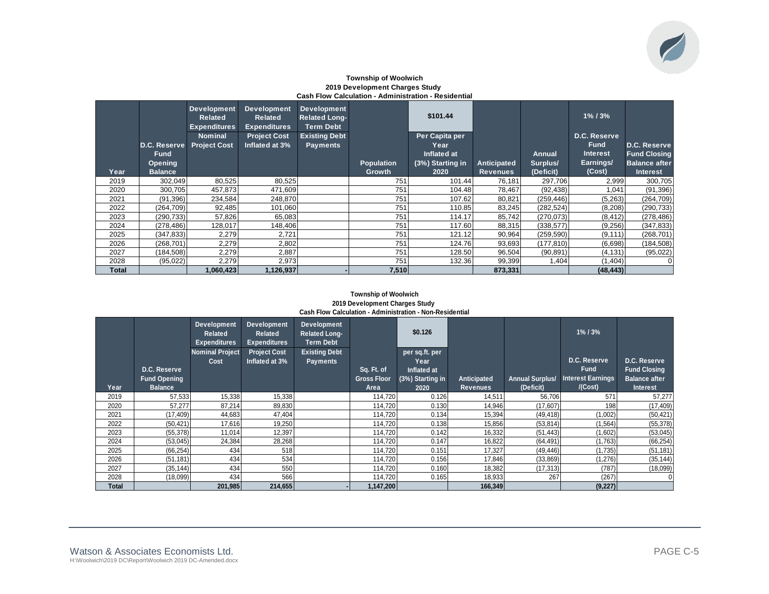# $\overline{\mathscr{C}}$

### **Township of Woolwich 2019 Development Charges Study Cash Flow Calculation - Administration - Residential**

|              | <b>D.C. Reserve</b><br><b>Fund</b><br><b>Opening</b> | <b>Development</b><br><b>Related</b><br><b>Expenditures</b><br><b>Nominal</b><br><b>Project Cost</b> | <b>Development</b><br><b>Related</b><br><b>Expenditures</b><br><b>Project Cost</b><br>Inflated at 3% | <b>Development</b><br><b>Related Long-</b><br><b>Term Debt</b><br><b>Existing Debt</b><br><b>Payments</b> | <b>Population</b> | \$101.44<br>Per Capita per<br>Year<br>Inflated at<br>(3%) Starting in | <b>Anticipated</b> | <b>Annual</b><br>Surplus/ | $1\%$ / $3\%$<br>D.C. Reserve<br><b>Fund</b><br><b>Interest</b><br>Earnings/ | <b>D.C. Reserve</b><br><b>Fund Closing</b><br><b>Balance after</b> |
|--------------|------------------------------------------------------|------------------------------------------------------------------------------------------------------|------------------------------------------------------------------------------------------------------|-----------------------------------------------------------------------------------------------------------|-------------------|-----------------------------------------------------------------------|--------------------|---------------------------|------------------------------------------------------------------------------|--------------------------------------------------------------------|
| Year         | <b>Balance</b>                                       |                                                                                                      |                                                                                                      |                                                                                                           | Growth            | 2020                                                                  | <b>Revenues</b>    | (Deficit)                 | (Cost)                                                                       | <b>Interest</b>                                                    |
| 2019         | 302,049                                              | 80,525                                                                                               | 80,525                                                                                               |                                                                                                           | 751               | 101.44                                                                | 76,181             | 297,706                   | 2,999                                                                        | 300,705                                                            |
| 2020         | 300,705                                              | 457,873                                                                                              | 471,609                                                                                              |                                                                                                           | 751               | 104.48                                                                | 78,467             | (92, 438)                 | 1.041                                                                        | (91, 396)                                                          |
| 2021         | (91, 396)                                            | 234,584                                                                                              | 248,870                                                                                              |                                                                                                           | 751               | 107.62                                                                | 80,821             | (259, 446)                | (5,263)                                                                      | (264, 709)                                                         |
| 2022         | (264, 709)                                           | 92,485                                                                                               | 101,060                                                                                              |                                                                                                           | 751               | 110.85                                                                | 83,245             | (282, 524)                | (8,208)                                                                      | (290, 733)                                                         |
| 2023         | (290, 733)                                           | 57,826                                                                                               | 65,083                                                                                               |                                                                                                           | 751               | 114.17                                                                | 85,742             | (270, 073)                | (8, 412)                                                                     | (278, 486)                                                         |
| 2024         | (278, 486)                                           | 128,017                                                                                              | 148,406                                                                                              |                                                                                                           | 751               | 117.60                                                                | 88,315             | (338, 577)                | (9,256)                                                                      | (347, 833)                                                         |
| 2025         | (347, 833)                                           | 2,279                                                                                                | 2,721                                                                                                |                                                                                                           | 751               | 121.12                                                                | 90,964             | (259, 590)                | (9, 111)                                                                     | (268, 701)                                                         |
| 2026         | (268, 701)                                           | 2,279                                                                                                | 2,802                                                                                                |                                                                                                           | 751               | 124.76                                                                | 93,693             | (177, 810)                | (6,698)                                                                      | (184, 508)                                                         |
| 2027         | 184,508                                              | 2,279                                                                                                | 2,887                                                                                                |                                                                                                           | 751               | 128.50                                                                | 96,504             | (90, 891)                 | (4, 131)                                                                     | (95, 022)                                                          |
| 2028         | (95,022)                                             | 2,279                                                                                                | 2,973                                                                                                |                                                                                                           | 751               | 132.36                                                                | 99,399             | 1,404                     | (1,404)                                                                      |                                                                    |
| <b>Total</b> |                                                      | 1.060.4231                                                                                           | 1,126,937                                                                                            |                                                                                                           | 7,510             |                                                                       | 873,331            |                           | (48, 443)                                                                    |                                                                    |

### **Township of Woolwich 2019 Development Charges Study Cash Flow Calculation - Administration - Non-Residential**

| Year  | D.C. Reserve<br><b>Fund Opening</b><br><b>Balance</b> | <b>Development</b><br>Related<br><b>Expenditures</b><br><b>Nominal Project</b><br>Cost | <b>Development</b><br><b>Related</b><br><b>Expenditures</b><br><b>Project Cost</b><br>Inflated at 3% | Development<br><b>Related Long-</b><br><b>Term Debt</b><br><b>Existing Debt</b><br><b>Payments</b> | Sq. Ft. of<br><b>Gross Floor</b><br>Area | \$0.126<br>per sq.ft. per<br>Year<br>Inflated at<br>(3%) Starting in<br>2020 | Anticipated<br><b>Revenues</b> | <b>Annual Surplus/</b><br>(Deficit) | $1\%$ / $3\%$<br>D.C. Reserve<br><b>Fund</b><br><b>Interest Earnings</b><br>/(Cost) | D.C. Reserve<br><b>Fund Closing</b><br><b>Balance after</b><br><b>Interest</b> |
|-------|-------------------------------------------------------|----------------------------------------------------------------------------------------|------------------------------------------------------------------------------------------------------|----------------------------------------------------------------------------------------------------|------------------------------------------|------------------------------------------------------------------------------|--------------------------------|-------------------------------------|-------------------------------------------------------------------------------------|--------------------------------------------------------------------------------|
| 2019  | 57,533                                                | 15,338                                                                                 | 15,338                                                                                               |                                                                                                    | 114,720                                  | 0.126                                                                        | 14,511                         | 56,706                              | 571                                                                                 | 57,277                                                                         |
| 2020  | 57.277                                                | 87.214                                                                                 | 89,830                                                                                               |                                                                                                    | 114,720                                  | 0.130                                                                        | 14,946                         | (17,607)                            | 198                                                                                 | (17, 409)                                                                      |
| 2021  | (17, 409)                                             | 44,683                                                                                 | 47,404                                                                                               |                                                                                                    | 114,720                                  | 0.134                                                                        | 15,394                         | (49, 418)                           | (1,002)                                                                             | (50, 421)                                                                      |
| 2022  | (50, 421)                                             | 17,616                                                                                 | 19,250                                                                                               |                                                                                                    | 114,720                                  | 0.138                                                                        | 15,856                         | (53, 814)                           | (1, 564)                                                                            | (55, 378)                                                                      |
| 2023  | (55, 378)                                             | 11,014                                                                                 | 12,397                                                                                               |                                                                                                    | 114,720                                  | 0.142                                                                        | 16,332                         | (51, 443)                           | (1,602)                                                                             | (53,045)                                                                       |
| 2024  | (53,045)                                              | 24,384                                                                                 | 28,268                                                                                               |                                                                                                    | 114,720                                  | 0.147                                                                        | 16,822                         | (64, 491)                           | (1,763)                                                                             | (66, 254)                                                                      |
| 2025  | (66, 254)                                             | 434                                                                                    | 518                                                                                                  |                                                                                                    | 114,720                                  | 0.151                                                                        | 17,327                         | (49, 446)                           | (1,735)                                                                             | (51, 181)                                                                      |
| 2026  | (51, 181)                                             | 434                                                                                    | 534                                                                                                  |                                                                                                    | 114,720                                  | 0.156                                                                        | 17,846                         | (33, 869)                           | (1,276)                                                                             | (35, 144)                                                                      |
| 2027  | (35, 144)                                             | 434                                                                                    | 550                                                                                                  |                                                                                                    | 114,720                                  | 0.160                                                                        | 18,382                         | (17, 313)                           | (787)                                                                               | (18,099)                                                                       |
| 2028  | (18,099)                                              | 434                                                                                    | 566                                                                                                  |                                                                                                    | 114,720                                  | 0.165                                                                        | 18,933                         | 267                                 | (267)                                                                               | 0                                                                              |
| Total |                                                       | 201,985                                                                                | 214,655                                                                                              |                                                                                                    | 1,147,200                                |                                                                              | 166,349                        |                                     | (9,227)                                                                             |                                                                                |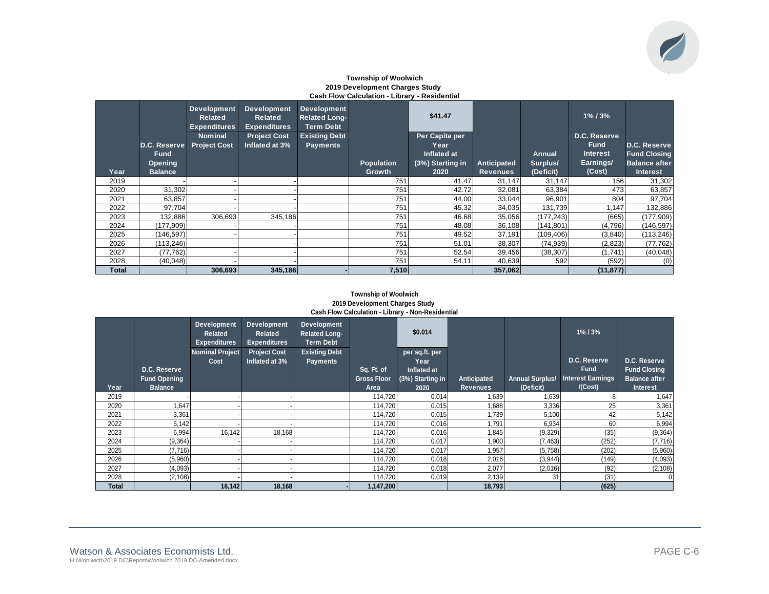### **Township of Woolwich 2019 Development Charges Study Cash Flow Calculation - Library - Residential**

| Year  | <b>D.C. Reserve</b><br><b>Fund</b><br><b>Opening</b><br><b>Balance</b> | <b>Development</b><br><b>Related</b><br><b>Expenditures</b><br><b>Nominal</b><br><b>Project Cost</b> | Development<br><b>Related</b><br><b>Expenditures</b><br><b>Project Cost</b><br>Inflated at 3% | <b>Development</b><br><b>Related Long-</b><br><b>Term Debt</b><br><b>Existing Debt</b><br><b>Payments</b> | <b>Population</b><br>Growth | \$41.47<br>Per Capita per<br>Year<br>Inflated at<br>(3%) Starting in<br>2020 | <b>Anticipated</b><br><b>Revenues</b> | Annual<br>Surplus/<br>(Deficit) | $1\%$ / $3\%$<br>D.C. Reserve<br><b>Fund</b><br><b>Interest</b><br>Earnings/<br>(Cost) | <b>D.C. Reserve</b><br><b>Fund Closing</b><br><b>Balance after</b><br><b>Interest</b> |
|-------|------------------------------------------------------------------------|------------------------------------------------------------------------------------------------------|-----------------------------------------------------------------------------------------------|-----------------------------------------------------------------------------------------------------------|-----------------------------|------------------------------------------------------------------------------|---------------------------------------|---------------------------------|----------------------------------------------------------------------------------------|---------------------------------------------------------------------------------------|
| 2019  |                                                                        |                                                                                                      |                                                                                               |                                                                                                           | 751                         | 41.47                                                                        | 31,147                                | 31,147                          | 156                                                                                    | 31,302                                                                                |
| 2020  | 31,302                                                                 |                                                                                                      |                                                                                               |                                                                                                           | 751                         | 42.72                                                                        | 32,081                                | 63,384                          | 473                                                                                    | 63,857                                                                                |
| 2021  | 63,857                                                                 |                                                                                                      |                                                                                               |                                                                                                           | 751                         | 44.00                                                                        | 33,044                                | 96,901                          | 804                                                                                    | 97,704                                                                                |
| 2022  | 97,704                                                                 |                                                                                                      |                                                                                               |                                                                                                           | 751                         | 45.32                                                                        | 34,035                                | 131,739                         | 1.147                                                                                  | 132,886                                                                               |
| 2023  | 132,886                                                                | 306,693                                                                                              | 345,186                                                                                       |                                                                                                           | 751                         | 46.68                                                                        | 35,056                                | (177, 243)                      | (665)                                                                                  | (177,909)                                                                             |
| 2024  | (177,909)                                                              |                                                                                                      |                                                                                               |                                                                                                           | 751                         | 48.08                                                                        | 36,108                                | (141, 801)                      | (4,796)                                                                                | (146, 597)                                                                            |
| 2025  | (146, 597)                                                             |                                                                                                      |                                                                                               |                                                                                                           | 751                         | 49.52                                                                        | 37,191                                | (109, 406)                      | (3,840)                                                                                | (113, 246)                                                                            |
| 2026  | (113, 246)                                                             |                                                                                                      |                                                                                               |                                                                                                           | 751                         | 51.01                                                                        | 38,307                                | (74, 939)                       | (2,823)                                                                                | (77, 762)                                                                             |
| 2027  | (77,762)                                                               |                                                                                                      |                                                                                               |                                                                                                           | 751                         | 52.54                                                                        | 39,456                                | (38, 307)                       | (1,741)                                                                                | (40, 048)                                                                             |
| 2028  | (40, 048)                                                              |                                                                                                      |                                                                                               |                                                                                                           | 751                         | 54.11                                                                        | 40,639                                | 592                             | (592)                                                                                  | (0)                                                                                   |
| Total |                                                                        | 306.693                                                                                              | 345,186                                                                                       |                                                                                                           | 7,510                       |                                                                              | 357,062                               |                                 | (11, 877)                                                                              |                                                                                       |

### **Township of Woolwich 2019 Development Charges Study Cash Flow Calculation - Library - Non-Residential**

| Year  | D.C. Reserve<br><b>Fund Opening</b><br><b>Balance</b> | <b>Development</b><br>Related<br><b>Expenditures</b><br><b>Nominal Project</b><br>Cost | <b>Development</b><br><b>Related</b><br><b>Expenditures</b><br><b>Project Cost</b><br>Inflated at 3% | <b>Development</b><br><b>Related Long-</b><br><b>Term Debt</b><br><b>Existing Debt</b><br><b>Payments</b> | Sq. Ft. of<br><b>Gross Floor</b><br>Area | \$0.014<br>per sq.ft. per<br>Year<br>Inflated at<br>(3%) Starting in<br>2020 | Anticipated<br><b>Revenues</b> | <b>Annual Surplus/</b><br>(Deficit) | $1\%$ / $3\%$<br>D.C. Reserve<br><b>Fund</b><br><b>Interest Earnings</b><br>I(Cost) | D.C. Reserve<br><b>Fund Closing</b><br><b>Balance after</b><br><b>Interest</b> |
|-------|-------------------------------------------------------|----------------------------------------------------------------------------------------|------------------------------------------------------------------------------------------------------|-----------------------------------------------------------------------------------------------------------|------------------------------------------|------------------------------------------------------------------------------|--------------------------------|-------------------------------------|-------------------------------------------------------------------------------------|--------------------------------------------------------------------------------|
| 2019  |                                                       |                                                                                        |                                                                                                      |                                                                                                           | 114,720                                  | 0.014                                                                        | 1,639                          | 1,639                               |                                                                                     | 1,647                                                                          |
| 2020  | 1,647                                                 |                                                                                        |                                                                                                      |                                                                                                           | 114,720                                  | 0.015                                                                        | .688                           | 3,336                               | 25                                                                                  | 3,361                                                                          |
| 2021  | 3,361                                                 |                                                                                        |                                                                                                      |                                                                                                           | 114,720                                  | 0.015                                                                        | .739                           | 5,100                               | 42                                                                                  | 5,142                                                                          |
| 2022  | 5,142                                                 |                                                                                        |                                                                                                      |                                                                                                           | 114.720                                  | 0.016                                                                        | 1.791                          | 6,934                               | 60                                                                                  | 6,994                                                                          |
| 2023  | 6,994                                                 | 16,142                                                                                 | 18,168                                                                                               |                                                                                                           | 114,720                                  | 0.016                                                                        | 1,845                          | (9,329)                             | (35)                                                                                | (9, 364)                                                                       |
| 2024  | (9,364)                                               |                                                                                        |                                                                                                      |                                                                                                           | 114,720                                  | 0.017                                                                        | 1,900                          | (7, 463)                            | (252)                                                                               | (7,716)                                                                        |
| 2025  | (7,716)                                               |                                                                                        |                                                                                                      |                                                                                                           | 114,720                                  | 0.017                                                                        | 1,957                          | (5,758)                             | (202)                                                                               | (5,960)                                                                        |
| 2026  | (5,960)                                               |                                                                                        |                                                                                                      |                                                                                                           | 114,720                                  | 0.018                                                                        | 2,016                          | (3,944)                             | (149)                                                                               | (4,093)                                                                        |
| 2027  | (4,093)                                               |                                                                                        |                                                                                                      |                                                                                                           | 114,720                                  | 0.018                                                                        | 2,077                          | (2,016)                             | (92)                                                                                | (2, 108)                                                                       |
| 2028  | (2, 108)                                              |                                                                                        |                                                                                                      |                                                                                                           | 114,720                                  | 0.019                                                                        | 2,139                          | 31                                  | (31)                                                                                |                                                                                |
| Total |                                                       | 16.142                                                                                 | 18.168                                                                                               |                                                                                                           | 1.147.200                                |                                                                              | 18,793                         |                                     | (625)                                                                               |                                                                                |

 $\overline{\mathscr{C}}$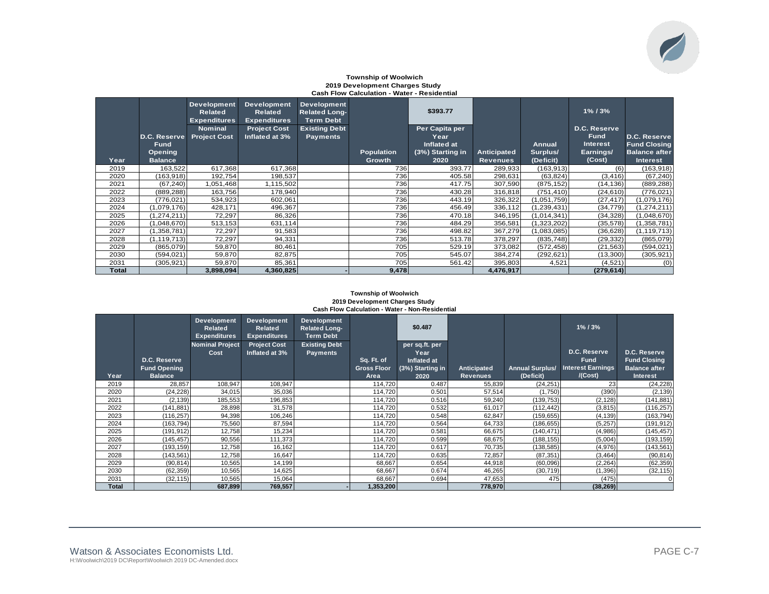#### **Township of Woolwich 2019 Development Charges Study Cash Flow Calculation - Water - Residential**

|              |                | <b>Development</b><br>Related<br><b>Expenditures</b> | <b>Development</b><br><b>Related</b><br><b>Expenditures</b> | <b>Development</b><br><b>Related Long-</b><br><b>Term Debt</b> |            | \$393.77         |                 |               | $1\%$ / $3\%$   |                      |
|--------------|----------------|------------------------------------------------------|-------------------------------------------------------------|----------------------------------------------------------------|------------|------------------|-----------------|---------------|-----------------|----------------------|
|              |                | <b>Nominal</b>                                       | <b>Project Cost</b>                                         | <b>Existing Debt</b>                                           |            | Per Capita per   |                 |               | D.C. Reserve    |                      |
|              | D.C. Reserve   | <b>Project Cost</b>                                  | Inflated at 3%                                              | <b>Payments</b>                                                |            | Year             |                 |               | <b>Fund</b>     | D.C. Reserve         |
|              | <b>Fund</b>    |                                                      |                                                             |                                                                |            | Inflated at      |                 | Annual        | <b>Interest</b> | <b>Fund Closing</b>  |
|              | Opening        |                                                      |                                                             |                                                                | Population | (3%) Starting in | Anticipated     | Surplus/      | Earnings/       | <b>Balance after</b> |
| Year         | <b>Balance</b> |                                                      |                                                             |                                                                | Growth     | 2020             | <b>Revenues</b> | (Deficit)     | (Cost)          | <b>Interest</b>      |
| 2019         | 163,522        | 617,368                                              | 617,368                                                     |                                                                | 736        | 393.77           | 289,933         | (163, 913)    | (6)             | (163, 918)           |
| 2020         | (163, 918)     | 192,754                                              | 198,537                                                     |                                                                | 736        | 405.58           | 298,631         | (63, 824)     | (3, 416)        | (67, 240)            |
| 2021         | (67, 240)      | 1,051,468                                            | 1,115,502                                                   |                                                                | 736        | 417.75           | 307,590         | (875, 152)    | (14, 136)       | (889, 288)           |
| 2022         | (889, 288)     | 163,756                                              | 178,940                                                     |                                                                | 736        | 430.28           | 316,818         | (751, 410)    | (24, 610)       | (776,021)            |
| 2023         | (776, 021)     | 534,923                                              | 602,061                                                     |                                                                | 736        | 443.19           | 326,322         | (1,051,759)   | (27, 417)       | (1,079,176)          |
| 2024         | (1,079,176)    | 428,171                                              | 496,367                                                     |                                                                | 736        | 456.49           | 336,112         | (1, 239, 431) | (34, 779)       | (1, 274, 211)        |
| 2025         | (1, 274, 211)  | 72,297                                               | 86,326                                                      |                                                                | 736        | 470.18           | 346,195         | (1,014,341)   | (34, 328)       | (1,048,670)          |
| 2026         | (1,048,670)    | 513,153                                              | 631,114                                                     |                                                                | 736        | 484.29           | 356,581         | (1,323,202)   | (35, 578)       | (1,358,781)          |
| 2027         | (1,358,781)    | 72,297                                               | 91,583                                                      |                                                                | 736        | 498.82           | 367,279         | (1,083,085)   | (36, 628)       | (1, 119, 713)        |
| 2028         | (1, 119, 713)  | 72,297                                               | 94,331                                                      |                                                                | 736        | 513.78           | 378,297         | (835, 748)    | (29, 332)       | (865,079)            |
| 2029         | (865,079)      | 59,870                                               | 80,461                                                      |                                                                | 705        | 529.19           | 373,082         | (572, 458)    | (21, 563)       | (594, 021)           |
| 2030         | (594, 021)     | 59,870                                               | 82,875                                                      |                                                                | 705        | 545.07           | 384,274         | (292, 621)    | (13,300)        | (305, 921)           |
| 2031         | (305, 921)     | 59,870                                               | 85,361                                                      |                                                                | 705        | 561.42           | 395,803         | 4,521         | (4,521)         | (0)                  |
| <b>Total</b> |                | 3,898,094                                            | 4,360,825                                                   |                                                                | 9,478      |                  | 4,476,917       |               | (279, 614)      |                      |

#### **Township of Woolwich 2019 Development Charges Study Cash Flow Calculation - Water - Non-Residential**

|              |                     | <b>Development</b><br>Related<br><b>Expenditures</b> | <b>Development</b><br>Related<br><b>Expenditures</b> | <b>Development</b><br><b>Related Long-</b><br><b>Term Debt</b> |                    | \$0.487                |                 |                        | $1\%$ / $3\%$            |                      |
|--------------|---------------------|------------------------------------------------------|------------------------------------------------------|----------------------------------------------------------------|--------------------|------------------------|-----------------|------------------------|--------------------------|----------------------|
|              |                     | <b>Nominal Project</b><br>Cost                       | <b>Project Cost</b><br>Inflated at 3%                | <b>Existing Debt</b><br><b>Payments</b>                        |                    | per sq.ft. per<br>Year |                 |                        | D.C. Reserve             | D.C. Reserve         |
|              | D.C. Reserve        |                                                      |                                                      |                                                                | Sq. Ft. of         | Inflated at            |                 |                        | <b>Fund</b>              | <b>Fund Closing</b>  |
|              | <b>Fund Opening</b> |                                                      |                                                      |                                                                | <b>Gross Floor</b> | (3%) Starting in       | Anticipated     | <b>Annual Surplus/</b> | <b>Interest Earnings</b> | <b>Balance after</b> |
| Year         | <b>Balance</b>      |                                                      |                                                      |                                                                | Area               | 2020                   | <b>Revenues</b> | (Deficit)              | /(Cost)                  | <b>Interest</b>      |
| 2019         | 28,857              | 108,947                                              | 108,947                                              |                                                                | 114,720            | 0.487                  | 55,839          | (24, 251)              | 23                       | (24, 228)            |
| 2020         | (24, 228)           | 34,015                                               | 35,036                                               |                                                                | 114,720            | 0.501                  | 57,514          | (1,750)                | (390)                    | (2, 139)             |
| 2021         | (2, 139)            | 185,553                                              | 196,853                                              |                                                                | 114,720            | 0.516                  | 59,240          | (139, 753)             | (2, 128)                 | (141, 881)           |
| 2022         | (141, 881)          | 28,898                                               | 31,578                                               |                                                                | 114,720            | 0.532                  | 61,017          | (112, 442)             | (3,815)                  | (116, 257)           |
| 2023         | (116, 257)          | 94,398                                               | 106,246                                              |                                                                | 114,720            | 0.548                  | 62,847          | (159, 655)             | (4, 139)                 | (163, 794)           |
| 2024         | (163, 794)          | 75,560                                               | 87,594                                               |                                                                | 114,720            | 0.564                  | 64,733          | (186, 655)             | (5,257)                  | (191, 912)           |
| 2025         | (191, 912)          | 12,758                                               | 15,234                                               |                                                                | 114,720            | 0.581                  | 66,675          | (140, 471)             | (4,986)                  | (145, 457)           |
| 2026         | (145, 457)          | 90,556                                               | 111,373                                              |                                                                | 114,720            | 0.599                  | 68,675          | (188, 155)             | (5,004)                  | (193, 159)           |
| 2027         | (193, 159)          | 12,758                                               | 16,162                                               |                                                                | 114,720            | 0.617                  | 70,735          | (138, 585)             | (4,976)                  | (143, 561)           |
| 2028         | (143, 561)          | 12,758                                               | 16,647                                               |                                                                | 114,720            | 0.635                  | 72,857          | (87, 351)              | (3, 464)                 | (90, 814)            |
| 2029         | (90, 814)           | 10,565                                               | 14,199                                               |                                                                | 68,667             | 0.654                  | 44,918          | (60,096)               | (2, 264)                 | (62, 359)            |
| 2030         | (62, 359)           | 10,565                                               | 14,625                                               |                                                                | 68,667             | 0.674                  | 46,265          | (30, 719)              | (1, 396)                 | (32, 115)            |
| 2031         | (32, 115)           | 10,565                                               | 15,064                                               |                                                                | 68,667             | 0.694                  | 47,653          | 475                    | (475)                    | $\mathbf 0$          |
| <b>Total</b> |                     | 687,899                                              | 769,557                                              |                                                                | 1,353,200          |                        | 778,970         |                        | (38, 269)                |                      |

 $\bigtriangledown$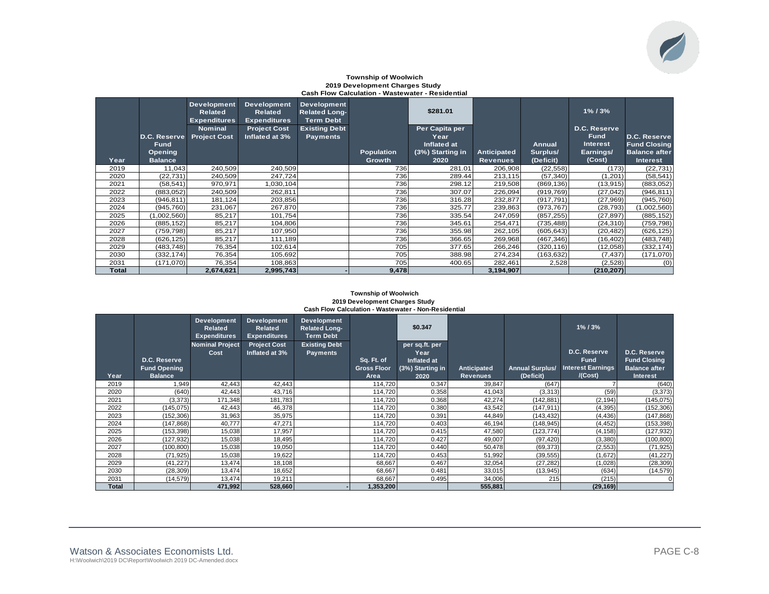#### **Township of Woolwich 2019 Development Charges Study Cash Flow Calculation - Wastewater - Residential**

|              | D.C. Reserve<br><b>Fund</b><br>Opening | <b>Development</b><br>Related<br><b>Expenditures</b><br><b>Nominal</b><br><b>Project Cost</b> | <b>Development</b><br><b>Related</b><br><b>Expenditures</b><br><b>Project Cost</b><br>Inflated at 3% | <b>Development</b><br><b>Related Long-</b><br><b>Term Debt</b><br><b>Existing Debt</b><br><b>Payments</b> | <b>Population</b> | \$281.01<br>Per Capita per<br>Year<br>Inflated at<br>(3%) Starting in | Anticipated     | Annual<br>Surplus/ | $1\%$ / $3\%$<br>D.C. Reserve<br><b>Fund</b><br><b>Interest</b><br>Earnings/ | D.C. Reserve<br><b>Fund Closing</b><br><b>Balance after</b> |
|--------------|----------------------------------------|-----------------------------------------------------------------------------------------------|------------------------------------------------------------------------------------------------------|-----------------------------------------------------------------------------------------------------------|-------------------|-----------------------------------------------------------------------|-----------------|--------------------|------------------------------------------------------------------------------|-------------------------------------------------------------|
| Year         | <b>Balance</b>                         |                                                                                               |                                                                                                      |                                                                                                           | <b>Growth</b>     | 2020                                                                  | <b>Revenues</b> | (Deficit)          | (Cost)                                                                       | <b>Interest</b>                                             |
| 2019         | 11,043                                 | 240,509                                                                                       | 240,509                                                                                              |                                                                                                           | 736               | 281.01                                                                | 206,908         | (22, 558)          | (173)                                                                        | (22, 731)                                                   |
| 2020         | (22, 731)                              | 240,509                                                                                       | 247,724                                                                                              |                                                                                                           | 736               | 289.44                                                                | 213,115         | (57, 340)          | (1,201)                                                                      | (58, 541)                                                   |
| 2021         | (58, 541)                              | 970,971                                                                                       | 1,030,104                                                                                            |                                                                                                           | 736               | 298.12                                                                | 219,508         | (869, 136)         | (13, 915)                                                                    | (883,052)                                                   |
| 2022         | (883,052)                              | 240,509                                                                                       | 262,811                                                                                              |                                                                                                           | 736               | 307.07                                                                | 226,094         | (919, 769)         | (27, 042)                                                                    | (946, 811)                                                  |
| 2023         | (946, 811)                             | 181,124                                                                                       | 203,856                                                                                              |                                                                                                           | 736               | 316.28                                                                | 232,877         | (917, 791)         | (27, 969)                                                                    | (945, 760)                                                  |
| 2024         | (945, 760)                             | 231,067                                                                                       | 267,870                                                                                              |                                                                                                           | 736               | 325.77                                                                | 239,863         | (973, 767)         | (28, 793)                                                                    | (1,002,560)                                                 |
| 2025         | (1,002,560)                            | 85,217                                                                                        | 101,754                                                                                              |                                                                                                           | 736               | 335.54                                                                | 247,059         | (857, 255)         | (27, 897)                                                                    | (885, 152)                                                  |
| 2026         | (885, 152)                             | 85,217                                                                                        | 104,806                                                                                              |                                                                                                           | 736               | 345.61                                                                | 254,471         | (735, 488)         | (24, 310)                                                                    | (759, 798)                                                  |
| 2027         | (759, 798)                             | 85,217                                                                                        | 107,950                                                                                              |                                                                                                           | 736               | 355.98                                                                | 262,105         | (605, 643)         | (20, 482)                                                                    | (626, 125)                                                  |
| 2028         | (626, 125)                             | 85,217                                                                                        | 111,189                                                                                              |                                                                                                           | 736               | 366.65                                                                | 269,968         | (467, 346)         | (16, 402)                                                                    | (483, 748)                                                  |
| 2029         | (483, 748)                             | 76,354                                                                                        | 102,614                                                                                              |                                                                                                           | 705               | 377.65                                                                | 266,246         | (320, 116)         | (12,058)                                                                     | (332, 174)                                                  |
| 2030         | (332, 174)                             | 76,354                                                                                        | 105,692                                                                                              |                                                                                                           | 705               | 388.98                                                                | 274,234         | (163, 632)         | (7, 437)                                                                     | (171,070)                                                   |
| 2031         | (171,070)                              | 76,354                                                                                        | 108,863                                                                                              |                                                                                                           | 705               | 400.65                                                                | 282,461         | 2,528              | (2,528)                                                                      | (0)                                                         |
| <b>Total</b> |                                        | 2,674,621                                                                                     | 2,995,743                                                                                            |                                                                                                           | 9,478             |                                                                       | 3,194,907       |                    | (210, 207)                                                                   |                                                             |

#### **Township of Woolwich 2019 Development Charges Study Cash Flow Calculation - Wastewater - Non-Residential**

|              |                     | <b>Development</b><br>Related<br><b>Expenditures</b> | Development<br>Related<br><b>Expenditures</b> | <b>Development</b><br><b>Related Long-</b><br><b>Term Debt</b> |                    | \$0.347                |                    |                        | $1\%$ / $3\%$            |                      |
|--------------|---------------------|------------------------------------------------------|-----------------------------------------------|----------------------------------------------------------------|--------------------|------------------------|--------------------|------------------------|--------------------------|----------------------|
|              |                     | <b>Nominal Project</b><br>Cost                       | <b>Project Cost</b><br>Inflated at 3%         | <b>Existing Debt</b><br><b>Payments</b>                        |                    | per sq.ft. per<br>Year |                    |                        | D.C. Reserve             | D.C. Reserve         |
|              | D.C. Reserve        |                                                      |                                               |                                                                | Sq. Ft. of         | Inflated at            |                    |                        | <b>Fund</b>              | <b>Fund Closing</b>  |
|              | <b>Fund Opening</b> |                                                      |                                               |                                                                | <b>Gross Floor</b> | (3%) Starting in       | <b>Anticipated</b> | <b>Annual Surplus/</b> | <b>Interest Earnings</b> | <b>Balance after</b> |
| Year         | <b>Balance</b>      |                                                      |                                               |                                                                | Area               | 2020                   | <b>Revenues</b>    | (Deficit)              | /(Cost)                  | <b>Interest</b>      |
| 2019         | 1,949               | 42,443                                               | 42,443                                        |                                                                | 114,720            | 0.347                  | 39,847             | (647)                  |                          | (640)                |
| 2020         | (640)               | 42,443                                               | 43,716                                        |                                                                | 114,720            | 0.358                  | 41,043             | (3,313)                | (59)                     | (3, 373)             |
| 2021         | (3, 373)            | 171,348                                              | 181,783                                       |                                                                | 114,720            | 0.368                  | 42,274             | (142, 881)             | (2, 194)                 | (145, 075)           |
| 2022         | (145, 075)          | 42,443                                               | 46,378                                        |                                                                | 114,720            | 0.380                  | 43,542             | (147, 911)             | (4, 395)                 | (152, 306)           |
| 2023         | (152, 306)          | 31,963                                               | 35,975                                        |                                                                | 114,720            | 0.391                  | 44,849             | (143, 432)             | (4, 436)                 | (147, 868)           |
| 2024         | (147, 868)          | 40,777                                               | 47,271                                        |                                                                | 114,720            | 0.403                  | 46,194             | (148, 945)             | (4, 452)                 | (153, 398)           |
| 2025         | (153, 398)          | 15,038                                               | 17,957                                        |                                                                | 114,720            | 0.415                  | 47,580             | (123, 774)             | (4, 158)                 | (127, 932)           |
| 2026         | (127,932)           | 15,038                                               | 18,495                                        |                                                                | 114,720            | 0.427                  | 49,007             | (97, 420)              | (3,380)                  | (100, 800)           |
| 2027         | (100, 800)          | 15,038                                               | 19,050                                        |                                                                | 114,720            | 0.440                  | 50,478             | (69, 373)              | (2, 553)                 | (71, 925)            |
| 2028         | (71, 925)           | 15,038                                               | 19,622                                        |                                                                | 114,720            | 0.453                  | 51,992             | (39, 555)              | (1,672)                  | (41, 227)            |
| 2029         | (41, 227)           | 13,474                                               | 18,108                                        |                                                                | 68,667             | 0.467                  | 32,054             | (27, 282)              | (1,028)                  | (28, 309)            |
| 2030         | (28, 309)           | 13,474                                               | 18,652                                        |                                                                | 68,667             | 0.481                  | 33,015             | (13, 945)              | (634)                    | (14, 579)            |
| 2031         | (14, 579)           | 13,474                                               | 19,211                                        |                                                                | 68,667             | 0.495                  | 34,006             | 215                    | (215)                    | $\overline{0}$       |
| <b>Total</b> |                     | 471,992                                              | 528,660                                       |                                                                | 1,353,200          |                        | 555,881            |                        | (29, 169)                |                      |

 $\bigtriangledown$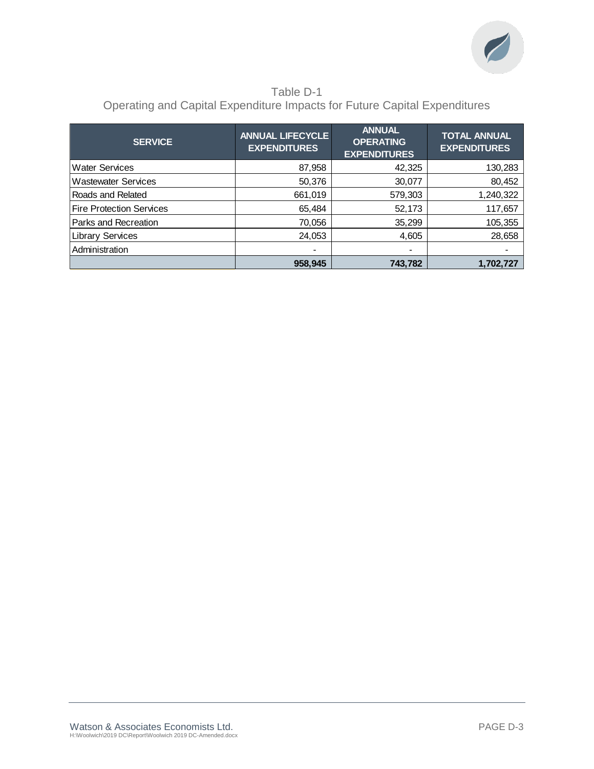

### Table D-1 Operating and Capital Expenditure Impacts for Future Capital Expenditures

| <b>SERVICE</b>                  | <b>ANNUAL LIFECYCLE</b><br><b>EXPENDITURES</b> | <b>ANNUAL</b><br><b>OPERATING</b><br><b>EXPENDITURES</b> | <b>TOTAL ANNUAL</b><br><b>EXPENDITURES</b> |
|---------------------------------|------------------------------------------------|----------------------------------------------------------|--------------------------------------------|
| <b>Water Services</b>           | 87,958                                         | 42,325                                                   | 130,283                                    |
| <b>Wastewater Services</b>      | 50,376                                         | 30,077                                                   | 80,452                                     |
| Roads and Related               | 661,019                                        | 579,303                                                  | 1,240,322                                  |
| <b>Fire Protection Services</b> | 65,484                                         | 52,173                                                   | 117,657                                    |
| Parks and Recreation            | 70,056                                         | 35,299                                                   | 105,355                                    |
| <b>Library Services</b>         | 24,053                                         | 4,605                                                    | 28,658                                     |
| Administration                  | $\blacksquare$                                 | $\blacksquare$                                           |                                            |
|                                 | 958,945                                        | 743,782                                                  | 1,702,727                                  |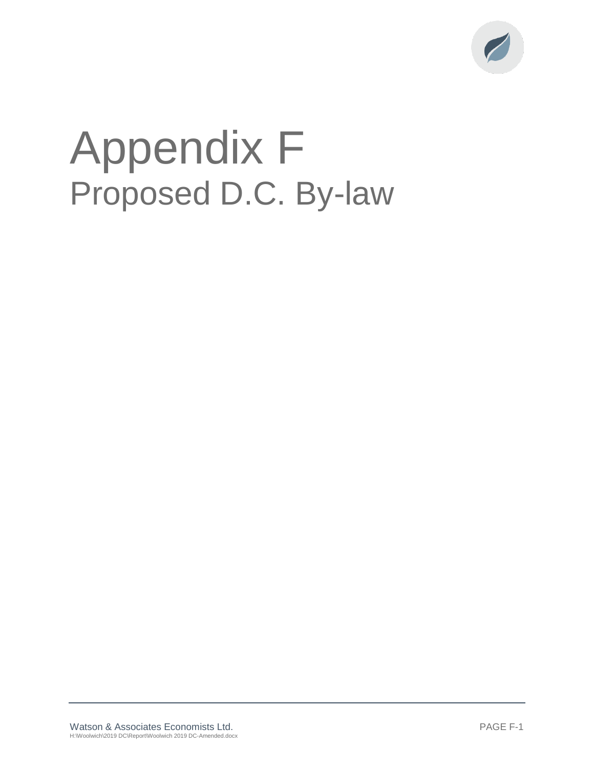

# Appendix F Proposed D.C. By-law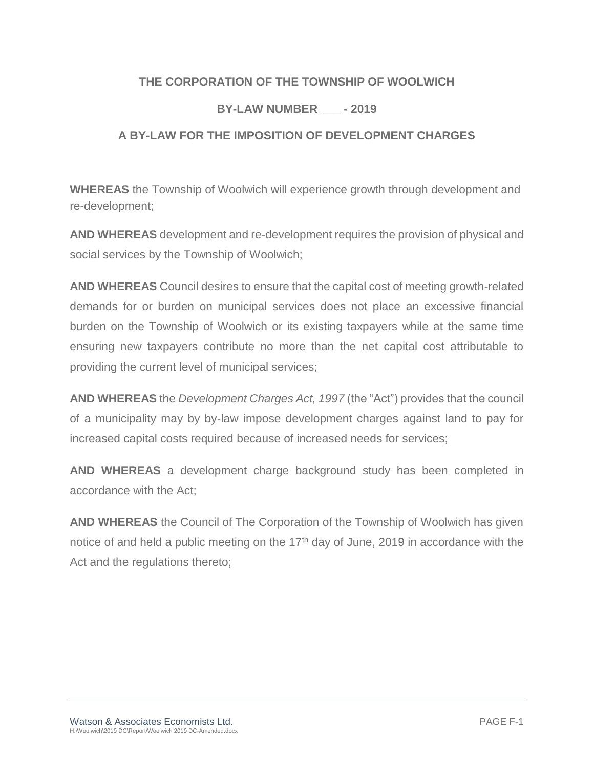### **THE CORPORATION OF THE TOWNSHIP OF WOOLWICH**

### **BY-LAW NUMBER \_\_\_ - 2019**

### **A BY-LAW FOR THE IMPOSITION OF DEVELOPMENT CHARGES**

**WHEREAS** the Township of Woolwich will experience growth through development and re-development;

**AND WHEREAS** development and re-development requires the provision of physical and social services by the Township of Woolwich;

**AND WHEREAS** Council desires to ensure that the capital cost of meeting growth-related demands for or burden on municipal services does not place an excessive financial burden on the Township of Woolwich or its existing taxpayers while at the same time ensuring new taxpayers contribute no more than the net capital cost attributable to providing the current level of municipal services;

**AND WHEREAS** the *Development Charges Act, 1997* (the "Act") provides that the council of a municipality may by by-law impose development charges against land to pay for increased capital costs required because of increased needs for services;

**AND WHEREAS** a development charge background study has been completed in accordance with the Act;

**AND WHEREAS** the Council of The Corporation of the Township of Woolwich has given notice of and held a public meeting on the  $17<sup>th</sup>$  day of June, 2019 in accordance with the Act and the regulations thereto;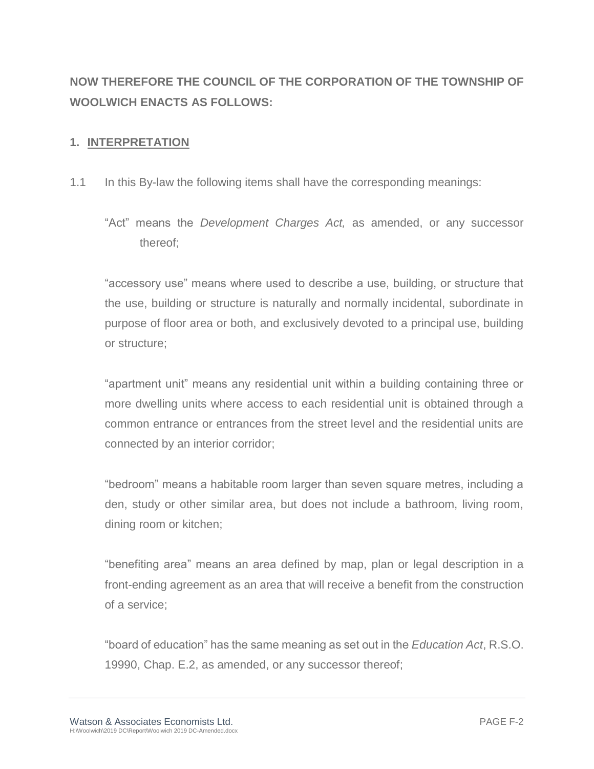## **NOW THEREFORE THE COUNCIL OF THE CORPORATION OF THE TOWNSHIP OF WOOLWICH ENACTS AS FOLLOWS:**

### **1. INTERPRETATION**

- 1.1 In this By-law the following items shall have the corresponding meanings:
	- "Act" means the *Development Charges Act,* as amended, or any successor thereof;

"accessory use" means where used to describe a use, building, or structure that the use, building or structure is naturally and normally incidental, subordinate in purpose of floor area or both, and exclusively devoted to a principal use, building or structure;

"apartment unit" means any residential unit within a building containing three or more dwelling units where access to each residential unit is obtained through a common entrance or entrances from the street level and the residential units are connected by an interior corridor;

"bedroom" means a habitable room larger than seven square metres, including a den, study or other similar area, but does not include a bathroom, living room, dining room or kitchen;

"benefiting area" means an area defined by map, plan or legal description in a front-ending agreement as an area that will receive a benefit from the construction of a service;

"board of education" has the same meaning as set out in the *Education Act*, R.S.O. 19990, Chap. E.2, as amended, or any successor thereof;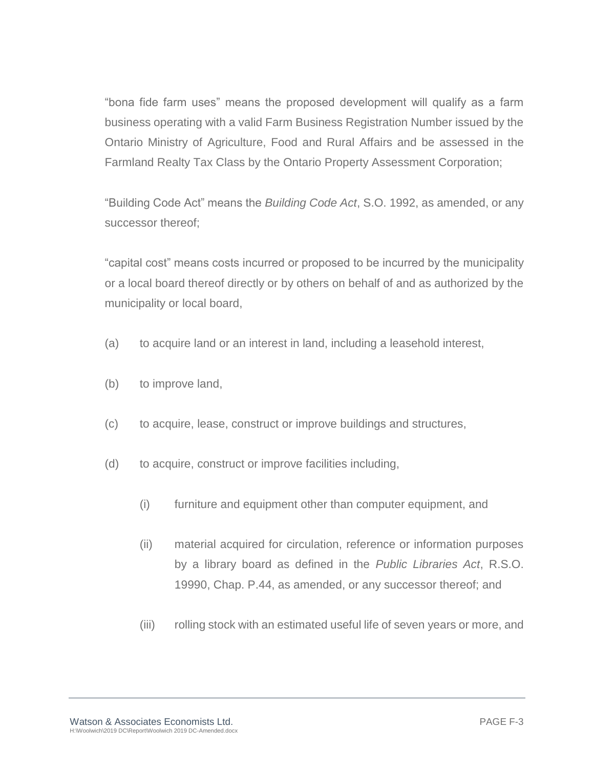"bona fide farm uses" means the proposed development will qualify as a farm business operating with a valid Farm Business Registration Number issued by the Ontario Ministry of Agriculture, Food and Rural Affairs and be assessed in the Farmland Realty Tax Class by the Ontario Property Assessment Corporation;

"Building Code Act" means the *Building Code Act*, S.O. 1992, as amended, or any successor thereof;

"capital cost" means costs incurred or proposed to be incurred by the municipality or a local board thereof directly or by others on behalf of and as authorized by the municipality or local board,

- (a) to acquire land or an interest in land, including a leasehold interest,
- (b) to improve land,
- (c) to acquire, lease, construct or improve buildings and structures,
- (d) to acquire, construct or improve facilities including,
	- (i) furniture and equipment other than computer equipment, and
	- (ii) material acquired for circulation, reference or information purposes by a library board as defined in the *Public Libraries Act*, R.S.O. 19990, Chap. P.44, as amended, or any successor thereof; and
	- (iii) rolling stock with an estimated useful life of seven years or more, and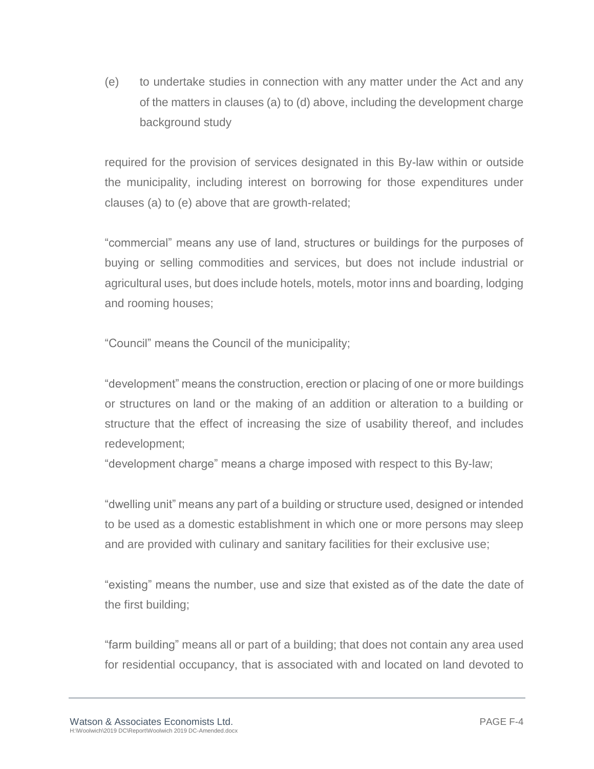(e) to undertake studies in connection with any matter under the Act and any of the matters in clauses (a) to (d) above, including the development charge background study

required for the provision of services designated in this By-law within or outside the municipality, including interest on borrowing for those expenditures under clauses (a) to (e) above that are growth-related;

"commercial" means any use of land, structures or buildings for the purposes of buying or selling commodities and services, but does not include industrial or agricultural uses, but does include hotels, motels, motor inns and boarding, lodging and rooming houses;

"Council" means the Council of the municipality;

"development" means the construction, erection or placing of one or more buildings or structures on land or the making of an addition or alteration to a building or structure that the effect of increasing the size of usability thereof, and includes redevelopment;

"development charge" means a charge imposed with respect to this By-law;

"dwelling unit" means any part of a building or structure used, designed or intended to be used as a domestic establishment in which one or more persons may sleep and are provided with culinary and sanitary facilities for their exclusive use;

"existing" means the number, use and size that existed as of the date the date of the first building;

"farm building" means all or part of a building; that does not contain any area used for residential occupancy, that is associated with and located on land devoted to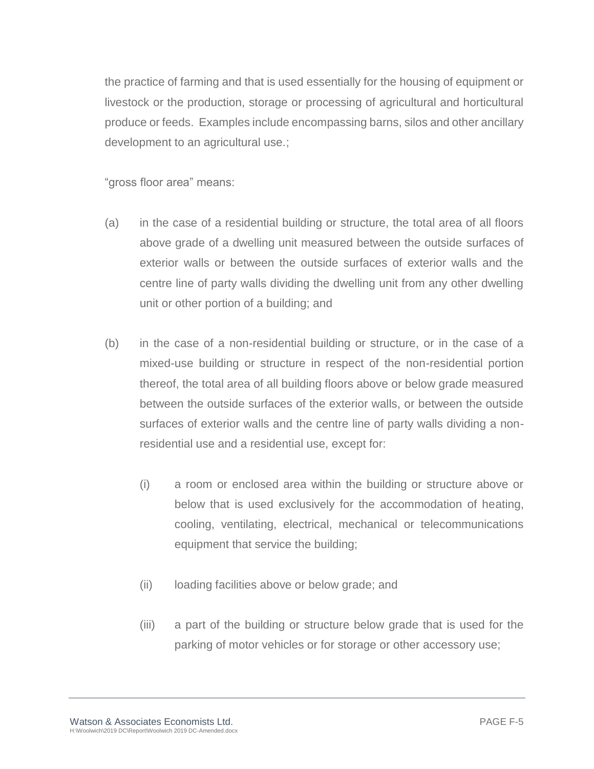the practice of farming and that is used essentially for the housing of equipment or livestock or the production, storage or processing of agricultural and horticultural produce or feeds. Examples include encompassing barns, silos and other ancillary development to an agricultural use.;

"gross floor area" means:

- (a) in the case of a residential building or structure, the total area of all floors above grade of a dwelling unit measured between the outside surfaces of exterior walls or between the outside surfaces of exterior walls and the centre line of party walls dividing the dwelling unit from any other dwelling unit or other portion of a building; and
- (b) in the case of a non-residential building or structure, or in the case of a mixed-use building or structure in respect of the non-residential portion thereof, the total area of all building floors above or below grade measured between the outside surfaces of the exterior walls, or between the outside surfaces of exterior walls and the centre line of party walls dividing a nonresidential use and a residential use, except for:
	- (i) a room or enclosed area within the building or structure above or below that is used exclusively for the accommodation of heating, cooling, ventilating, electrical, mechanical or telecommunications equipment that service the building;
	- (ii) loading facilities above or below grade; and
	- (iii) a part of the building or structure below grade that is used for the parking of motor vehicles or for storage or other accessory use;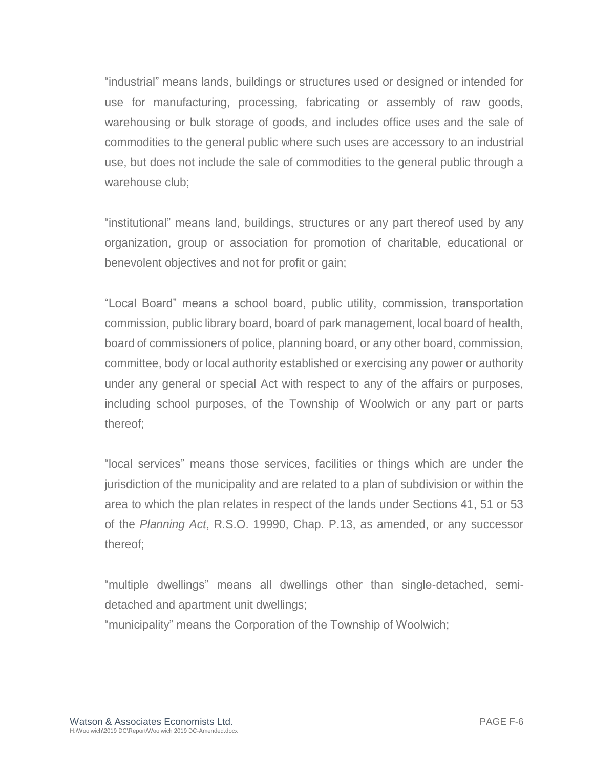"industrial" means lands, buildings or structures used or designed or intended for use for manufacturing, processing, fabricating or assembly of raw goods, warehousing or bulk storage of goods, and includes office uses and the sale of commodities to the general public where such uses are accessory to an industrial use, but does not include the sale of commodities to the general public through a warehouse club;

"institutional" means land, buildings, structures or any part thereof used by any organization, group or association for promotion of charitable, educational or benevolent objectives and not for profit or gain;

"Local Board" means a school board, public utility, commission, transportation commission, public library board, board of park management, local board of health, board of commissioners of police, planning board, or any other board, commission, committee, body or local authority established or exercising any power or authority under any general or special Act with respect to any of the affairs or purposes, including school purposes, of the Township of Woolwich or any part or parts thereof;

"local services" means those services, facilities or things which are under the jurisdiction of the municipality and are related to a plan of subdivision or within the area to which the plan relates in respect of the lands under Sections 41, 51 or 53 of the *Planning Act*, R.S.O. 19990, Chap. P.13, as amended, or any successor thereof;

"multiple dwellings" means all dwellings other than single-detached, semidetached and apartment unit dwellings;

"municipality" means the Corporation of the Township of Woolwich;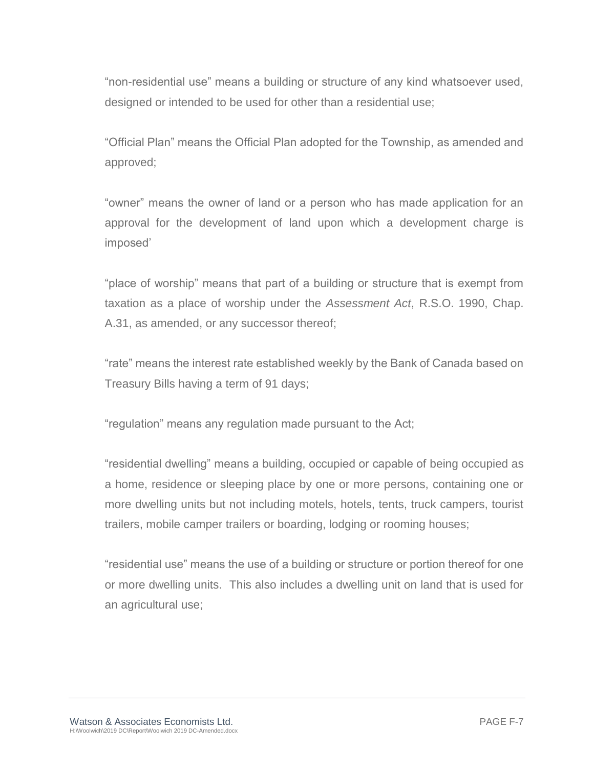"non-residential use" means a building or structure of any kind whatsoever used, designed or intended to be used for other than a residential use;

"Official Plan" means the Official Plan adopted for the Township, as amended and approved;

"owner" means the owner of land or a person who has made application for an approval for the development of land upon which a development charge is imposed'

"place of worship" means that part of a building or structure that is exempt from taxation as a place of worship under the *Assessment Act*, R.S.O. 1990, Chap. A.31, as amended, or any successor thereof;

"rate" means the interest rate established weekly by the Bank of Canada based on Treasury Bills having a term of 91 days;

"regulation" means any regulation made pursuant to the Act;

"residential dwelling" means a building, occupied or capable of being occupied as a home, residence or sleeping place by one or more persons, containing one or more dwelling units but not including motels, hotels, tents, truck campers, tourist trailers, mobile camper trailers or boarding, lodging or rooming houses;

"residential use" means the use of a building or structure or portion thereof for one or more dwelling units. This also includes a dwelling unit on land that is used for an agricultural use;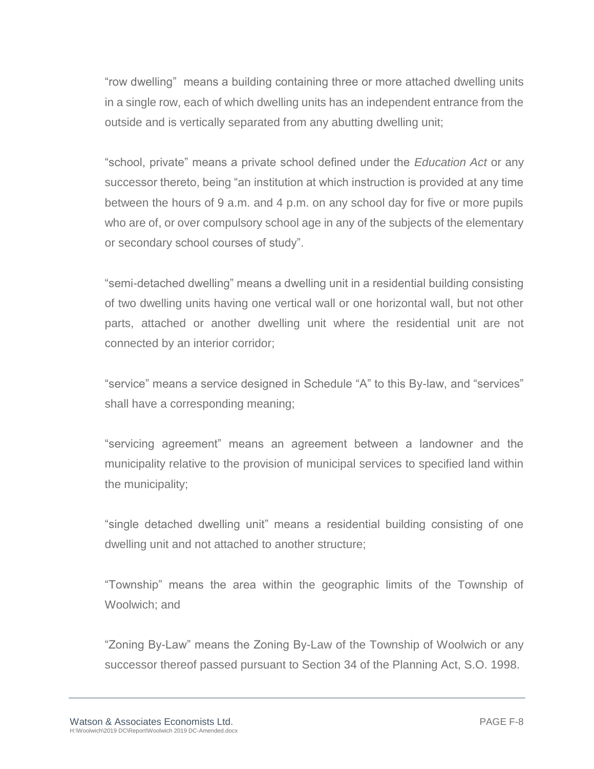"row dwelling" means a building containing three or more attached dwelling units in a single row, each of which dwelling units has an independent entrance from the outside and is vertically separated from any abutting dwelling unit;

"school, private" means a private school defined under the *Education Act* or any successor thereto, being "an institution at which instruction is provided at any time between the hours of 9 a.m. and 4 p.m. on any school day for five or more pupils who are of, or over compulsory school age in any of the subjects of the elementary or secondary school courses of study".

"semi-detached dwelling" means a dwelling unit in a residential building consisting of two dwelling units having one vertical wall or one horizontal wall, but not other parts, attached or another dwelling unit where the residential unit are not connected by an interior corridor;

"service" means a service designed in Schedule "A" to this By-law, and "services" shall have a corresponding meaning;

"servicing agreement" means an agreement between a landowner and the municipality relative to the provision of municipal services to specified land within the municipality;

"single detached dwelling unit" means a residential building consisting of one dwelling unit and not attached to another structure;

"Township" means the area within the geographic limits of the Township of Woolwich; and

"Zoning By-Law" means the Zoning By-Law of the Township of Woolwich or any successor thereof passed pursuant to Section 34 of the Planning Act, S.O. 1998.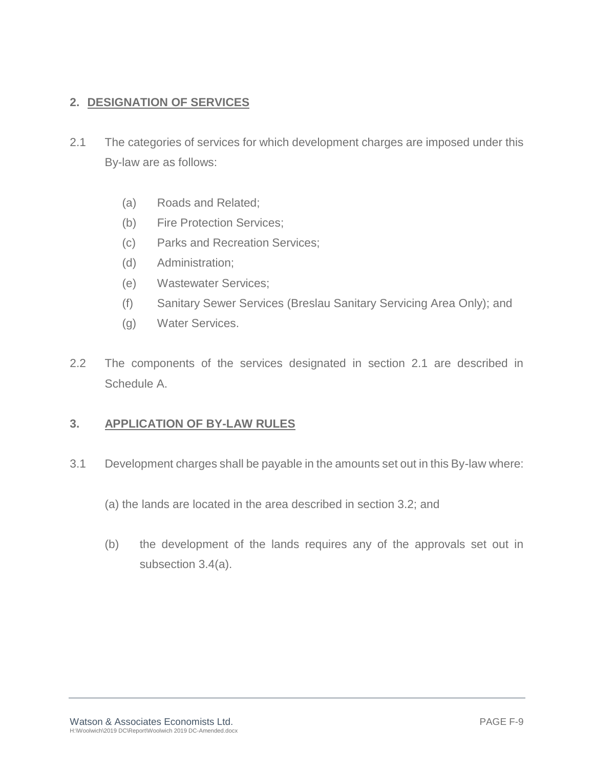### **2. DESIGNATION OF SERVICES**

- 2.1 The categories of services for which development charges are imposed under this By-law are as follows:
	- (a) Roads and Related;
	- (b) Fire Protection Services;
	- (c) Parks and Recreation Services;
	- (d) Administration;
	- (e) Wastewater Services;
	- (f) Sanitary Sewer Services (Breslau Sanitary Servicing Area Only); and
	- (g) Water Services.
- 2.2 The components of the services designated in section 2.1 are described in Schedule A.

### **3. APPLICATION OF BY-LAW RULES**

- 3.1 Development charges shall be payable in the amounts set out in this By-law where:
	- (a) the lands are located in the area described in section 3.2; and
	- (b) the development of the lands requires any of the approvals set out in subsection 3.4(a).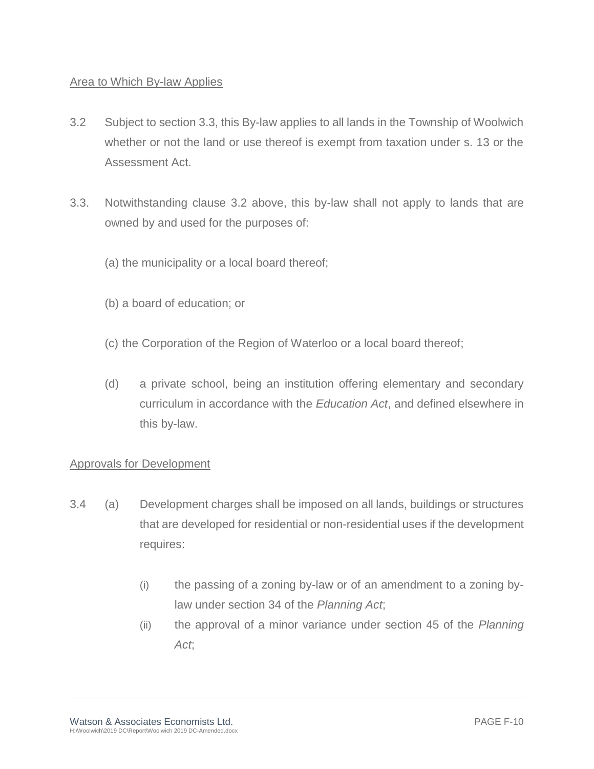### Area to Which By-law Applies

- 3.2 Subject to section 3.3, this By-law applies to all lands in the Township of Woolwich whether or not the land or use thereof is exempt from taxation under s. 13 or the Assessment Act.
- 3.3. Notwithstanding clause 3.2 above, this by-law shall not apply to lands that are owned by and used for the purposes of:
	- (a) the municipality or a local board thereof;
	- (b) a board of education; or
	- (c) the Corporation of the Region of Waterloo or a local board thereof;
	- (d) a private school, being an institution offering elementary and secondary curriculum in accordance with the *Education Act*, and defined elsewhere in this by-law.

### Approvals for Development

- 3.4 (a) Development charges shall be imposed on all lands, buildings or structures that are developed for residential or non-residential uses if the development requires:
	- (i) the passing of a zoning by-law or of an amendment to a zoning bylaw under section 34 of the *Planning Act*;
	- (ii) the approval of a minor variance under section 45 of the *Planning Act*;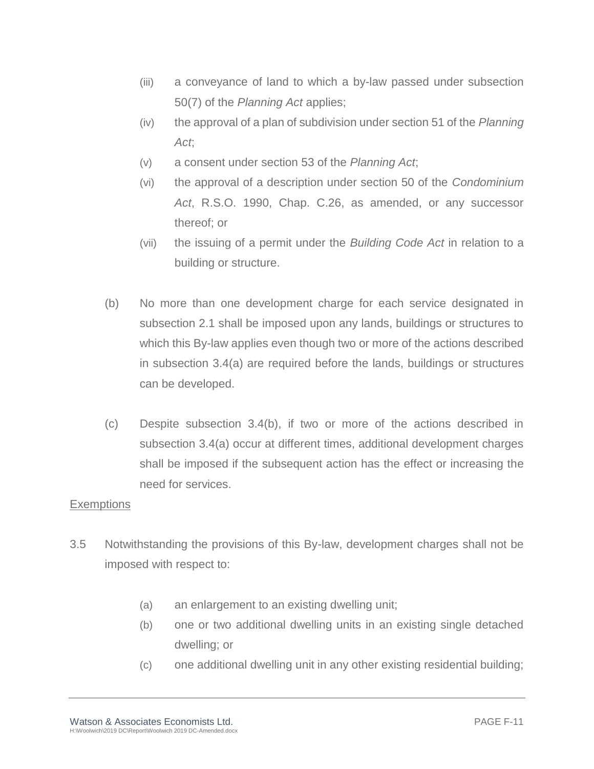- (iii) a conveyance of land to which a by-law passed under subsection 50(7) of the *Planning Act* applies;
- (iv) the approval of a plan of subdivision under section 51 of the *Planning Act*;
- (v) a consent under section 53 of the *Planning Act*;
- (vi) the approval of a description under section 50 of the *Condominium Act*, R.S.O. 1990, Chap. C.26, as amended, or any successor thereof; or
- (vii) the issuing of a permit under the *Building Code Act* in relation to a building or structure.
- (b) No more than one development charge for each service designated in subsection 2.1 shall be imposed upon any lands, buildings or structures to which this By-law applies even though two or more of the actions described in subsection 3.4(a) are required before the lands, buildings or structures can be developed.
- (c) Despite subsection 3.4(b), if two or more of the actions described in subsection 3.4(a) occur at different times, additional development charges shall be imposed if the subsequent action has the effect or increasing the need for services.

### **Exemptions**

- 3.5 Notwithstanding the provisions of this By-law, development charges shall not be imposed with respect to:
	- (a) an enlargement to an existing dwelling unit;
	- (b) one or two additional dwelling units in an existing single detached dwelling; or
	- (c) one additional dwelling unit in any other existing residential building;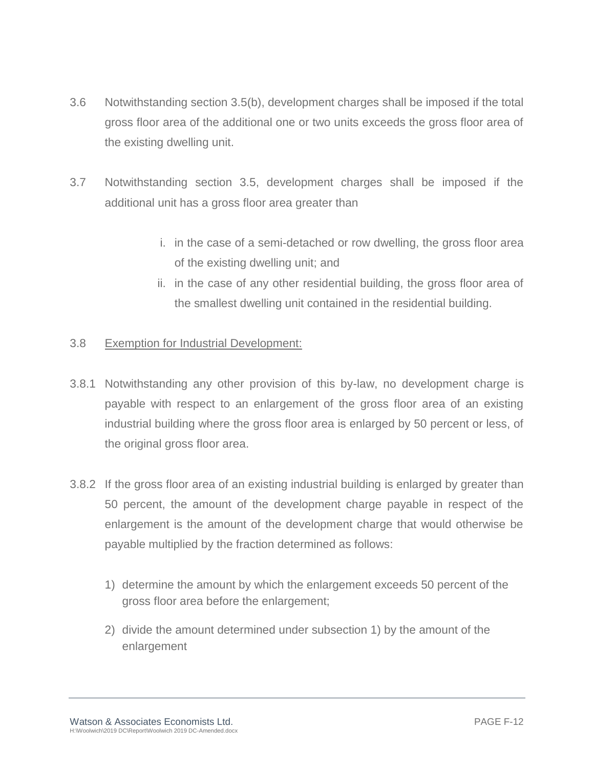- 3.6 Notwithstanding section 3.5(b), development charges shall be imposed if the total gross floor area of the additional one or two units exceeds the gross floor area of the existing dwelling unit.
- 3.7 Notwithstanding section 3.5, development charges shall be imposed if the additional unit has a gross floor area greater than
	- i. in the case of a semi-detached or row dwelling, the gross floor area of the existing dwelling unit; and
	- ii. in the case of any other residential building, the gross floor area of the smallest dwelling unit contained in the residential building.

### 3.8 Exemption for Industrial Development:

- 3.8.1 Notwithstanding any other provision of this by-law, no development charge is payable with respect to an enlargement of the gross floor area of an existing industrial building where the gross floor area is enlarged by 50 percent or less, of the original gross floor area.
- 3.8.2 If the gross floor area of an existing industrial building is enlarged by greater than 50 percent, the amount of the development charge payable in respect of the enlargement is the amount of the development charge that would otherwise be payable multiplied by the fraction determined as follows:
	- 1) determine the amount by which the enlargement exceeds 50 percent of the gross floor area before the enlargement;
	- 2) divide the amount determined under subsection 1) by the amount of the enlargement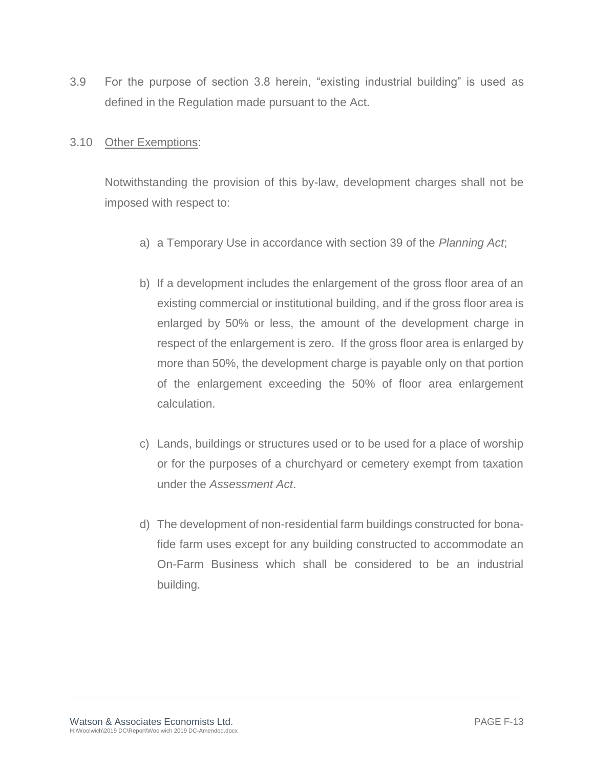3.9 For the purpose of section 3.8 herein, "existing industrial building" is used as defined in the Regulation made pursuant to the Act.

### 3.10 Other Exemptions:

Notwithstanding the provision of this by-law, development charges shall not be imposed with respect to:

- a) a Temporary Use in accordance with section 39 of the *Planning Act*;
- b) If a development includes the enlargement of the gross floor area of an existing commercial or institutional building, and if the gross floor area is enlarged by 50% or less, the amount of the development charge in respect of the enlargement is zero. If the gross floor area is enlarged by more than 50%, the development charge is payable only on that portion of the enlargement exceeding the 50% of floor area enlargement calculation.
- c) Lands, buildings or structures used or to be used for a place of worship or for the purposes of a churchyard or cemetery exempt from taxation under the *Assessment Act*.
- d) The development of non-residential farm buildings constructed for bonafide farm uses except for any building constructed to accommodate an On-Farm Business which shall be considered to be an industrial building.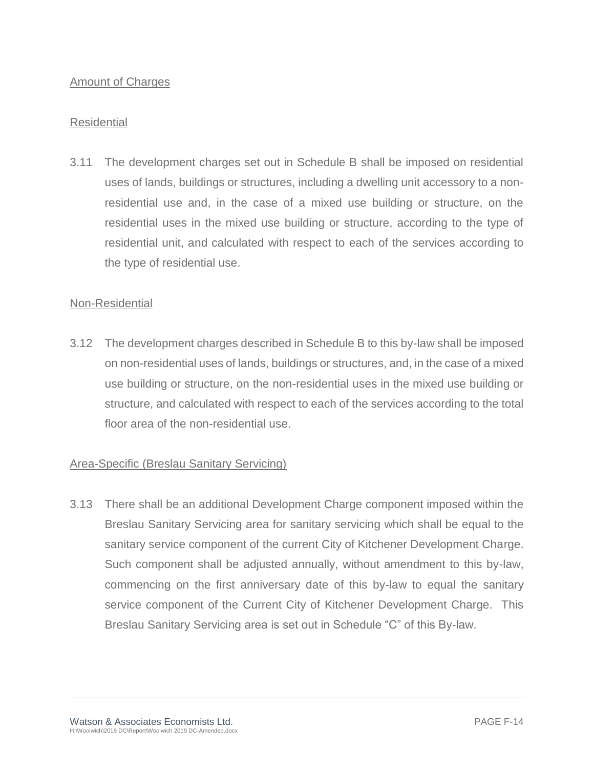### Amount of Charges

### Residential

3.11 The development charges set out in Schedule B shall be imposed on residential uses of lands, buildings or structures, including a dwelling unit accessory to a nonresidential use and, in the case of a mixed use building or structure, on the residential uses in the mixed use building or structure, according to the type of residential unit, and calculated with respect to each of the services according to the type of residential use.

### Non-Residential

3.12 The development charges described in Schedule B to this by-law shall be imposed on non-residential uses of lands, buildings or structures, and, in the case of a mixed use building or structure, on the non-residential uses in the mixed use building or structure, and calculated with respect to each of the services according to the total floor area of the non-residential use.

### Area-Specific (Breslau Sanitary Servicing)

3.13 There shall be an additional Development Charge component imposed within the Breslau Sanitary Servicing area for sanitary servicing which shall be equal to the sanitary service component of the current City of Kitchener Development Charge. Such component shall be adjusted annually, without amendment to this by-law, commencing on the first anniversary date of this by-law to equal the sanitary service component of the Current City of Kitchener Development Charge. This Breslau Sanitary Servicing area is set out in Schedule "C" of this By-law.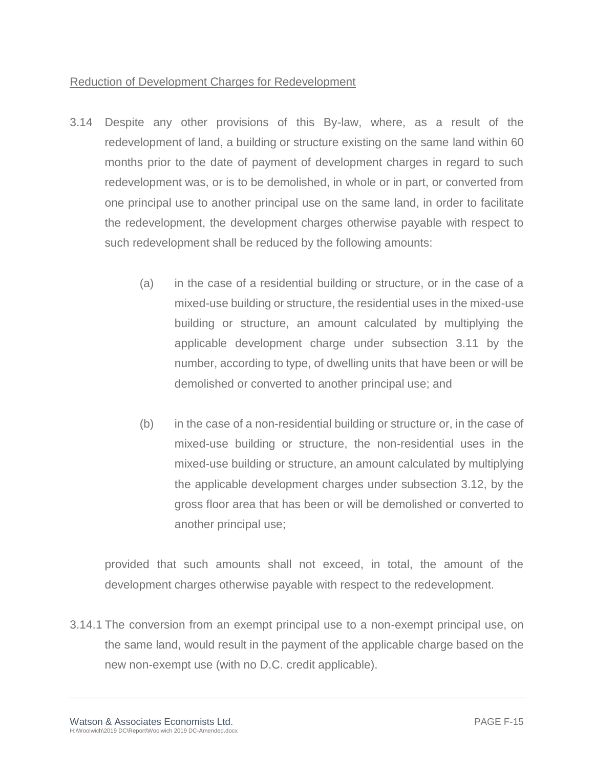### Reduction of Development Charges for Redevelopment

- 3.14 Despite any other provisions of this By-law, where, as a result of the redevelopment of land, a building or structure existing on the same land within 60 months prior to the date of payment of development charges in regard to such redevelopment was, or is to be demolished, in whole or in part, or converted from one principal use to another principal use on the same land, in order to facilitate the redevelopment, the development charges otherwise payable with respect to such redevelopment shall be reduced by the following amounts:
	- (a) in the case of a residential building or structure, or in the case of a mixed-use building or structure, the residential uses in the mixed-use building or structure, an amount calculated by multiplying the applicable development charge under subsection 3.11 by the number, according to type, of dwelling units that have been or will be demolished or converted to another principal use; and
	- (b) in the case of a non-residential building or structure or, in the case of mixed-use building or structure, the non-residential uses in the mixed-use building or structure, an amount calculated by multiplying the applicable development charges under subsection 3.12, by the gross floor area that has been or will be demolished or converted to another principal use;

provided that such amounts shall not exceed, in total, the amount of the development charges otherwise payable with respect to the redevelopment.

3.14.1 The conversion from an exempt principal use to a non-exempt principal use, on the same land, would result in the payment of the applicable charge based on the new non-exempt use (with no D.C. credit applicable).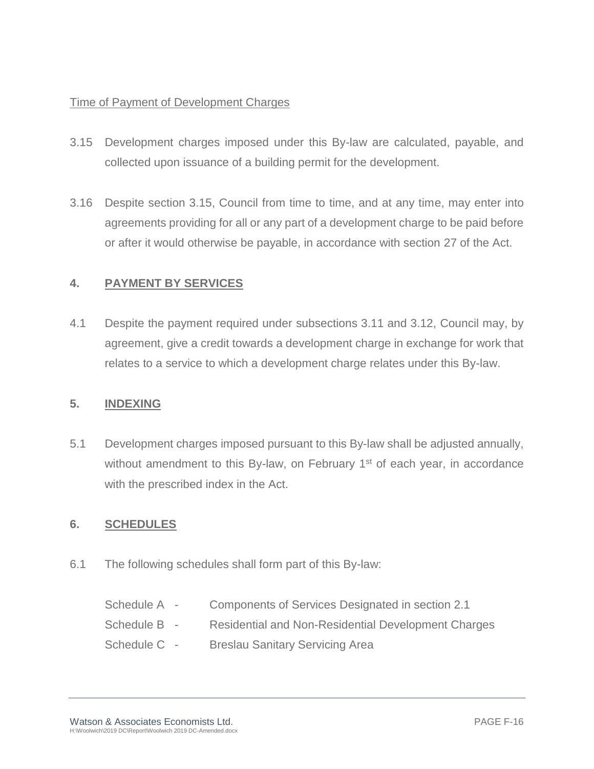### Time of Payment of Development Charges

- 3.15 Development charges imposed under this By-law are calculated, payable, and collected upon issuance of a building permit for the development.
- 3.16 Despite section 3.15, Council from time to time, and at any time, may enter into agreements providing for all or any part of a development charge to be paid before or after it would otherwise be payable, in accordance with section 27 of the Act.

### **4. PAYMENT BY SERVICES**

4.1 Despite the payment required under subsections 3.11 and 3.12, Council may, by agreement, give a credit towards a development charge in exchange for work that relates to a service to which a development charge relates under this By-law.

### **5. INDEXING**

5.1 Development charges imposed pursuant to this By-law shall be adjusted annually, without amendment to this By-law, on February 1<sup>st</sup> of each year, in accordance with the prescribed index in the Act.

### **6. SCHEDULES**

6.1 The following schedules shall form part of this By-law:

| Schedule A - | Components of Services Designated in section 2.1           |
|--------------|------------------------------------------------------------|
| Schedule B - | <b>Residential and Non-Residential Development Charges</b> |
| Schedule C - | <b>Breslau Sanitary Servicing Area</b>                     |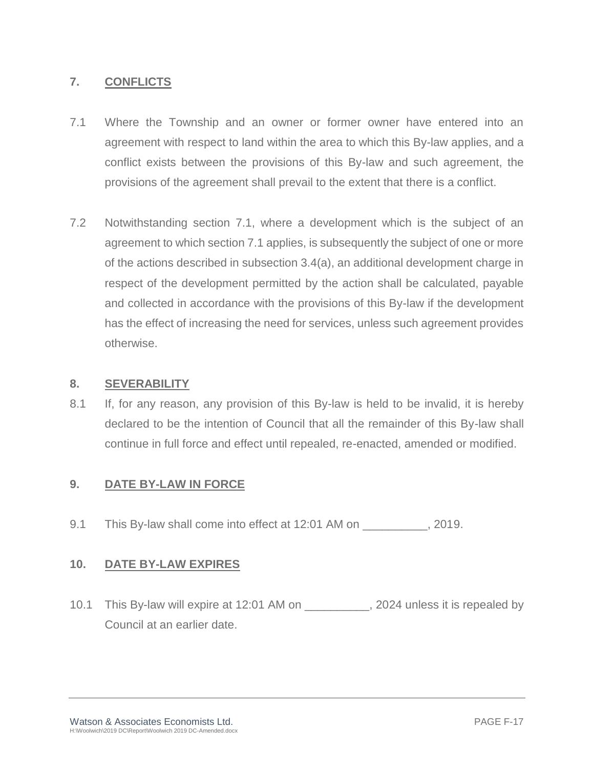### **7. CONFLICTS**

- 7.1 Where the Township and an owner or former owner have entered into an agreement with respect to land within the area to which this By-law applies, and a conflict exists between the provisions of this By-law and such agreement, the provisions of the agreement shall prevail to the extent that there is a conflict.
- 7.2 Notwithstanding section 7.1, where a development which is the subject of an agreement to which section 7.1 applies, is subsequently the subject of one or more of the actions described in subsection 3.4(a), an additional development charge in respect of the development permitted by the action shall be calculated, payable and collected in accordance with the provisions of this By-law if the development has the effect of increasing the need for services, unless such agreement provides otherwise.

### **8. SEVERABILITY**

8.1 If, for any reason, any provision of this By-law is held to be invalid, it is hereby declared to be the intention of Council that all the remainder of this By-law shall continue in full force and effect until repealed, re-enacted, amended or modified.

### **9. DATE BY-LAW IN FORCE**

9.1 This By-law shall come into effect at 12:01 AM on \_\_\_\_\_\_\_\_\_\_\_, 2019.

### **10. DATE BY-LAW EXPIRES**

10.1 This By-law will expire at 12:01 AM on  $\qquad \qquad$ , 2024 unless it is repealed by Council at an earlier date.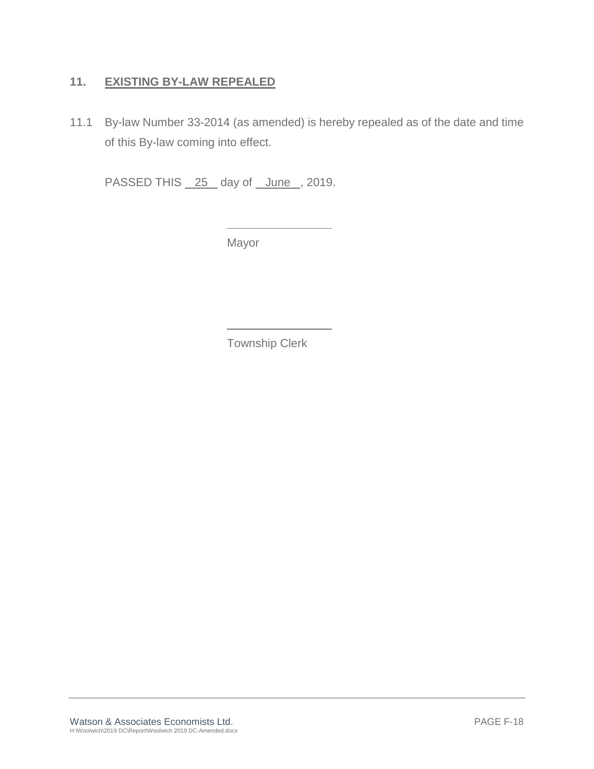### **11. EXISTING BY-LAW REPEALED**

11.1 By-law Number 33-2014 (as amended) is hereby repealed as of the date and time of this By-law coming into effect.

PASSED THIS 25 day of June, 2019.

Mayor

Township Clerk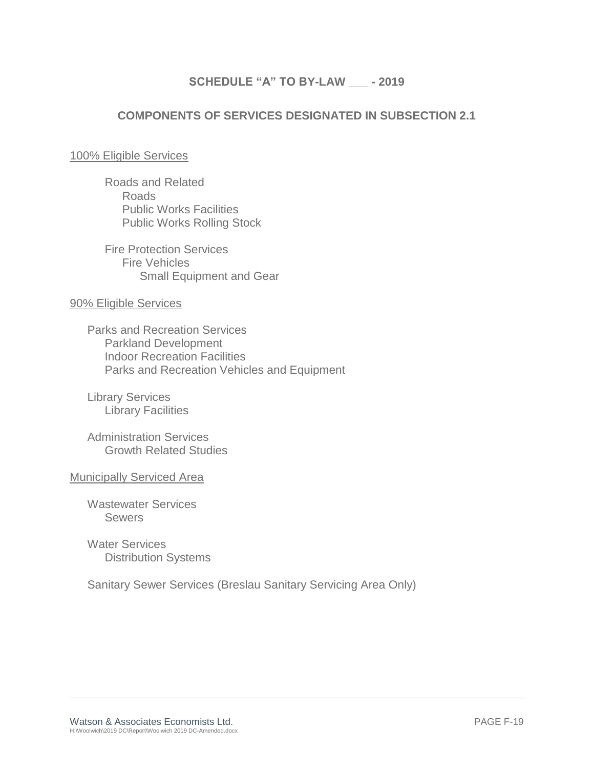### **SCHEDULE "A" TO BY-LAW \_\_\_ - 2019**

### **COMPONENTS OF SERVICES DESIGNATED IN SUBSECTION 2.1**

### 100% Eligible Services

Roads and Related Roads Public Works Facilities Public Works Rolling Stock

Fire Protection Services Fire Vehicles Small Equipment and Gear

### 90% Eligible Services

Parks and Recreation Services Parkland Development Indoor Recreation Facilities Parks and Recreation Vehicles and Equipment

Library Services Library Facilities

Administration Services Growth Related Studies

Municipally Serviced Area

Wastewater Services **Sewers** 

Water Services Distribution Systems

Sanitary Sewer Services (Breslau Sanitary Servicing Area Only)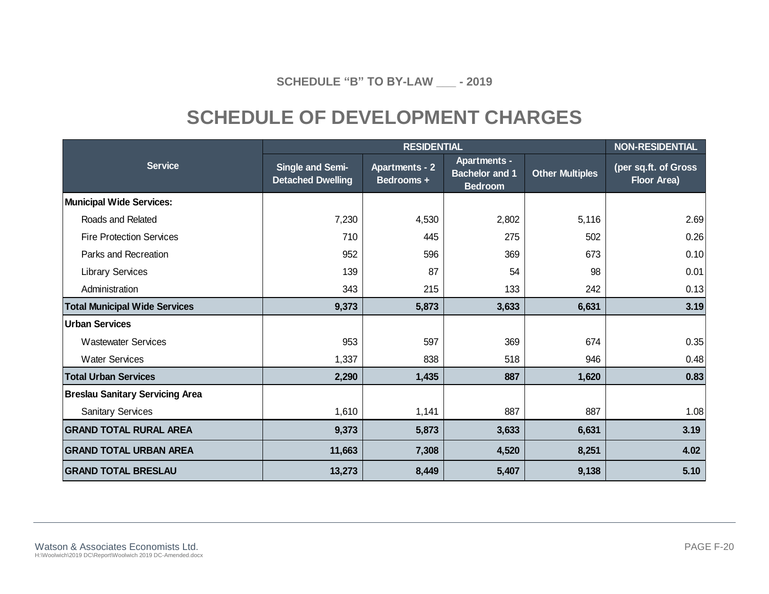**SCHEDULE "B" TO BY-LAW \_\_\_ - 2019**

## **SCHEDULE OF DEVELOPMENT CHARGES**

|                                        |                                              | <b>NON-RESIDENTIAL</b>              |                                                                |                        |                                            |
|----------------------------------------|----------------------------------------------|-------------------------------------|----------------------------------------------------------------|------------------------|--------------------------------------------|
| <b>Service</b>                         | Single and Semi-<br><b>Detached Dwelling</b> | <b>Apartments - 2</b><br>Bedrooms + | <b>Apartments -</b><br><b>Bachelor and 1</b><br><b>Bedroom</b> | <b>Other Multiples</b> | (per sq.ft. of Gross<br><b>Floor Area)</b> |
| <b>Municipal Wide Services:</b>        |                                              |                                     |                                                                |                        |                                            |
| Roads and Related                      | 7,230                                        | 4,530                               | 2,802                                                          | 5,116                  | 2.69                                       |
| <b>Fire Protection Services</b>        | 710                                          | 445                                 | 275                                                            | 502                    | 0.26                                       |
| Parks and Recreation                   | 952                                          | 596                                 | 369                                                            | 673                    | 0.10                                       |
| <b>Library Services</b>                | 139                                          | 87                                  | 54                                                             | 98                     | 0.01                                       |
| Administration                         | 343                                          | 215                                 | 133                                                            | 242                    | 0.13                                       |
| <b>Total Municipal Wide Services</b>   | 9,373                                        | 5,873                               | 3,633                                                          | 6,631                  | 3.19                                       |
| <b>Urban Services</b>                  |                                              |                                     |                                                                |                        |                                            |
| <b>Wastewater Services</b>             | 953                                          | 597                                 | 369                                                            | 674                    | 0.35                                       |
| <b>Water Services</b>                  | 1,337                                        | 838                                 | 518                                                            | 946                    | 0.48                                       |
| <b>Total Urban Services</b>            | 2,290                                        | 1,435                               | 887                                                            | 1,620                  | 0.83                                       |
| <b>Breslau Sanitary Servicing Area</b> |                                              |                                     |                                                                |                        |                                            |
| <b>Sanitary Services</b>               | 1,610                                        | 1,141                               | 887                                                            | 887                    | 1.08                                       |
| <b>GRAND TOTAL RURAL AREA</b>          | 9,373                                        | 5,873                               | 3,633                                                          | 6,631                  | 3.19                                       |
| <b>GRAND TOTAL URBAN AREA</b>          | 11,663                                       | 7,308                               | 4,520                                                          | 8,251                  | 4.02                                       |
| <b>GRAND TOTAL BRESLAU</b>             | 13,273                                       | 8,449                               | 5,407                                                          | 9,138                  | 5.10                                       |